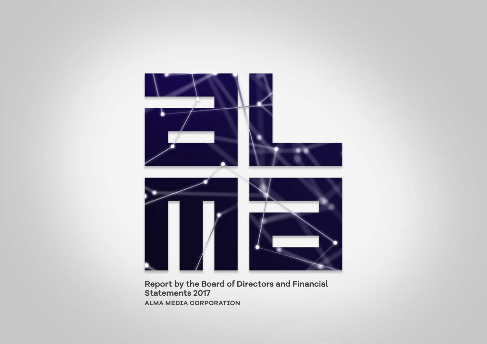

**Report by the Board of Directors and Financial Statements 2017 ALMA MEDIA CORPORATION**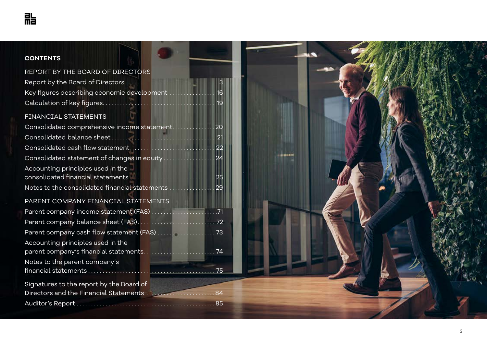| <b>CONTENTS</b>                                   |  |
|---------------------------------------------------|--|
| REPORT BY THE BOARD OF DIRECTORS                  |  |
|                                                   |  |
| Key figures describing economic development  16   |  |
|                                                   |  |
| FINANCIAL STATEMENTS                              |  |
| Consolidated comprehensive income statement20     |  |
|                                                   |  |
|                                                   |  |
| Consolidated statement of changes in equity  24   |  |
| Accounting principles used in the                 |  |
|                                                   |  |
| Notes to the consolidated financial statements 29 |  |
| PARENT COMPANY FINANCIAL STATEMENTS               |  |
|                                                   |  |
|                                                   |  |
|                                                   |  |
| Accounting principles used in the                 |  |
|                                                   |  |
| Notes to the parent company's                     |  |
|                                                   |  |
| Signatures to the report by the Board of          |  |
| Directors and the Financial Statements 84         |  |
|                                                   |  |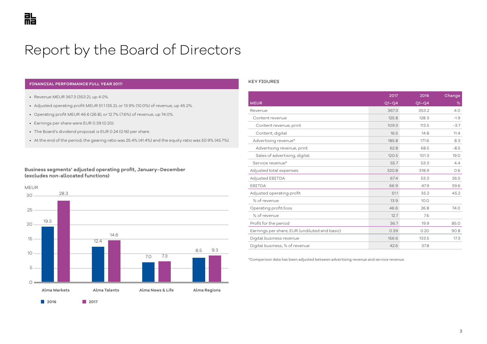# <span id="page-2-0"></span>Report by the Board of Directors

#### **FINANCIAL PERFORMANCE FULL YEAR 2017:**

- Revenue MEUR 367.3 (353.2), up 4.0%.
- Adjusted operating profit MEUR 51.1 (35.2), or 13.9% (10.0%) of revenue, up 45.2%.
- Operating profit MEUR 46.6 (26.8), or 12.7% (7.6%) of revenue, up 74.0%.
- Earnings per share were EUR 0.39 (0.20).
- The Board's dividend proposal is EUR 0.24 (0.16) per share.
- At the end of the period, the gearing ratio was 25.4% (41.4%) and the equity ratio was 50.9% (45.7%).

#### **Business segments' adjusted operating profit, January–December (excludes non-allocated functions)**



#### KEY FIGURES

|                                               | 2017    | 2016    | Change |
|-----------------------------------------------|---------|---------|--------|
| <b>MEUR</b>                                   | $Q1-Q4$ | $Q1-Q4$ | %      |
| Revenue                                       | 367.3   | 353.2   | 4.0    |
| Content revenue                               | 125.8   | 128.3   | $-1.9$ |
| Content revenue, print                        | 109.3   | 113.5   | $-3.7$ |
| Content, digital                              | 16.5    | 14.8    | 11.4   |
| Advertising revenue*                          | 185.8   | 171.6   | 8.3    |
| Advertising revenue, print                    | 62.8    | 68.5    | $-8.5$ |
| Sales of advertising, digital                 | 120.5   | 101.3   | 19.0   |
| Service revenue*                              | 55.7    | 53.3    | 4.4    |
| Adjusted total expenses                       | 320.8   | 318.9   | 0.6    |
| Adjusted EBITDA                               | 67.4    | 53.3    | 26.5   |
| EBITDA                                        | 66.9    | 47.9    | 39.6   |
| Adjusted operating profit                     | 51.1    | 35.2    | 45.2   |
| % of revenue                                  | 13.9    | 10.0    |        |
| Operating profit/loss                         | 46.6    | 26.8    | 74.0   |
| % of revenue                                  | 12.7    | 7.6     |        |
| Profit for the period                         | 36.7    | 19.9    | 85.0   |
| Earnings per share, EUR (undiluted and basic) | 0.39    | 0.20    | 90.8   |
| Digital business revenue                      | 156.6   | 133.5   | 17.3   |
| Digital business, % of revenue                | 42.6    | 37.8    |        |

\*Comparison data has been adjusted between advertising revenue and service revenue.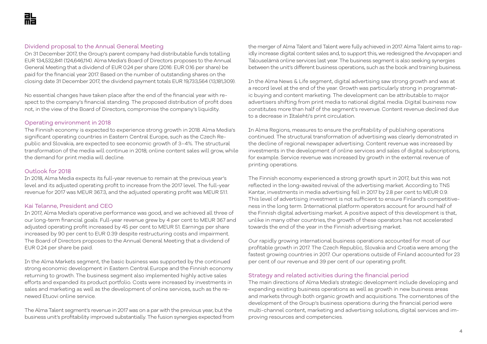# Dividend proposal to the Annual General Meeting

On 31 December 2017, the Group's parent company had distributable funds totalling EUR 134,532,841 (124,646,114). Alma Media's Board of Directors proposes to the Annual General Meeting that a dividend of EUR 0.24 per share (2016: EUR 0.16 per share) be paid for the financial year 2017. Based on the number of outstanding shares on the closing date 31 December 2017, the dividend payment totals EUR 19,733,564 (13,181,309).

No essential changes have taken place after the end of the financial year with respect to the company's financial standing. The proposed distribution of profit does not, in the view of the Board of Directors, compromise the company's liquidity.

# Operating environment in 2018

The Finnish economy is expected to experience strong growth in 2018. Alma Media's significant operating countries in Eastern Central Europe, such as the Czech Republic and Slovakia, are expected to see economic growth of 3–4%. The structural transformation of the media will continue in 2018; online content sales will grow, while the demand for print media will decline.

# Outlook for 2018

In 2018, Alma Media expects its full-year revenue to remain at the previous year's level and its adjusted operating profit to increase from the 2017 level. The full-year revenue for 2017 was MEUR 367.3, and the adjusted operating profit was MEUR 51.1.

# Kai Telanne, President and CEO

In 2017, Alma Media's operative performance was good, and we achieved all three of our long-term financial goals. Full-year revenue grew by 4 per cent to MEUR 367 and adjusted operating profit increased by 45 per cent to MEUR 51. Earnings per share increased by 90 per cent to EUR 0.39 despite restructuring costs and impairment. The Board of Directors proposes to the Annual General Meeting that a dividend of EUR 0.24 per share be paid.

In the Alma Markets segment, the basic business was supported by the continued strong economic development in Eastern Central Europe and the Finnish economy returning to growth. The business segment also implemented highly active sales efforts and expanded its product portfolio. Costs were increased by investments in sales and marketing as well as the development of online services, such as the renewed Etuovi online service.

The Alma Talent segment's revenue in 2017 was on a par with the previous year, but the business unit's profitability improved substantially. The fusion synergies expected from the merger of Alma Talent and Talent were fully achieved in 2017. Alma Talent aims to rapidly increase digital content sales and, to support this, we redesigned the Arvopaperi and Talouselämä online services last year. The business segment is also seeking synergies between the unit's different business operations, such as the book and training business.

In the Alma News & Life segment, digital advertising saw strong growth and was at a record level at the end of the year. Growth was particularly strong in programmatic buying and content marketing. The development can be attributable to major advertisers shifting from print media to national digital media. Digital business now constitutes more than half of the segment's revenue. Content revenue declined due to a decrease in Iltalehti's print circulation.

In Alma Regions, measures to ensure the profitability of publishing operations continued. The structural transformation of advertising was clearly demonstrated in the decline of regional newspaper advertising. Content revenue was increased by investments in the development of online services and sales of digital subscriptions, for example. Service revenue was increased by growth in the external revenue of printing operations.

The Finnish economy experienced a strong growth spurt in 2017, but this was not reflected in the long-awaited revival of the advertising market. According to TNS Kantar, investments in media advertising fell in 2017 by 2.8 per cent to MEUR 0.9. This level of advertising investment is not sufficient to ensure Finland's competitiveness in the long term. International platform operators account for around half of the Finnish digital advertising market. A positive aspect of this development is that, unlike in many other countries, the growth of these operators has not accelerated towards the end of the year in the Finnish advertising market.

Our rapidly growing international business operations accounted for most of our profitable growth in 2017. The Czech Republic, Slovakia and Croatia were among the fastest growing countries in 2017. Our operations outside of Finland accounted for 23 per cent of our revenue and 39 per cent of our operating profit.

### Strategy and related activities during the financial period

The main directions of Alma Media's strategic development include developing and expanding existing business operations as well as growth in new business areas and markets through both organic growth and acquisitions. The cornerstones of the development of the Group's business operations during the financial period were multi-channel content, marketing and advertising solutions, digital services and improving resources and competencies.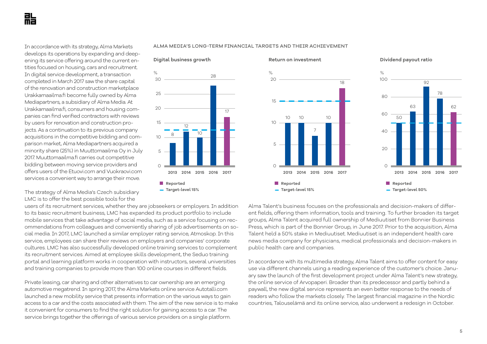In accordance with its strategy, Alma Markets develops its operations by expanding and deepening its service offering around the current entities focused on housing, cars and recruitment. In digital service development, a transaction completed in March 2017 saw the share capital of the renovation and construction marketplace Urakkamaailma.fi become fully owned by Alma Mediapartners, a subsidiary of Alma Media. At Urakkamaailma.fi, consumers and housing companies can find verified contractors with reviews by users for renovation and construction projects. As a continuation to its previous company acquisitions in the competitive bidding and comparison market, Alma Mediapartners acquired a minority share (25%) in Muuttomaailma Oy in July 2017. Muuttomaailma.fi carries out competitive bidding between moving service providers and offers users of the Etuovi.com and Vuokraovi.com services a convenient way to arrange their move.

ALMA MEDIA'S LONG-TERM FINANCIAL TARGETS AND THEIR ACHIEVEMENT





The strategy of Alma Media's Czech subsidiary LMC is to offer the best possible tools for the

users of its recruitment services, whether they are jobseekers or employers. In addition to its basic recruitment business, LMC has expanded its product portfolio to include mobile services that take advantage of social media, such as a service focusing on recommendations from colleagues and conveniently sharing of job advertisements on social media. In 2017, LMC launched a similar employer rating service, Atmoskop. In this service, employees can share their reviews on employers and companies' corporate cultures. LMC has also successfully developed online training services to complement its recruitment services. Aimed at employee skills development, the Seduo training portal and learning platform works in cooperation with instructors, several universities and training companies to provide more than 100 online courses in different fields.

Private leasing, car sharing and other alternatives to car ownership are an emerging automotive megatrend. In spring 2017, the Alma Markets online service Autotalli.com launched a new mobility service that presents information on the various ways to gain access to a car and the costs associated with them. The aim of the new service is to make it convenient for consumers to find the right solution for gaining access to a car. The service brings together the offerings of various service providers on a single platform.

Alma Talent's business focuses on the professionals and decision-makers of different fields, offering them information, tools and training. To further broaden its target groups, Alma Talent acquired full ownership of Mediuutiset from Bonnier Business Press, which is part of the Bonnier Group, in June 2017. Prior to the acquisition, Alma Talent held a 50% stake in Mediuutiset. Mediuutiset is an independent health care news media company for physicians, medical professionals and decision-makers in public health care and companies.

In accordance with its multimedia strategy, Alma Talent aims to offer content for easy use via different channels using a reading experience of the customer's choice. January saw the launch of the first development project under Alma Talent's new strategy, the online service of Arvopaperi. Broader than its predecessor and partly behind a paywall, the new digital service represents an even better response to the needs of readers who follow the markets closely. The largest financial magazine in the Nordic countries, Talouselämä and its online service, also underwent a redesign in October.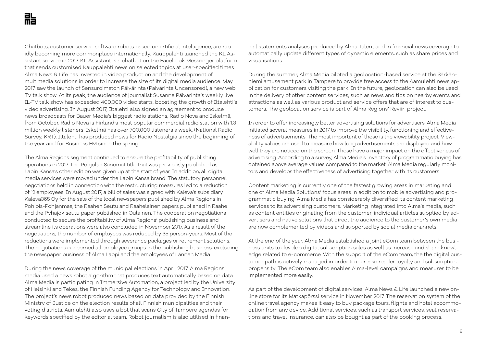Chatbots, customer service software robots based on artificial intelligence, are rapidly becoming more commonplace internationally. Kauppalehti launched the KL Assistant service in 2017. KL Assistant is a chatbot on the Facebook Messenger platform that sends customised Kauppalehti news on selected topics at user-specified times. Alma News & Life has invested in video production and the development of multimedia solutions in order to increase the size of its digital media audience. May 2017 saw the launch of Sensuroimaton Päivärinta (Päivärinta Uncensored), a new web TV talk show. At its peak, the audience of journalist Susanne Päivärinta's weekly live IL-TV talk show has exceeded 400,000 video starts, boosting the growth of Iltalehti's video advertising. In August 2017, Iltalehti also signed an agreement to produce news broadcasts for Bauer Media's biggest radio stations, Radio Nova and Iskelmä, from October. Radio Nova is Finland's most popular commercial radio station with 1.3 million weekly listeners. Iskelmä has over 700,000 listeners a week. (National Radio Survey, KRT). Iltalehti has produced news for Radio Nostalgia since the beginning of the year and for Business FM since the spring.

The Alma Regions segment continued to ensure the profitability of publishing operations in 2017. The Pohjolan Sanomat title that was previously published as Lapin Kansa's other edition was given up at the start of year. In addition, all digital media services were moved under the Lapin Kansa brand. The statutory personnel negotiations held in connection with the restructuring measures led to a reduction of 12 employees. In August 2017, a bill of sales was signed with Kaleva's subsidiary Kaleva365 Oy for the sale of the local newspapers published by Alma Regions in Pohjois-Pohjanmaa, the Raahen Seutu and Raahelainen papers published in Raahe and the Pyhäjokiseutu paper published in Oulainen. The cooperation negotiations conducted to secure the profitability of Alma Regions' publishing business and streamline its operations were also concluded in November 2017. As a result of the negotiations, the number of employees was reduced by 35 person-years. Most of the reductions were implemented through severance packages or retirement solutions. The negotiations concerned all employee groups in the publishing business, excluding the newspaper business of Alma Lappi and the employees of Lännen Media.

During the news coverage of the municipal elections in April 2017, Alma Regions' media used a news robot algorithm that produces text automatically based on data. Alma Media is participating in Immersive Automation, a project led by the University of Helsinki and Tekes, the Finnish Funding Agency for Technology and Innovation. The project's news robot produced news based on data provided by the Finnish Ministry of Justice on the election results of all Finnish municipalities and their voting districts. Aamulehti also uses a bot that scans City of Tampere agendas for keywords specified by the editorial team. Robot journalism is also utilised in financial statements analyses produced by Alma Talent and in financial news coverage to automatically update different types of dynamic elements, such as share prices and visualisations.

During the summer, Alma Media piloted a geolocation-based service at the Särkänniemi amusement park in Tampere to provide free access to the Aamulehti news application for customers visiting the park. In the future, geolocation can also be used in the delivery of other content services, such as news and tips on nearby events and attractions as well as various product and service offers that are of interest to customers. The geolocation service is part of Alma Regions' Reviiri project.

In order to offer increasingly better advertising solutions for advertisers, Alma Media initiated several measures in 2017 to improve the visibility, functioning and effectiveness of advertisements. The most important of these is the viewability project. Viewability values are used to measure how long advertisements are displayed and how well they are noticed on the screen. These have a major impact on the effectiveness of advertising. According to a survey, Alma Media's inventory of programmatic buying has obtained above average values compared to the market. Alma Media regularly monitors and develops the effectiveness of advertising together with its customers.

Content marketing is currently one of the fastest growing areas in marketing and one of Alma Media Solutions' focus areas in addition to mobile advertising and programmatic buying. Alma Media has considerably diversified its content marketing services to its advertising customers. Marketing integrated into Alma's media, such as content entities originating from the customer, individual articles supplied by advertisers and native solutions that direct the audience to the customer's own media are now complemented by videos and supported by social media channels.

At the end of the year, Alma Media established a joint eCom team between the business units to develop digital subscription sales as well as increase and share knowledge related to e-commerce. With the support of the eCom team, the the digital customer path is actively managed in order to increase reader loyalty and subscription propensity. The eCom team also enables Alma-level campaigns and measures to be implemented more easily.

As part of the development of digital services, Alma News & Life launched a new online store for its Matkapörssi service in November 2017. The reservation system of the online travel agency makes it easy to buy package tours, flights and hotel accommodation from any device. Additional services, such as transport services, seat reservations and travel insurance, can also be bought as part of the booking process.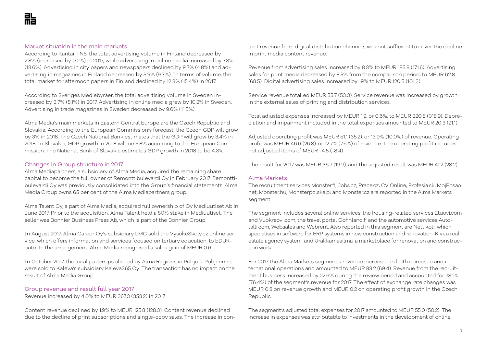#### Market situation in the main markets

According to Kantar TNS, the total advertising volume in Finland decreased by 2.8% (increased by 0.2%) in 2017, while advertising in online media increased by 7.3% (13.6%). Advertising in city papers and newspapers declined by 9.7% (4.8%) and advertising in magazines in Finland decreased by 5.9% (9.7%). In terms of volume, the total market for afternoon papers in Finland declined by 12.3% (15.4%) in 2017.

According to Sveriges Mediebyråer, the total advertising volume in Sweden increased by 3.7% (5.1%) in 2017. Advertising in online media grew by 10.2% in Sweden. Advertising in trade magazines in Sweden decreased by 9.6% (11.5%).

Alma Media's main markets in Eastern Central Europe are the Czech Republic and Slovakia. According to the European Commission's forecast, the Czech GDP will grow by 3% in 2018. The Czech National Bank estimates that the GDP will grow by 3.4% in 2018. In Slovakia, GDP growth in 2018 will be 3.8% according to the European Commission. The National Bank of Slovakia estimates GDP growth in 2018 to be 4.3%.

### Changes in Group structure in 2017

Alma Mediapartners, a subsidiary of Alma Media, acquired the remaining share capital to become the full owner of Remonttibulevardi Oy in February 2017. Remonttibulevardi Oy was previously consolidated into the Group's financial statements. Alma Media Group owns 65 per cent of the Alma Mediapartners group.

Alma Talent Oy, a part of Alma Media, acquired full ownership of Oy Mediuutiset Ab in June 2017. Prior to the acquisition, Alma Talent held a 50% stake in Mediuutiset. The seller was Bonnier Business Press Ab, which is part of the Bonnier Group.

In August 2017, Alma Career Oy's subsidiary LMC sold the VysokeSkoly.cz online service, which offers information and services focused on tertiary education, to EDURoute. In the arrangement, Alma Media recognised a sales gain of MEUR 0.6.

In October 2017, the local papers published by Alma Regions in Pohjois-Pohjanmaa were sold to Kaleva's subsidiary Kaleva365 Oy. The transaction has no impact on the result of Alma Media Group.

#### Group revenue and result full year 2017

Revenue increased by 4.0% to MEUR 367.3 (353.2) in 2017.

Content revenue declined by 1.9% to MEUR 125.8 (128.3). Content revenue declined due to the decline of print subscriptions and single-copy sales. The increase in content revenue from digital distribution channels was not sufficient to cover the decline in print media content revenue.

Revenue from advertising sales increased by 8.3% to MEUR 185.8 (171.6). Advertising sales for print media decreased by 8.5% from the comparison period, to MEUR 62.8 (68.5). Digital advertising sales increased by 19% to MEUR 120.5 (101.3).

Service revenue totalled MEUR 55.7 (53.3). Service revenue was increased by growth in the external sales of printing and distribution services.

Total adjusted expenses increased by MEUR 1.9, or 0.6%, to MEUR 320.8 (318.9). Depreciation and impairment included in the total expenses amounted to MEUR 20.3 (21.1).

Adjusted operating profit was MEUR 51.1 (35.2), or 13.9% (10.0%) of revenue. Operating profit was MEUR 46.6 (26.8), or 12.7% (7.6%) of revenue. The operating profit includes net adjusted items of MEUR -4.5 (-8.4).

The result for 2017 was MEUR 36.7 (19.9), and the adjusted result was MEUR 41.2 (28.2).

# Alma Markets

The recruitment services Monster.fi, Jobs.cz, Prace.cz, CV Online, Profesia.sk, MojPosao. net, Monster.hu, Monsterpolska.pl and Monster.cz are reported in the Alma Markets segment.

The segment includes several online services: the housing-related services Etuovi.com and Vuokraovi.com, the travel portal Gofinland.fi and the automotive services Autotalli.com, Websales and Webrent. Also reported in this segment are Nettikoti, which specialises in software for ERP systems in new construction and renovation, Kivi, a real estate agency system, and Urakkamaailma, a marketplace for renovation and construction work.

For 2017 the Alma Markets segment's revenue increased in both domestic and international operations and amounted to MEUR 83.2 (69.4). Revenue from the recruitment business increased by 22.6% during the review period and accounted for 78.1% (76.4%) of the segment's revenue for 2017. The effect of exchange rate changes was MEUR 0.8 on revenue growth and MEUR 0.2 on operating profit growth in the Czech Republic.

The segment's adjusted total expenses for 2017 amounted to MEUR 55.0 (50.2). The increase in expenses was attributable to investments in the development of online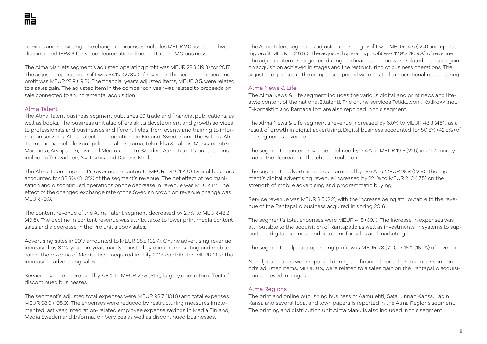services and marketing. The change in expenses includes MEUR 2.0 associated with discontinued IFRS 3 fair value depreciation allocated to the LMC business.

The Alma Markets segment's adjusted operating profit was MEUR 28.3 (19.3) for 2017. The adjusted operating profit was 34.1% (27.8%) of revenue. The segment's operating profit was MEUR 28.9 (19.3). The financial year's adjusted items, MEUR 0.5, were related to a sales gain. The adjusted item in the comparison year was related to proceeds on sale connected to an incremental acquisition.

### Alma Talent

The Alma Talent business segment publishes 20 trade and financial publications, as well as books. The business unit also offers skills development and growth services to professionals and businesses in different fields, from events and training to information services. Alma Talent has operations in Finland, Sweden and the Baltics. Alma Talent media include Kauppalehti, Talouselämä, Tekniikka & Talous, Markkinointi&- Mainonta, Arvopaperi, Tivi and Mediuutiset. In Sweden, Alma Talent's publications include Affärsvärlden, Ny Teknik and Dagens Media.

The Alma Talent segment's revenue amounted to MEUR 113.2 (114.0). Digital business accounted for 33.8% (31.3%) of the segment's revenue. The net effect of reorganisation and discontinued operations on the decrease in revenue was MEUR 1.2. The effect of the changed exchange rate of the Swedish crown on revenue change was MEUR -0.3.

The content revenue of the Alma Talent segment decreased by 2.7% to MEUR 48.2 (49.6). The decline in content revenue was attributable to lower print media content sales and a decrease in the Pro unit's book sales.

Advertising sales in 2017 amounted to MEUR 35.5 (32.7). Online advertising revenue increased by 8.2% year-on-year, mainly boosted by content marketing and mobile sales. The revenue of Mediuutiset, acquired in July 2017, contributed MEUR 1.1 to the increase in advertising sales.

Service revenue decreased by 6.8% to MEUR 29.5 (31.7), largely due to the effect of discontinued businesses.

The segment's adjusted total expenses were MEUR 98.7 (101.8) and total expenses MEUR 98.9 (105.9). The expenses were reduced by restructuring measures implemented last year, integration-related employee expense savings in Media Finland, Media Sweden and Information Services as well as discontinued businesses.

The Alma Talent segment's adjusted operating profit was MEUR 14.6 (12.4) and operating profit MEUR 15.2 (8.8). The adjusted operating profit was 12.9% (10.9%) of revenue. The adjusted items recognised during the financial period were related to a sales gain on acquisition achieved in stages and the restructuring of business operations. The adjusted expenses in the comparison period were related to operational restructuring.

#### Alma News & Life

The Alma News & Life segment includes the various digital and print news and lifestyle content of the national Iltalehti. The online services Telkku.com, Kotikokki.net, E-kontakti.fi and Rantapallo.fi are also reported in this segment.

The Alma News & Life segment's revenue increased by 6.0% to MEUR 48.8 (46.1) as a result of growth in digital advertising. Digital business accounted for 50.8% (42.5%) of the segment's revenue.

The segment's content revenue declined by 9.4% to MEUR 19.5 (21.6) in 2017, mainly due to the decrease in Iltalehti's circulation.

The segment's advertising sales increased by 15.6% to MEUR 25.8 (22.3). The segment's digital advertising revenue increased by 22.1% to MEUR 21.3 (17.5) on the strength of mobile advertising and programmatic buying.

Service revenue was MEUR 3.5 (2.2), with the increase being attributable to the revenue of the Rantapallo business acquired in spring 2016.

The segment's total expenses were MEUR 41.5 (39.1). The increase in expenses was attributable to the acquisition of Rantapallo as well as investments in systems to support the digital business and solutions for sales and marketing.

The segment's adjusted operating profit was MEUR 7.3 (7.0), or 15% (15.1%) of revenue.

No adjusted items were reported during the financial period. The comparison period's adjusted items, MEUR 0.9, were related to a sales gain on the Rantapallo acquisition achieved in stages.

#### Alma Regions

The print and online publishing business of Aamulehti, Satakunnan Kansa, Lapin Kansa and several local and town papers is reported in the Alma Regions segment. The printing and distribution unit Alma Manu is also included in this segment.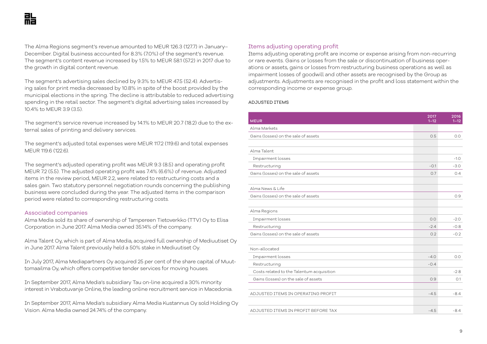The Alma Regions segment's revenue amounted to MEUR 126.3 (127.7) in January– December. Digital business accounted for 8.3% (7.0%) of the segment's revenue. The segment's content revenue increased by 1.5% to MEUR 58.1 (57.2) in 2017 due to the growth in digital content revenue.

The segment's advertising sales declined by 9.3% to MEUR 47.5 (52.4). Advertising sales for print media decreased by 10.8% in spite of the boost provided by the municipal elections in the spring. The decline is attributable to reduced advertising spending in the retail sector. The segment's digital advertising sales increased by 10.4% to MEUR 3.9 (3.5).

The segment's service revenue increased by 14.1% to MEUR 20.7 (18.2) due to the external sales of printing and delivery services.

The segment's adjusted total expenses were MEUR 117.2 (119.6) and total expenses MEUR 119.6 (122.6).

The segment's adjusted operating profit was MEUR 9.3 (8.5) and operating profit MEUR 7.2 (5.5). The adjusted operating profit was 7.4% (6.6%) of revenue. Adjusted items in the review period, MEUR 2.2, were related to restructuring costs and a sales gain. Two statutory personnel negotiation rounds concerning the publishing business were concluded during the year. The adjusted items in the comparison period were related to corresponding restructuring costs.

#### Associated companies

Alma Media sold its share of ownership of Tampereen Tietoverkko (TTV) Oy to Elisa Corporation in June 2017. Alma Media owned 35.14% of the company.

Alma Talent Oy, which is part of Alma Media, acquired full ownership of Mediuutiset Oy in June 2017. Alma Talent previously held a 50% stake in Mediuutiset Oy.

In July 2017, Alma Mediapartners Oy acquired 25 per cent of the share capital of Muuttomaailma Oy, which offers competitive tender services for moving houses.

In September 2017, Alma Media's subsidiary Tau on-line acquired a 30% minority interest in Vrabotuvanje Online, the leading online recruitment service in Macedonia.

In September 2017, Alma Media's subsidiary Alma Media Kustannus Oy sold Holding Oy Vision. Alma Media owned 24.74% of the company.

# Items adjusting operating profit

Items adjusting operating profit are income or expense arising from non-recurring or rare events. Gains or losses from the sale or discontinuation of business operations or assets, gains or losses from restructuring business operations as well as impairment losses of goodwill and other assets are recognised by the Group as adjustments. Adjustments are recognised in the profit and loss statement within the corresponding income or expense group.

#### ADJUSTED ITEMS

| <b>MEUR</b>                               | 2017<br>$1 - 12$ | 2016<br>$1 - 12$ |
|-------------------------------------------|------------------|------------------|
| Alma Markets                              |                  |                  |
| Gains (losses) on the sale of assets      | 0.5              | 0.0              |
|                                           |                  |                  |
| Alma Talent                               |                  |                  |
| Impairment losses                         |                  | $-1.0$           |
| Restructuring                             | $-0.1$           | $-3.0$           |
| Gains (losses) on the sale of assets      | 0.7              | 0.4              |
|                                           |                  |                  |
| Alma News & Life                          |                  |                  |
| Gains (losses) on the sale of assets      |                  | 0.9              |
|                                           |                  |                  |
| Alma Regions                              |                  |                  |
| Impairment losses                         | 0.0              | $-2.0$           |
| Restructuring                             | $-2.4$           | $-0.8$           |
| Gains (losses) on the sale of assets      | 0.2              | $-0.2$           |
|                                           |                  |                  |
| Non-allocated                             |                  |                  |
| Impairment losses                         | $-4.0$           | 0.0              |
| Restructuring                             | $-0.4$           |                  |
| Costs related to the Talentum acquisition |                  | $-2.8$           |
| Gains (losses) on the sale of assets      | 0.9              | O.1              |
|                                           |                  |                  |
| ADJUSTED ITEMS IN OPERATING PROFIT        | $-4.5$           | $-8.4$           |
|                                           |                  |                  |
| ADJUSTED ITEMS IN PROFIT BEFORE TAX       | $-4.5$           | $-8.4$           |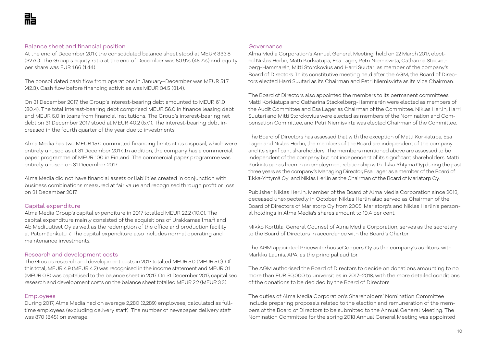# Balance sheet and financial position

At the end of December 2017, the consolidated balance sheet stood at MEUR 333.8 (327.0). The Group's equity ratio at the end of December was 50.9% (45.7%) and equity per share was EUR 1.66 (1.44).

The consolidated cash flow from operations in January–December was MEUR 51.7 (42.3). Cash flow before financing activities was MEUR 34.5 (31.4).

On 31 December 2017, the Group's interest-bearing debt amounted to MEUR 61.0 (80.4). The total interest-bearing debt comprised MEUR 56.0 in finance leasing debt and MEUR 5.0 in loans from financial institutions. The Group's interest-bearing net debt on 31 December 2017 stood at MEUR 40.2 (57.1). The interest-bearing debt increased in the fourth quarter of the year due to investments.

Alma Media has two MEUR 15.0 committed financing limits at its disposal, which were entirely unused as at 31 December 2017. In addition, the company has a commercial paper programme of MEUR 100 in Finland. The commercial paper programme was entirely unused on 31 December 2017.

Alma Media did not have financial assets or liabilities created in conjunction with business combinations measured at fair value and recognised through profit or loss on 31 December 2017.

# Capital expenditure

Alma Media Group's capital expenditure in 2017 totalled MEUR 22.2 (10.0). The capital expenditure mainly consisted of the acquisitions of Urakkamaailma.fi and Ab Mediuutiset Oy as well as the redemption of the office and production facility at Patamäenkatu 7. The capital expenditure also includes normal operating and maintenance investments.

### Research and development costs

The Group's research and development costs in 2017 totalled MEUR 5.0 (MEUR 5.0). Of this total, MEUR 4.9 (MEUR 4.2) was recognised in the income statement and MEUR 0.1 (MEUR 0.8) was capitalised to the balance sheet in 2017. On 31 December 2017, capitalised research and development costs on the balance sheet totalled MEUR 2.2 (MEUR 3.3).

### Employees

During 2017, Alma Media had on average 2,280 (2,289) employees, calculated as fulltime employees (excluding delivery staff). The number of newspaper delivery staff was 870 (845) on average.

#### Governance

Alma Media Corporation's Annual General Meeting, held on 22 March 2017, elected Niklas Herlin, Matti Korkiatupa, Esa Lager, Petri Niemisvirta, Catharina Stackelberg-Hammarén, Mitti Storckovius and Harri Suutari as member of the company's Board of Directors. In its constitutive meeting held after the AGM, the Board of Directors elected Harri Suutari as its Chairman and Petri Niemisvirta as its Vice Chairman.

The Board of Directors also appointed the members to its permanent committees. Matti Korkiatupa and Catharina Stackelberg-Hammarén were elected as members of the Audit Committee and Esa Lager as Chairman of the Committee. Niklas Herlin, Harri Suutari and Mitti Storckovius were elected as members of the Nomination and Compensation Committee, and Petri Niemisvirta was elected Chairman of the Committee.

The Board of Directors has assessed that with the exception of Matti Korkiatupa, Esa Lager and Niklas Herlin, the members of the Board are independent of the company and its significant shareholders. The members mentioned above are assessed to be independent of the company but not independent of its significant shareholders. Matti Korkiatupa has been in an employment relationship with Ilkka-Yhtymä Oyj during the past three years as the company's Managing Director, Esa Lager as a member of the Board of Ilkka-Yhtymä Oyj and Niklas Herlin as the Chairman of the Board of Mariatorp Oy.

Publisher Niklas Herlin, Member of the Board of Alma Media Corporation since 2013, deceased unexpectedly in October. Niklas Herlin also served as Chairman of the Board of Directors of Mariatorp Oy from 2005. Mariatorp's and Niklas Herlin's personal holdings in Alma Media's shares amount to 19.4 per cent.

Mikko Korttila, General Counsel of Alma Media Corporation, serves as the secretary to the Board of Directors in accordance with the Board's Charter.

The AGM appointed PricewaterhouseCoopers Oy as the company's auditors, with Markku Launis, APA, as the principal auditor.

The AGM authorised the Board of Directors to decide on donations amounting to no more than EUR 50,000 to universities in 2017–2018, with the more detailed conditions of the donations to be decided by the Board of Directors.

The duties of Alma Media Corporation's Shareholders' Nomination Committee include preparing proposals related to the election and remuneration of the members of the Board of Directors to be submitted to the Annual General Meeting. The Nomination Committee for the spring 2018 Annual General Meeting was appointed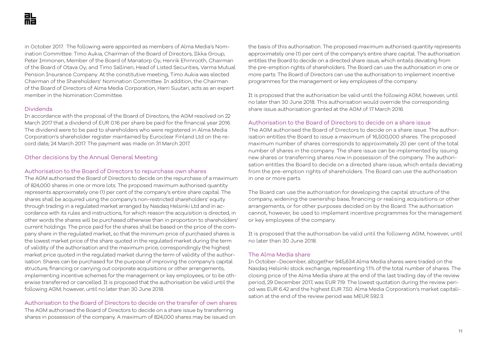in October 2017. The following were appointed as members of Alma Media's Nomination Committee: Timo Aukia, Chairman of the Board of Directors, Ilkka Group; Peter Immonen, Member of the Board of Mariatorp Oy; Henrik Ehrnrooth, Chairman of the Board of Otava Oy; and Timo Sallinen, Head of Listed Securities, Varma Mutual Pension Insurance Company. At the constitutive meeting, Timo Aukia was elected Chairman of the Shareholders' Nomination Committee. In addition, the Chairman of the Board of Directors of Alma Media Corporation, Harri Suutari, acts as an expert member in the Nomination Committee.

#### Dividends

In accordance with the proposal of the Board of Directors, the AGM resolved on 22 March 2017 that a dividend of EUR 0.16 per share be paid for the financial year 2016. The dividend were to be paid to shareholders who were registered in Alma Media Corporation's shareholder register maintained by Euroclear Finland Ltd on the record date, 24 March 2017. The payment was made on 31 March 2017.

# Other decisions by the Annual General Meeting

#### Authorisation to the Board of Directors to repurchase own shares

The AGM authorised the Board of Directors to decide on the repurchase of a maximum of 824,000 shares in one or more lots. The proposed maximum authorised quantity represents approximately one (1) per cent of the company's entire share capital. The shares shall be acquired using the company's non-restricted shareholders' equity through trading in a regulated market arranged by Nasdaq Helsinki Ltd and in accordance with its rules and instructions, for which reason the acquisition is directed, in other words the shares will be purchased otherwise than in proportion to shareholders' current holdings. The price paid for the shares shall be based on the price of the company share in the regulated market, so that the minimum price of purchased shares is the lowest market price of the share quoted in the regulated market during the term of validity of the authorisation and the maximum price, correspondingly the highest market price quoted in the regulated market during the term of validity of the authorisation. Shares can be purchased for the purpose of improving the company's capital structure, financing or carrying out corporate acquisitions or other arrangements, implementing incentive schemes for the management or key employees, or to be otherwise transferred or cancelled. It is proposed that the authorisation be valid until the following AGM; however, until no later than 30 June 2018.

# Authorisation to the Board of Directors to decide on the transfer of own shares

The AGM authorised the Board of Directors to decide on a share issue by transferring shares in possession of the company. A maximum of 824,000 shares may be issued on

the basis of this authorisation. The proposed maximum authorised quantity represents approximately one (1) per cent of the company's entire share capital. The authorisation entitles the Board to decide on a directed share issue, which entails deviating from the pre-emption rights of shareholders. The Board can use the authorisation in one or more parts. The Board of Directors can use the authorisation to implement incentive programmes for the management or key employees of the company.

It is proposed that the authorisation be valid until the following AGM; however, until no later than 30 June 2018. This authorisation would override the corresponding share issue authorisation granted at the AGM of 17 March 2016.

#### Authorisation to the Board of Directors to decide on a share issue

The AGM authorised the Board of Directors to decide on a share issue. The authorisation entitles the Board to issue a maximum of 16,500,000 shares. The proposed maximum number of shares corresponds to approximately 20 per cent of the total number of shares in the company. The share issue can be implemented by issuing new shares or transferring shares now in possession of the company. The authorisation entitles the Board to decide on a directed share issue, which entails deviating from the pre-emption rights of shareholders. The Board can use the authorisation in one or more parts.

The Board can use the authorisation for developing the capital structure of the company, widening the ownership base, financing or realising acquisitions or other arrangements, or for other purposes decided on by the Board. The authorisation cannot, however, be used to implement incentive programmes for the management or key employees of the company.

It is proposed that the authorisation be valid until the following AGM; however, until no later than 30 June 2018.

#### The Alma Media share

In October–December, altogether 945,634 Alma Media shares were traded on the Nasdaq Helsinki stock exchange, representing 1.1% of the total number of shares. The closing price of the Alma Media share at the end of the last trading day of the review period, 29 December 2017, was EUR 7.19. The lowest quotation during the review period was EUR 6.42 and the highest EUR 7.50. Alma Media Corporation's market capitalisation at the end of the review period was MEUR 592.3.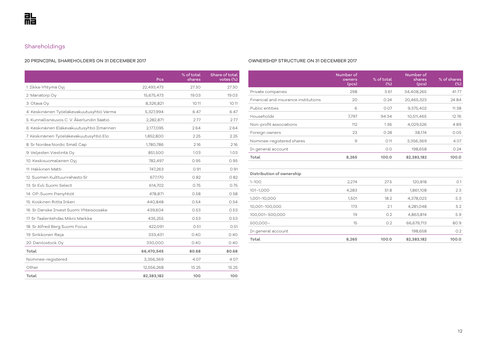# Shareholdings

#### 20 PRINCIPAL SHAREHOLDERS ON 31 DECEMBER 2017

|                                             | Pcs        | % of total<br>shares | Share of total<br>votes (%) |
|---------------------------------------------|------------|----------------------|-----------------------------|
| 1. Ilkka-Yhtymä Oyj                         | 22,493,473 | 27.30                | 27.30                       |
| 2. Mariatorp Oy                             | 15,675,473 | 19.03                | 19.03                       |
| 3. Otava Oy                                 | 8,326,821  | 10.11                | 10.11                       |
| 4. Keskinäinen Työeläkevakuutusyhtiö Varma  | 5,327,994  | 6.47                 | 6.47                        |
| 5. Kunnallisneuvos C. V. Åkerlundin Säätiö  | 2,282,871  | 2.77                 | 2.77                        |
| 6. Keskinäinen Eläkevakuutusyhtiö Ilmarinen | 2,177,095  | 2.64                 | 2.64                        |
| 7. Keskinäinen Työeläkevakuutusyhtiö Elo    | 1,852,800  | 2.25                 | 2.25                        |
| 8. Sr Nordea Nordic Small Cap               | 1,780,786  | 2.16                 | 2.16                        |
| 9. Veljesten Viestintä Oy                   | 851,500    | 1.03                 | 1.03                        |
| 10. Keskisuomalainen Oyj                    | 782,497    | 0.95                 | 0.95                        |
| 11. Häkkinen Matti                          | 747,263    | 0.91                 | 0.91                        |
| 12. Suomen Kulttuurirahasto Sr              | 677,170    | 0.82                 | 0.82                        |
| 13. Sr Evli Suomi Select                    | 614,702    | 0.75                 | 0.75                        |
| 14. OP-Suomi Pienyhtiöt                     | 478,871    | 0.58                 | 0.58                        |
| 15. Koskinen Riitta Inkeri                  | 440,848    | 0.54                 | 0.54                        |
| 16. Sr Danske Invest Suomi Yhteisöosake     | 439,604    | 0.53                 | 0.53                        |
| 17. Sr Taaleritehdas Mikro Markka           | 435,255    | 0.53                 | 0.53                        |
| 18. Sr Alfred Berg Suomi Focus              | 422,091    | 0.51                 | 0.51                        |
| 19. Sinkkonen Raija                         | 333,431    | 0.40                 | 0.40                        |
| 20. Danilostock Oy                          | 330,000    | 0.40                 | 0.40                        |
| Total                                       | 66,470,545 | 80.68                | 80.68                       |
| Nominee-registered                          | 3,356,369  | 4.07                 | 4.07                        |
| Other                                       | 12,556,268 | 15.25                | 15.25                       |
| Total                                       | 82,383,182 | 100                  | 100                         |

#### OWNERSHIP STRUCTURE ON 31 DECEMBER 2017

|                                      | Number of<br>owners<br>(pcs) | % of total<br>(%) | Number of<br>shares<br>(pcs) | % of shares<br>$(\%)$ |
|--------------------------------------|------------------------------|-------------------|------------------------------|-----------------------|
| Private companies                    | 298                          | 3.61              | 34,408,265                   | 41.77                 |
| Financial and insurance institutions | 20                           | 0.24              | 20,465,323                   | 24.84                 |
| Public entities                      | 6                            | 0.07              | 9,375,402                    | 11.38                 |
| Households                           | 7,797                        | 94.34             | 10,511,465                   | 12.76                 |
| Non-profit associations              | 112                          | 1.36              | 4,029,526                    | 4.89                  |
| Foreign owners                       | 23                           | 0.28              | 38,174                       | 0.05                  |
| Nominee-registered shares            | $\overline{9}$               | 0.11              | 3,356,369                    | 4.07                  |
| In general account                   |                              | 0.0               | 198,658                      | 0.24                  |
| Total                                | 8,265                        | 100.0             | 82,383,182                   | 100.0                 |
|                                      |                              |                   |                              |                       |
| Distribution of ownership            |                              |                   |                              |                       |
| $1 - 100$                            | 2,274                        | 27.5              | 120,818                      | O.1                   |
| 101-1,000                            | 4,283                        | 51.8              | 1,861,108                    | 2.3                   |
| 1,001-10,000                         | 1,501                        | 18.2              | 4,378,023                    | 5.3                   |
| 10,001-100,000                       | 173                          | 2.1               | 4,281,048                    | 5.2                   |
| 100,001-500,000                      | 19                           | 0.2               | 4,863,814                    | 5.9                   |
| $500,000 -$                          | 15                           | 0.2               | 66,679,713                   | 80.9                  |
| In general account                   |                              |                   | 198,658                      | 0.2                   |

**Total 8,265 100.0 82,383,182 100.0**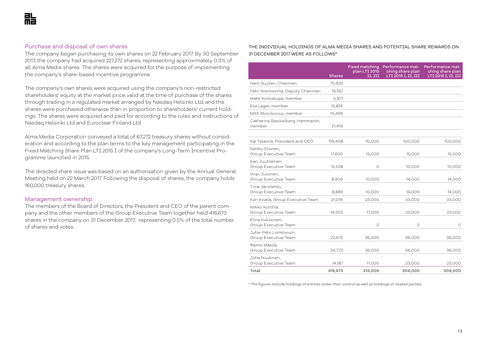# Purchase and disposal of own shares

The company began purchasing its own shares on 22 February 2017. By 30 September 2017, the company had acquired 227,272 shares, representing approximately 0.3% of all Alma Media shares. The shares were acquired for the purpose of implementing the company's share-based incentive programme.

The company's own shares were acquired using the company's non-restricted shareholders' equity at the market price valid at the time of purchase of the shares through trading in a regulated market arranged by Nasdaq Helsinki Ltd, and the shares were purchased otherwise than in proportion to shareholders' current holdings. The shares were acquired and paid for according to the rules and instructions of Nasdaq Helsinki Ltd and Euroclear Finland Ltd.

Alma Media Corporation conveyed a total of 67,272 treasury shares without consideration and according to the plan terms to the key management participating in the Fixed Matching Share Plan LTI 2015 I of the company's Long-Term Incentive Programme launched in 2015.

The directed share issue was based on an authorisation given by the Annual General Meeting held on 22 March 2017. Following the disposal of shares, the company holds 160,000 treasury shares.

#### Management ownership

The members of the Board of Directors, the President and CEO of the parent company and the other members of the Group Executive Team together held 416,673 shares in the company on 31 December 2017, representing 0.5% of the total number of shares and votes.

#### THE INDIVIDUAL HOLDINGS OF ALMA MEDIA SHARES AND POTENTIAL SHARE REWARDS ON 31 DECEMBER 2017 WERE AS FOLLOWS\*

|                                                | <b>Shares</b> | plan LTI 2015<br>II, III | Fixed matching Performance mat-<br>ching share plan<br>LTI 2015 I, II, III | Performance mat-<br>ching share plan<br>LTI 2015 I, II, III |
|------------------------------------------------|---------------|--------------------------|----------------------------------------------------------------------------|-------------------------------------------------------------|
| Harri Suutari, Chairman                        | 70,932        |                          |                                                                            |                                                             |
| Petri Niemisvirta, Deputy Chairman             | 19,767        |                          |                                                                            |                                                             |
| Matti Korkiatupa, member                       | 5,871         |                          |                                                                            |                                                             |
| Esa Lager, member                              | 13,825        |                          |                                                                            |                                                             |
| Mitti Storckovius, member                      | 10,499        |                          |                                                                            |                                                             |
| Catharina Stackelberg-Hammarén,<br>member      | 21,419        |                          |                                                                            |                                                             |
| Kai Telanne, President and CEO                 | 119,408       | 70,000                   | 100,000                                                                    | 100,000                                                     |
| Santtu Elsinen,<br>Group Executive Team        | 17,600        | 15,000                   | 15,000                                                                     | 15,000                                                      |
| Kari Juutilainen,<br>Group Executive Team      | 12,538        | $\circ$                  | 10,000                                                                     | 10,000                                                      |
| Virpi Juvonen,<br>Group Executive Team         | 8,909         | 10,000                   | 14,000                                                                     | 14,000                                                      |
| Tiina Järvilehto,<br>Group Executive Team      | 8,889         | 10,000                   | 14,000                                                                     | 14,000                                                      |
| Kari Kivelä, Group Executive Team              | 21,076        | 23,000                   | 33,000                                                                     | 33,000                                                      |
| Mikko Korttila,<br>Group Executive Team        | 14,305        | 17,000                   | 23,000                                                                     | 23,000                                                      |
| Elina Kukkonen,<br>Group Executive Team        |               | O                        | 0                                                                          | O                                                           |
| Juha-Petri Loimovuori,<br>Group Executive Team | 22,675        | 26,000                   | 36,000                                                                     | 36,000                                                      |
| Raimo Mäkilä,<br>Group Executive Team          | 34,773        | 26,000                   | 36,000                                                                     | 36,000                                                      |
| Juha Nuutinen,<br>Group Executive Team         | 14,187        | 17,000                   | 23,000                                                                     | 23,000                                                      |
| Total                                          | 416,673       | 214,000                  | 304,000                                                                    | 304,000                                                     |

\* The figures include holdings of entities under their control as well as holdings of related parties.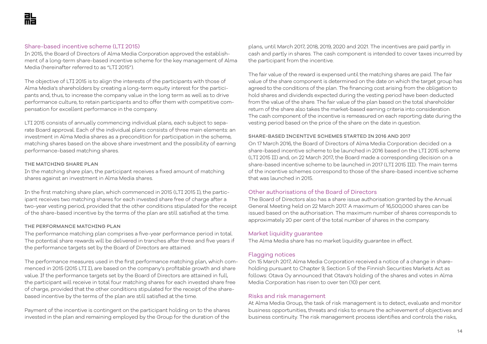#### Share-based incentive scheme (LTI 2015)

In 2015, the Board of Directors of Alma Media Corporation approved the establishment of a long-term share-based incentive scheme for the key management of Alma Media (hereinafter referred to as "LTI 2015").

The objective of LTI 2015 is to align the interests of the participants with those of Alma Media's shareholders by creating a long-term equity interest for the participants and, thus, to increase the company value in the long term as well as to drive performance culture, to retain participants and to offer them with competitive compensation for excellent performance in the company.

LTI 2015 consists of annually commencing individual plans, each subject to separate Board approval. Each of the individual plans consists of three main elements: an investment in Alma Media shares as a precondition for participation in the scheme, matching shares based on the above share investment and the possibility of earning performance-based matching shares.

#### THE MATCHING SHARE PLAN

In the matching share plan, the participant receives a fixed amount of matching shares against an investment in Alma Media shares.

In the first matching share plan, which commenced in 2015 (LTI 2015 I), the participant receives two matching shares for each invested share free of charge after a two-year vesting period, provided that the other conditions stipulated for the receipt of the share-based incentive by the terms of the plan are still satisfied at the time.

#### THE PERFORMANCE MATCHING PLAN

The performance matching plan comprises a five-year performance period in total. The potential share rewards will be delivered in tranches after three and five years if the performance targets set by the Board of Directors are attained.

The performance measures used in the first performance matching plan, which commenced in 2015 (2015 LTI I), are based on the company's profitable growth and share value. If the performance targets set by the Board of Directors are attained in full, the participant will receive in total four matching shares for each invested share free of charge, provided that the other conditions stipulated for the receipt of the sharebased incentive by the terms of the plan are still satisfied at the time.

Payment of the incentive is contingent on the participant holding on to the shares invested in the plan and remaining employed by the Group for the duration of the

plans, until March 2017, 2018, 2019, 2020 and 2021. The incentives are paid partly in cash and partly in shares. The cash component is intended to cover taxes incurred by the participant from the incentive.

The fair value of the reward is expensed until the matching shares are paid. The fair value of the share component is determined on the date on which the target group has agreed to the conditions of the plan. The financing cost arising from the obligation to hold shares and dividends expected during the vesting period have been deducted from the value of the share. The fair value of the plan based on the total shareholder return of the share also takes the market-based earning criteria into consideration. The cash component of the incentive is remeasured on each reporting date during the vesting period based on the price of the share on the date in question.

#### SHARE-BASED INCENTIVE SCHEMES STARTED IN 2016 AND 2017

On 17 March 2016, the Board of Directors of Alma Media Corporation decided on a share-based incentive scheme to be launched in 2016 based on the LTI 2015 scheme (LTI 2015 II) and, on 22 March 2017, the Board made a corresponding decision on a share-based incentive scheme to be launched in 2017 (LTI 2015 III). The main terms of the incentive schemes correspond to those of the share-based incentive scheme that was launched in 2015.

# Other authorisations of the Board of Directors

The Board of Directors also has a share issue authorisation granted by the Annual General Meeting held on 22 March 2017. A maximum of 16,500,000 shares can be issued based on the authorisation. The maximum number of shares corresponds to approximately 20 per cent of the total number of shares in the company.

#### Market liquidity guarantee

The Alma Media share has no market liquidity guarantee in effect.

# Flagging notices

On 15 March 2017, Alma Media Corporation received a notice of a change in shareholding pursuant to Chapter 9, Section 5 of the Finnish Securities Markets Act as follows: Otava Oy announced that Otava's holding of the shares and votes in Alma Media Corporation has risen to over ten (10) per cent.

### Risks and risk management

At Alma Media Group, the task of risk management is to detect, evaluate and monitor business opportunities, threats and risks to ensure the achievement of objectives and business continuity. The risk management process identifies and controls the risks,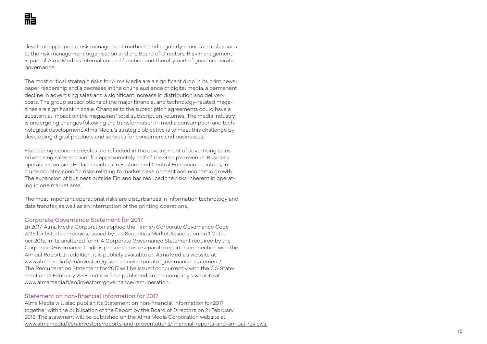develops appropriate risk management methods and regularly reports on risk issues to the risk management organisation and the Board of Directors. Risk management is part of Alma Media's internal control function and thereby part of good corporate governance.

The most critical strategic risks for Alma Media are a significant drop in its print news paper readership and a decrease in the online audience of digital media, a permanent decline in advertising sales and a significant increase in distribution and delivery costs. The group subscriptions of the major financial and technology-related maga zines are significant in scale. Changes to the subscription agreements could have a substantial impact on the magazines' total subscription volumes. The media industry is undergoing changes following the transformation in media consumption and tech nological development. Alma Media's strategic objective is to meet this challenge by developing digital products and services for consumers and businesses.

Fluctuating economic cycles are reflected in the development of advertising sales. Advertising sales account for approximately half of the Group's revenue. Business operations outside Finland, such as in Eastern and Central European countries, in clude country-specific risks relating to market development and economic growth. The expansion of business outside Finland has reduced the risks inherent in operat ing in one market area.

The most important operational risks are disturbances in information technology and data transfer, as well as an interruption of the printing operations.

# Corporate Governance Statement for 2017

In 2017, Alma Media Corporation applied the Finnish Corporate Governance Code 2015 for listed companies, issued by the Securities Market Association on 1 Octo ber 2015, in its unaltered form. A Corporate Governance Statement required by the Corporate Governance Code is presented as a separate report in connection with the Annual Report. In addition, it is publicly available on Alma Media's website at www.almamedia.fi/en/investors/governance/corporate-governance-statement/. The Remuneration Statement for 2017 will be issued concurrently with the CG State ment on 21 February 2018 and it will be published on the company's website at www.almamedia.fi/en/investors/governance/remuneration.

#### Statement on non-financial information for 2017

Alma Media will also publish its Statement on non-financial information for 2017 together with the publication of the Report by the Board of Directors on 21 February 2018. The statement will be published on the Alma Media Corporation website at www.almamedia.fi/en/investors/reports-and-presentations/financial-reports-and-annual-reviews.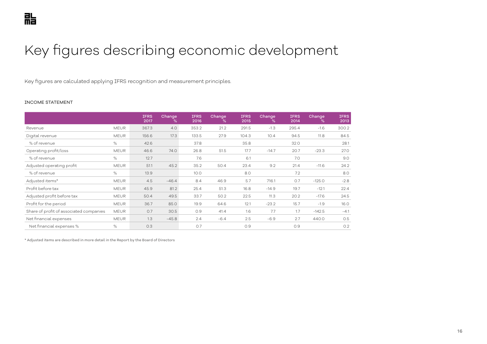# <span id="page-15-0"></span>Key figures describing economic development

Key figures are calculated applying IFRS recognition and measurement principles.

#### INCOME STATEMENT

|                                         |             | <b>IFRS</b><br>2017 | Change<br>℅ | <b>IFRS</b><br>2016 | Change<br>℅ | <b>IFRS</b><br>2015 | Change<br>% | <b>IFRS</b><br>2014 | Change<br>% | <b>IFRS</b><br>2013 |
|-----------------------------------------|-------------|---------------------|-------------|---------------------|-------------|---------------------|-------------|---------------------|-------------|---------------------|
| Revenue                                 | <b>MEUR</b> | 367.3               | 4.0         | 353.2               | 21.2        | 291.5               | $-1.3$      | 295.4               | $-1.6$      | 300.2               |
| Digital revenue                         | <b>MEUR</b> | 156.6               | 17.3        | 133.5               | 27.9        | 104.3               | 10.4        | 94.5                | 11.8        | 84.5                |
| % of revenue                            | %           | 42.6                |             | 37.8                |             | 35.8                |             | 32.0                |             | 28.1                |
| Operating profit/loss                   | <b>MEUR</b> | 46.6                | 74.0        | 26.8                | 51.5        | 17.7                | $-14.7$     | 20.7                | $-23.3$     | 27.0                |
| % of revenue                            | %           | 12.7                |             | 7.6                 |             | 6.1                 |             | 7.0                 |             | 9.0                 |
| Adjusted operating profit               | <b>MEUR</b> | 51.1                | 45.2        | 35.2                | 50.4        | 23.4                | 9.2         | 21.4                | $-11.6$     | 24.2                |
| % of revenue                            | %           | 13.9                |             | 10.0                |             | 8.0                 |             | 7.2                 |             | 8.0                 |
| Adjusted items*                         | <b>MEUR</b> | 4.5                 | $-46.4$     | 8.4                 | 46.9        | 5.7                 | 716.1       | O.7                 | $-125.0$    | $-2.8$              |
| Profit before tax                       | <b>MEUR</b> | 45.9                | 81.2        | 25.4                | 51.3        | 16.8                | $-14.9$     | 19.7                | $-12.1$     | 22.4                |
| Adjusted profit before tax              | <b>MEUR</b> | 50.4                | 49.5        | 33.7                | 50.2        | 22.5                | 11.3        | 20.2                | $-17.6$     | 24.5                |
| Profit for the period                   | <b>MEUR</b> | 36.7                | 85.0        | 19.9                | 64.6        | 12.1                | $-23.2$     | 15.7                | $-1.9$      | 16.0                |
| Share of profit of associated companies | <b>MEUR</b> | O.7                 | 30.5        | 0.9                 | 41.4        | 1.6                 | 7.7         | 1.7                 | $-142.5$    | $-4.1$              |
| Net financial expenses                  | <b>MEUR</b> | 1.3                 | $-45.8$     | 2.4                 | $-6.4$      | 2.5                 | $-6.9$      | 2.7                 | 440.0       | O.5                 |
| Net financial expenses %                | $\%$        | 0.3                 |             | O.7                 |             | 0.9                 |             | 0.9                 |             | 0.2                 |

\* Adjusted items are described in more detail in the Report by the Board of Directors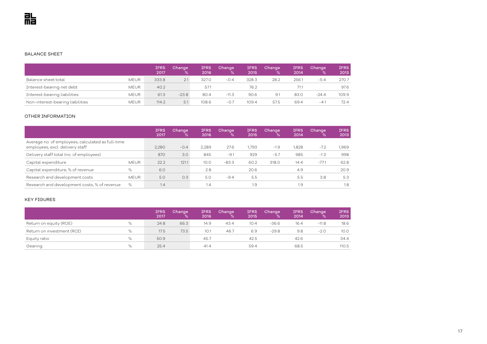#### BALANCE SHEET

|                                  |             | <b>IFRS</b><br>2017 | Change<br>℅ | <b>IFRS</b><br>2016 | Change<br>%' | <b>IFRS</b><br>2015 | Change<br>℅ | IFRS<br>2014 | Change  | <b>IFRS</b><br>2013 |
|----------------------------------|-------------|---------------------|-------------|---------------------|--------------|---------------------|-------------|--------------|---------|---------------------|
| Balance sheet total              | <b>MEUR</b> | 333.8               | 2.1         | 327.0               | $-0.4$       | 328.3               | 28.2        | 256.1        | $-5.4$  | 270.7               |
| Interest-bearing net debt        | <b>MEUR</b> | 40.2                |             | 57.1                |              | 76.2                |             | 71.1         |         | 97.6                |
| Interest-bearing liabilities     | <b>MEUR</b> | 61.3                | $-23.8$     | 80.4                | $-11.3$      | 90.6                | 9.1         | 83.0         | $-24.4$ | 109.9               |
| Non-interest-bearing liabilities | <b>MEUR</b> | 114.2               | 5.1         | 108.6               | $-0.7$       | 109.4               | 57.5        | 69.4         | $-4$    | 72.4                |

#### OTHER INFORMATION

|                                                                                      |             | <b>IFRS</b><br>2017 | Change,<br>℅ | <b>IFRS</b><br>2016 | Change<br>℅ | <b>IFRS</b><br>2015 | Change<br>% | <b>IFRS</b><br>2014 | Change<br>℅ | <b>IFRS</b><br>2013 |
|--------------------------------------------------------------------------------------|-------------|---------------------|--------------|---------------------|-------------|---------------------|-------------|---------------------|-------------|---------------------|
| Average no. of employees, calculated as full-time<br>employees, excl. delivery staff |             | 2,280               | $-0.4$       | 2.289               | 27.6        | 1,793               | $-1.9$      | 1,828               | $-7.2$      | 1,969               |
| Delivery staff total (no. of employees)                                              |             | 870                 | 3.0          | 845                 | $-9.1$      | 929                 | $-5.7$      | 985                 | $-1.3$      | 998                 |
| Capital expenditure                                                                  | <b>MEUR</b> | 22.2                | 121.1        | 10.0                | $-83.3$     | 60.2                | 318.0       | 14.4                | $-77.1$     | 62.8                |
| Capital expenditure, % of revenue                                                    | %           | 6.0                 |              | 2.8                 |             | 20.6                |             | 4.9                 |             | 20.9                |
| Research and development costs                                                       | <b>MEUR</b> | 5.0                 | 0.3          | 5.0                 | $-9.4$      | 5.5                 |             | 5.5                 | 3.8         | 5.3                 |
| Research and development costs, % of revenue                                         | $\%$        | 1.4                 |              | 1.4                 |             | 1.9                 |             | 1.9                 |             | 1.8                 |

#### KEY FIGURES

|                            |   | <b>IFRS</b><br>2017 | Change<br>% | <b>IFRS</b><br>2016 | Change<br>℅ | <b>IFRS</b><br>2015 | Change<br>% | <b>IFRS</b><br>2014 | Change<br>℅ | <b>IFRS</b><br>2013 |
|----------------------------|---|---------------------|-------------|---------------------|-------------|---------------------|-------------|---------------------|-------------|---------------------|
| Return on equity (ROE)     | % | 24.8                | 66.3        | 14.9                | 43.4        | 10.4                | $-36.6$     | 16.4                | $-11.8$     | 18.6                |
| Return on investment (ROI) | % | 17.5                | 73.5        | 10.1                | 46.7        | 6.9                 | $-29.8$     | 9.8                 | $-2.0$      | 10.0                |
| Equity ratio               | % | 50.9                |             | 45.7                |             | 42.5                |             | 42.6                |             | 34.4                |
| Gearing                    | % | 25.4                |             | 41.4                |             | 59.4                |             | 68.5                |             | 110.5               |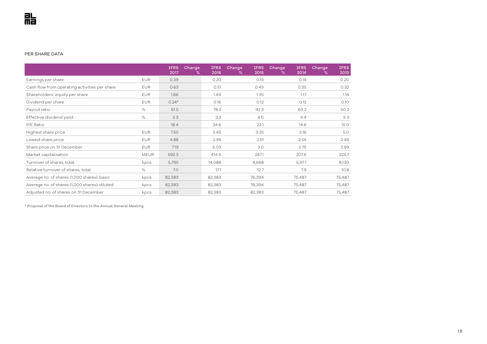#### PER SHARE DATA

|                                               |             | <b>IFRS</b><br>2017 | Change<br>℅ | <b>IFRS</b><br>2016 | Change<br><b>IFRS</b><br>2015<br>℅ | Change<br><b>IFRS</b><br>2014<br>$\%$ | Change<br><b>IFRS</b><br>2013<br>℅ |
|-----------------------------------------------|-------------|---------------------|-------------|---------------------|------------------------------------|---------------------------------------|------------------------------------|
| Earnings per share                            | <b>EUR</b>  | 0.39                |             | 0.20                | 0.13                               | 0.19                                  | 0.20                               |
| Cash flow from operating activities per share | <b>EUR</b>  | 0.63                |             | 0.51                | 0.43                               | 0.35                                  | 0.32                               |
| Shareholders' equity per share                | <b>EUR</b>  | 1.66                |             | 1.44                | 1.35                               | 1.17                                  | 1.14                               |
| Dividend per share                            | <b>EUR</b>  | $0.24*$             |             | 0.16                | 0.12                               | 0.12                                  | 0.10                               |
| Payout ratio                                  | %           | 61.5                |             | 78.2                | 92.3                               | 63.2                                  | 50.2                               |
| Effective dividend yield                      | %           | 3.3                 |             | 3.2                 | 4.0                                | 4.4                                   | 3.3                                |
| P/E Ratio                                     |             | 18.4                |             | 24.6                | 23.1                               | 14.6                                  | 15.0                               |
| Highest share price                           | <b>EUR</b>  | 7.50                |             | 5.45                | 3.25                               | 3.16                                  | 5.0                                |
| Lowest share price                            | <b>EUR</b>  | 4.88                |             | 2.95                | 2.51                               | 2.55                                  | 2.49                               |
| Share price on 31 December                    | <b>EUR</b>  | 7.19                |             | 5.03                | 3.0                                | 2.75                                  | 2.99                               |
| Market capitalisation                         | <b>MEUR</b> | 592.3               |             | 414.4               | 247.1                              | 207.6                                 | 225.7                              |
| Turnover of shares, total                     | kpcs        | 5,795               |             | 14,088              | 9,668                              | 5,977                                 | 8,130                              |
| Relative turnover of shares, total            | %           | 7.0                 |             | 17.1                | 12.7                               | 7.9                                   | 10.8                               |
| Average no. of shares (1,000 shares), basic   | kpcs        | 82,383              |             | 82,383              | 76,394                             | 75,487                                | 75,487                             |
| Average no. of shares (1,000 shares), diluted | kpcs        | 82,383              |             | 82,383              | 76,394                             | 75,487                                | 75,487                             |
| Adjusted no. of shares on 31 December         | kpcs        | 82,383              |             | 82,383              | 82,383                             | 75,487                                | 75,487                             |

\* Proposal of the Board of Directors to the Annual General Meeting.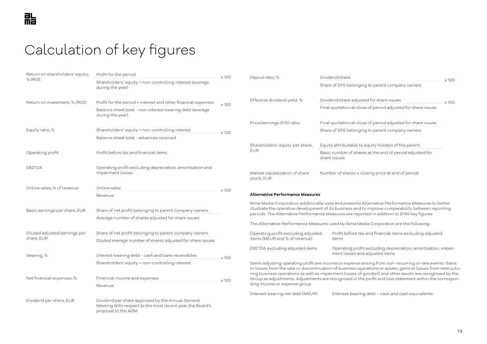# <span id="page-18-0"></span>Calculation of key figures

| Return on shareholders' equity, | Profit for the period                                                                                                                 | $\times$ 100 | Payout ratio, %                                                                                                                                                                                                                                                                                        | Dividend/share                                                                                                                                                                                                           |              |  |  |  |
|---------------------------------|---------------------------------------------------------------------------------------------------------------------------------------|--------------|--------------------------------------------------------------------------------------------------------------------------------------------------------------------------------------------------------------------------------------------------------------------------------------------------------|--------------------------------------------------------------------------------------------------------------------------------------------------------------------------------------------------------------------------|--------------|--|--|--|
| $%$ (ROE                        | Shareholders' equity + non-controlling interest (average<br>during the year)                                                          |              |                                                                                                                                                                                                                                                                                                        | Share of EPS belonging to parent company owners                                                                                                                                                                          | $\times 100$ |  |  |  |
| Return on investment, % (ROI)   | Profit for the period + interest and other financial expenses                                                                         |              | Effective dividend yield, %                                                                                                                                                                                                                                                                            | Dividend/share adjusted for share issues                                                                                                                                                                                 |              |  |  |  |
|                                 | Balance sheet total - non-interest-bearing debt (average<br>during the year)                                                          | $\times 100$ |                                                                                                                                                                                                                                                                                                        | Final quotation at close of period adjusted for share issues                                                                                                                                                             |              |  |  |  |
|                                 |                                                                                                                                       |              | Price/earnings (P/E) ratio                                                                                                                                                                                                                                                                             | Final quotation at close of period adjusted for share issues                                                                                                                                                             |              |  |  |  |
| Equity ratio, %                 | Shareholders' equity + non-controlling interest                                                                                       | $\times 100$ |                                                                                                                                                                                                                                                                                                        | Share of EPS belonging to parent company owners                                                                                                                                                                          |              |  |  |  |
|                                 | Balance sheet total - advances received                                                                                               |              |                                                                                                                                                                                                                                                                                                        |                                                                                                                                                                                                                          |              |  |  |  |
|                                 |                                                                                                                                       |              | Shareholders' equity per share,                                                                                                                                                                                                                                                                        | Equity attributable to equity holders of the parent                                                                                                                                                                      |              |  |  |  |
| Operating profit                | Profit before tax and financial items                                                                                                 |              | <b>EUR</b>                                                                                                                                                                                                                                                                                             | Basic number of shares at the end of period adjusted for<br>share issues                                                                                                                                                 |              |  |  |  |
| EBITDA                          | Operating profit excluding depreciation, amortisation and<br>impairment losses                                                        |              | Market capitalisation of share<br>stock, EUR                                                                                                                                                                                                                                                           | Number of shares x closing price at end of period                                                                                                                                                                        |              |  |  |  |
| Online sales, % of revenue      | Online sales                                                                                                                          | $\times 100$ |                                                                                                                                                                                                                                                                                                        |                                                                                                                                                                                                                          |              |  |  |  |
|                                 | Revenue                                                                                                                               |              | <b>Alternative Performance Measures</b>                                                                                                                                                                                                                                                                |                                                                                                                                                                                                                          |              |  |  |  |
| Basic earnings per share, EUR   | Share of net profit belonging to parent company owners                                                                                |              | Alma Media Corporation additionally uses and presents Alternative Performance Measures to better<br>illustrate the operative development of its business and to improve comparability between reporting<br>periods. The Alternative Performance Measures are reported in addition to IFRS key figures. |                                                                                                                                                                                                                          |              |  |  |  |
|                                 | Average number of shares adjusted for share issues                                                                                    |              |                                                                                                                                                                                                                                                                                                        | The Alternative Performance Measures used by Alma Media Corporation are the following:                                                                                                                                   |              |  |  |  |
| Diluted adjusted earnings per   | Share of net profit belonging to parent company owners                                                                                |              | Operating profit excluding adjusted                                                                                                                                                                                                                                                                    | Profit before tax and financial items excluding adjusted                                                                                                                                                                 |              |  |  |  |
| share, EUR                      | Diluted average number of shares adjusted for share issues                                                                            |              | items (MEUR and % of revenue)                                                                                                                                                                                                                                                                          | items                                                                                                                                                                                                                    |              |  |  |  |
| Gearing, %                      | Interest-bearing debt - cash and bank receivables                                                                                     |              | EBITDA excluding adjusted items                                                                                                                                                                                                                                                                        | Operating profit excluding depreciation, amortisation, impair-<br>ment losses and adjusted items                                                                                                                         |              |  |  |  |
|                                 | Shareholders' equity + non-controlling interest                                                                                       | $\times 100$ |                                                                                                                                                                                                                                                                                                        | Items adjusting operating profit are income or expense arising from non-recurring or rare events. Gains                                                                                                                  |              |  |  |  |
|                                 |                                                                                                                                       |              |                                                                                                                                                                                                                                                                                                        | or losses from the sale or discontinuation of business operations or assets, gains or losses from restructu-<br>ring business operations as well as impairment losses of goodwill and other assets are recognised by the |              |  |  |  |
| Net financial expenses, %       | Financial income and expenses                                                                                                         | $\times 100$ |                                                                                                                                                                                                                                                                                                        | Group as adjustments. Adjustments are recognised in the profit and loss statement within the correspon-                                                                                                                  |              |  |  |  |
|                                 | Revenue                                                                                                                               |              | ding income or expense group.                                                                                                                                                                                                                                                                          |                                                                                                                                                                                                                          |              |  |  |  |
|                                 |                                                                                                                                       |              | Interest-bearing net debt (MEUR)                                                                                                                                                                                                                                                                       | Interest-bearing debt - cash and cash equivalents                                                                                                                                                                        |              |  |  |  |
| Dividend per share, EUR         | Dividend per share approved by the Annual General<br>Meeting With respect to the most recent year, the Board's<br>proposal to the AGM |              |                                                                                                                                                                                                                                                                                                        |                                                                                                                                                                                                                          |              |  |  |  |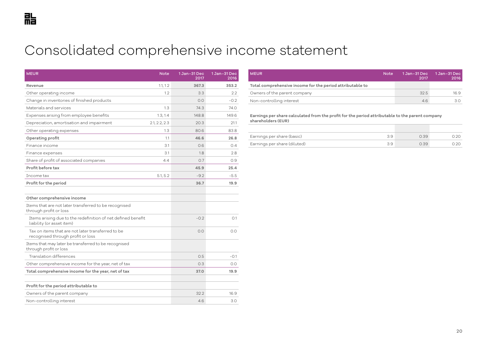# <span id="page-19-0"></span>Consolidated comprehensive income statement

| <b>MEUR</b>                                                                               | <b>Note</b>   | 1 Jan-31 Dec<br>2017 | 1 Jan-31 Dec<br>2016 |
|-------------------------------------------------------------------------------------------|---------------|----------------------|----------------------|
| Revenue                                                                                   | 1.1, 1.2      | 367.3                | 353.2                |
| Other operating income                                                                    | 1.2           | 3.3                  | 2.2                  |
| Change in inventories of finished products                                                |               | 0.0                  | $-0.2$               |
| Materials and services                                                                    | 1.3           | 74.3                 | 74.0                 |
| Expenses arising from employee benefits                                                   | 1.3, 1.4      | 148.8                | 149.6                |
| Depreciation, amortisation and impairment                                                 | 2.1, 2.2, 2.3 | 20.3                 | 21.1                 |
| Other operating expenses                                                                  | 1.3           | 80.6                 | 83.8                 |
| Operating profit                                                                          | 1.1           | 46.6                 | 26.8                 |
| Finance income                                                                            | 3.1           | 0.6                  | 0.4                  |
| Finance expenses                                                                          | 3.1           | 1.8                  | 2.8                  |
| Share of profit of associated companies                                                   | 4.4           | O.7                  | 0.9                  |
| Profit before tax                                                                         |               | 45.9                 | 25.4                 |
| Income tax                                                                                | 5.1, 5.2      | $-9.2$               | $-5.5$               |
| Profit for the period                                                                     |               | 36.7                 | 19.9                 |
|                                                                                           |               |                      |                      |
| Other comprehensive income                                                                |               |                      |                      |
| Items that are not later transferred to be recognised<br>through profit or loss           |               |                      |                      |
| Items arising due to the redefinition of net defined benefit<br>liability (or asset item) |               | $-0.2$               | O.1                  |
| Tax on items that are not later transferred to be<br>recognised through profit or loss    |               | 0.0                  | 0.0                  |
| Items that may later be transferred to be recognised<br>through profit or loss            |               |                      |                      |
| Translation differences                                                                   |               | 0.5                  | -0.1                 |
| Other comprehensive income for the year, net of tax                                       |               | 0.3                  | O.O                  |
| Total comprehensive income for the year, net of tax                                       |               | 37.0                 | 19.9                 |
|                                                                                           |               |                      |                      |
| Profit for the period attributable to                                                     |               |                      |                      |
| Owners of the parent company                                                              |               | 32.2                 | 16.9                 |
| Non-controlling interest                                                                  |               | 4.6                  | 3.0                  |

| <b>MEUR</b>                                               | <b>Note</b> | 1 Jan-31 Dec<br>2017 | 1 Jan-31 Dec  <br>2016 |
|-----------------------------------------------------------|-------------|----------------------|------------------------|
| Total comprehensive income for the period attributable to |             |                      |                        |
| Owners of the parent company                              |             | 32.5                 | 16.9                   |
| Non-controlling interest                                  |             | 4.6                  | 3.0                    |

**Earnings per share calculated from the profit for the period attributable to the parent company shareholders (EUR)** 

| Earnings per share (basic)   | 2.39 |  |
|------------------------------|------|--|
| Earnings per share (diluted) | 2.39 |  |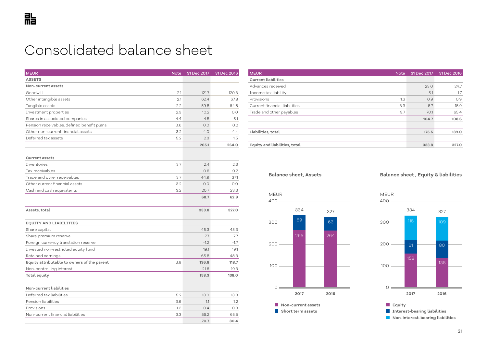# <span id="page-20-0"></span>Consolidated balance sheet

| <b>MEUR</b><br><b>Note</b>                         | 31 Dec 2017 | 31 Dec 2016 |
|----------------------------------------------------|-------------|-------------|
| <b>ASSETS</b>                                      |             |             |
| Non-current assets                                 |             |             |
| Goodwill<br>21                                     | 121.7       | 120.3       |
| Other intangible assets<br>2.1                     | 62.4        | 67.8        |
| Tangible assets<br>2.2                             | 59.8        | 64.8        |
| 2.3<br>Investment properties                       | 10.2        | 0.0         |
| Shares in associated companies<br>4.4              | 4.5         | 5.1         |
| Pension receivables, defined benefit plans<br>3.6  | 0.0         | 0.2         |
| Other non-current financial assets<br>3.2          | 4.0         | 4.4         |
| Deferred tax assets<br>5.2                         | 2.3         | 1.5         |
|                                                    | 265.1       | 264.0       |
|                                                    |             |             |
| <b>Current assets</b>                              |             |             |
| 3.7<br>Inventories                                 | 2.4         | 2.3         |
| Tax receivables                                    | 0.6         | 0.2         |
| Trade and other receivables<br>3.7                 | 44.9        | 37.1        |
| Other current financial assets<br>3.2              | 0.0         | 0.0         |
| Cash and cash equivalents<br>3.2                   | 20.7        | 23.3        |
|                                                    | 68.7        | 62.9        |
|                                                    |             |             |
| Assets, total                                      | 333.8       | 327.0       |
| <b>EQUITY AND LIABILITIES</b>                      |             |             |
| Share capital                                      | 45.3        | 45.3        |
| Share premium reserve                              | 7.7         | 7.7         |
| Foreign currency translation reserve               | $-1.2$      | $-1.7$      |
| Invested non-restricted equity fund                | 19.1        | 19.1        |
| Retained earnings                                  | 65.8        | 48.3        |
| Equity attributable to owners of the parent<br>3.9 | 136.8       | 118.7       |
| Non-controlling interest                           | 21.6        | 19.3        |
| <b>Total equity</b>                                | 158.3       | 138.0       |
|                                                    |             |             |
| Non-current liabilities                            |             |             |
| Deferred tax liabilities<br>5.2                    | 13.0        | 13.3        |
| Pension liabilities<br>3.6                         | 1.1         | 1.2         |
| Provisions<br>1.3                                  | 0.4         | 0.3         |
| Non-current financial liabilities<br>3.3           | 56.2        | 65.5        |
|                                                    | 70.7        | 80.4        |

| <b>MEUR</b>                   | <b>Note</b> | 31 Dec 2017 | 31 Dec 2016 |
|-------------------------------|-------------|-------------|-------------|
| <b>Current liabilities</b>    |             |             |             |
| Advances received             |             | 23.0        | 24.7        |
| Income tax liability          |             | 5.1         | 1.7         |
| Provisions                    | 1.3         | O.9         | O.9         |
| Current financial liabilities | 3.3         | 5.7         | 15.9        |
| Trade and other payables      | 3.7         | 70.1        | 65.4        |
|                               |             | 104.7       | 108.6       |
|                               |             |             |             |
| Liabilities, total            |             | 175.5       | 189.0       |
|                               |             |             |             |
| Equity and liabilities, total |             | 333.8       | 327.0       |

**Balance sheet, Assets**

### **Balance sheet , Equity & liabilities**

MEUR





**Equity Interest-bearing liabilities Non-interest-bearing liabilities**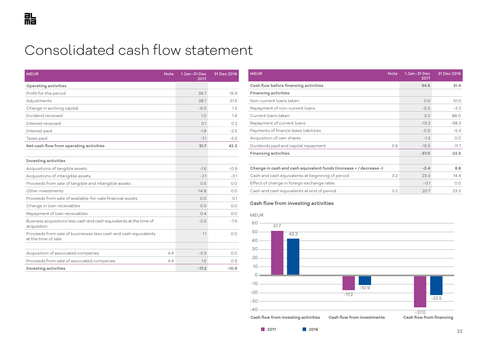# <span id="page-21-0"></span>Consolidated cash flow statement

| <b>MEUR</b><br><b>Note</b>                                                             | 1 Jan-31 Dec<br>2017 | 31 Dec 2016 |
|----------------------------------------------------------------------------------------|----------------------|-------------|
| <b>Operating activities</b>                                                            |                      |             |
| Profit for the period                                                                  | 36.7                 | 19.9        |
| Adjustments                                                                            | 28.7                 | 27.5        |
| Change in working capital                                                              | $-6.0$               | 1.3         |
| Dividend received                                                                      | 1.0                  | 1.4         |
| Interest received                                                                      | 0.1                  | 0.2         |
| Interest paid                                                                          | $-1.8$               | $-2.5$      |
| Taxes paid                                                                             | $-7.1$               | $-5.5$      |
| Net cash flow from operating activities                                                | 51.7                 | 42.3        |
|                                                                                        |                      |             |
| <b>Investing activities</b>                                                            |                      |             |
| Acquisitions of tangible assets                                                        | $-1.6$               | $-0.9$      |
| Acquisitions of intangible assets                                                      | $-2.1$               | $-3.1$      |
| Proceeds from sale of tangible and intangible assets                                   | 0.5                  | 0.0         |
| Other investments                                                                      | $-14.8$              | 0.0         |
| Proceeds from sale of available-for-sale financial assets                              | 0.0                  | O.1         |
| Change in loan receivables                                                             | 0.0                  | 0.0         |
| Repayment of loan receivables                                                          | 0.4                  | 0.0         |
| Business acquisitions less cash and cash equivalents at the time of<br>acquisition     | $-2.0$               | $-7.9$      |
| Proceeds from sale of businesses less cash and cash equivalents<br>at the time of sale | 1.1                  | 0.0         |
|                                                                                        |                      |             |
| Acquisition of associated companies<br>4.4                                             | $-0.3$               | 0.0         |
| Proceeds from sale of associated companies<br>4.4                                      | 1.5                  | 0.9         |
| <b>Investing activities</b>                                                            | $-17.2$              | $-10.9$     |

| <b>MEUR</b>                                                        | <b>Note</b> | 1 Jan-31 Dec<br>2017 | 31 Dec 2016 |
|--------------------------------------------------------------------|-------------|----------------------|-------------|
| Cash flow before financing activities                              |             | 34.5                 | 31.4        |
| <b>Financing activities</b>                                        |             |                      |             |
| Non-current loans taken                                            |             | 0.0                  | 10.0        |
| Repayment of non-current loans                                     |             | $-5.0$               | $-3.3$      |
| Current loans taken                                                |             | 3.0                  | 86.0        |
| Repayment of current loans                                         |             | $-13.2$              | $-98.3$     |
| Payments of finance lease liabilities                              |             | $-5.0$               | $-5.3$      |
| Acquisition of own shares                                          |             | $-1.2$               | 0.0         |
| Dividends paid and capital repayment                               | 3.9         | $-15.5$              | $-11.7$     |
| <b>Financing activities</b>                                        |             | $-37.0$              | $-22.5$     |
|                                                                    |             |                      |             |
| Change in cash and cash equivalent funds (increase + / decrease -) |             | $-2.4$               | 8.8         |
| Cash and cash equivalents at beginning of period                   | 3.2         | 23.3                 | 14.4        |
| Effect of change in foreign exchange rates                         |             | $-0.1$               | O.O         |
| Cash and cash equivalents at end of period                         | 3.2         | 20.7                 | 23.3        |

#### **Cash flow from investing activities**

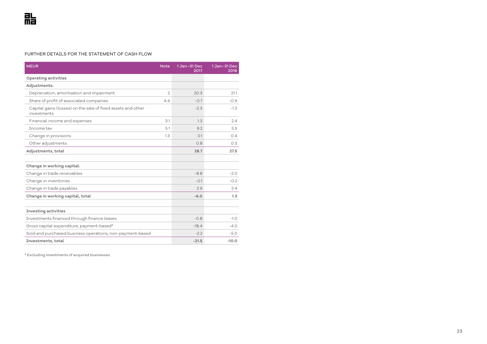#### FURTHER DETAILS FOR THE STATEMENT OF CASH FLOW

| <b>MEUR</b>                                                                 | <b>Note</b>    | 1 Jan-31 Dec<br>2017 | 1 Jan-31 Dec<br>2016 |
|-----------------------------------------------------------------------------|----------------|----------------------|----------------------|
| Operating activities                                                        |                |                      |                      |
| Adjustments:                                                                |                |                      |                      |
| Depreciation, amortisation and impairment                                   | $\mathfrak{D}$ | 20.3                 | 21.1                 |
| Share of profit of associated companies                                     | 4.4            | $-0.7$               | $-0.9$               |
| Capital gains (losses) on the sale of fixed assets and other<br>investments |                | $-2.3$               | $-1.3$               |
| Financial income and expenses                                               | 3.1            | 1.3                  | 2.4                  |
| Tncome tax                                                                  | 5.1            | 9.2                  | 5.5                  |
| Change in provisions                                                        | 1.3            | 0.1                  | 0.4                  |
| Other adjustments                                                           |                | 0.8                  | 0.3                  |
| Adjustments, total                                                          |                | 28.7                 | 27.5                 |
|                                                                             |                |                      |                      |
| Change in working capital:                                                  |                |                      |                      |
| Change in trade receivables                                                 |                | $-8.8$               | $-2.0$               |
| Change in inventories                                                       |                | $-0.1$               | $-0.2$               |
| Change in trade payables                                                    |                | 2.9                  | 3.4                  |
| Change in working capital, total                                            |                | $-6.0$               | 1.3                  |
|                                                                             |                |                      |                      |
| <b>Investing activities</b>                                                 |                |                      |                      |
| Investments financed through finance leases                                 |                | $-0.8$               | $-1.0$               |
| Gross capital expenditure, payment-based*                                   |                | $-18.4$              | $-4.0$               |
| Sold and purchased business operations, non-payment-based                   |                | $-2.2$               | $-5.0$               |
| Investments, total                                                          |                | $-21.5$              | $-10.0$              |

\* Excluding investments of acquired businesses.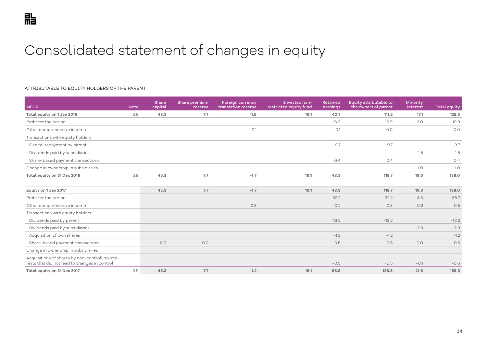# <span id="page-23-0"></span>Consolidated statement of changes in equity

#### ATTRIBUTABLE TO EQUITY HOLDERS OF THE PARENT

| <b>MEUR</b>                                                                                      | <b>Note</b> | Share<br>capital | Share premium<br>reserve | <b>Foreign currency</b><br>translation reserve | Invested non-<br>restricted equity fund | Retained<br>earnings | Equity attributable to<br>the owners of parent | Minority<br>interest | Total equity |
|--------------------------------------------------------------------------------------------------|-------------|------------------|--------------------------|------------------------------------------------|-----------------------------------------|----------------------|------------------------------------------------|----------------------|--------------|
| Total equity on 1 Jan 2016                                                                       | 3.9         | 45.3             | 7.7                      | $-1.6$                                         | 19.1                                    | 40.7                 | 111.2                                          | 17.1                 | 128.3        |
| Profit for the period                                                                            |             |                  |                          |                                                |                                         | 16.9                 | 16.9                                           | 3.0                  | 19.9         |
| Other comprehensive income                                                                       |             |                  |                          | $-0.1$                                         |                                         | O.1                  | 0.0                                            |                      | O.O          |
| Transactions with equity holders                                                                 |             |                  |                          |                                                |                                         |                      |                                                |                      |              |
| Capital repayment by parent                                                                      |             |                  |                          |                                                |                                         | $-9.7$               | $-9.7$                                         |                      | $-9.7$       |
| Dividends paid by subsidiaries                                                                   |             |                  |                          |                                                |                                         |                      |                                                | $-1.8$               | $-1.8$       |
| Share-based payment transactions                                                                 |             |                  |                          |                                                |                                         | 0.4                  | 0.4                                            |                      | 0.4          |
| Change in ownership in subsidiaries                                                              |             |                  |                          |                                                |                                         |                      |                                                | 1.0                  | 1.0          |
| Total equity on 31 Dec 2016                                                                      | 3.9         | 45.3             | 7.7                      | $-1.7$                                         | 19.1                                    | 48.3                 | 118.7                                          | 19.3                 | 138.0        |
|                                                                                                  |             |                  |                          |                                                |                                         |                      |                                                |                      |              |
| Equity on 1 Jan 2017                                                                             |             | 45.3             | 7.7                      | $-1.7$                                         | 19.1                                    | 48.3                 | 118.7                                          | 19.3                 | 138.0        |
| Profit for the period                                                                            |             |                  |                          |                                                |                                         | 32.2                 | 32.2                                           | 4.6                  | 36.7         |
| Other comprehensive income                                                                       |             |                  |                          | 0.5                                            |                                         | $-0.2$               | O.3                                            | 0.2                  | O.5          |
| Transactions with equity holders                                                                 |             |                  |                          |                                                |                                         |                      |                                                |                      |              |
| Dividends paid by parent                                                                         |             |                  |                          |                                                |                                         | $-13.2$              | $-13.2$                                        |                      | $-13.2$      |
| Dividends paid by subsidiaries                                                                   |             |                  |                          |                                                |                                         |                      |                                                | $-2.3$               | $-2.3$       |
| Acquisition of own shares                                                                        |             |                  |                          |                                                |                                         | $-1.2$               | $-1.2$                                         |                      | $-1.2$       |
| Share-based payment transactions                                                                 |             | 0.0              | 0.0                      |                                                |                                         | 0.5                  | 0.5                                            | O.O                  | 0.5          |
| Change in ownership in subsidiaries                                                              |             |                  |                          |                                                |                                         |                      |                                                |                      |              |
| Acquisitions of shares by non-controlling inte-<br>rests that did not lead to changes in control |             |                  |                          |                                                |                                         | $-0.5$               | $-0.5$                                         | $-0.1$               | $-0.6$       |
| Total equity on 31 Dec 2017                                                                      | 3.9         | 45.3             | 7.7                      | $-1.2$                                         | 19.1                                    | 65.8                 | 136.8                                          | 21.6                 | 158.3        |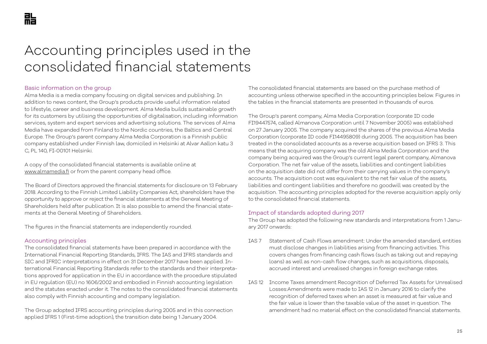# <span id="page-24-0"></span>Accounting principles used in the consolidated financial statements

# Basic information on the group

Alma Media is a media company focusing on digital services and publishing. In addition to news content, the Group's products provide useful information related to lifestyle, career and business development. Alma Media builds sustainable growth for its customers by utilising the opportunities of digitalisation, including information services, system and expert services and advertising solutions. The services of Alma Media have expanded from Finland to the Nordic countries, the Baltics and Central Europe. The Group's parent company Alma Media Corporation is a Finnish public company established under Finnish law, domiciled in Helsinki at Alvar Aallon katu 3 C, PL 140, FI-00101 Helsinki.

A copy of the consolidated financial statements is available online at www.almamedia.fi or from the parent company head office.

The Board of Directors approved the financial statements for disclosure on 13 February 2018. According to the Finnish Limited Liability Companies Act, shareholders have the opportunity to approve or reject the financial statements at the General Meeting of Shareholders held after publication. It is also possible to amend the financial statements at the General Meeting of Shareholders.

The figures in the financial statements are independently rounded.

#### Accounting principles

The consolidated financial statements have been prepared in accordance with the International Financial Reporting Standards, IFRS. The IAS and IFRS standards and SIC and IFRIC interpretations in effect on 31 December 2017 have been applied. International Financial Reporting Standards refer to the standards and their interpretations approved for application in the EU in accordance with the procedure stipulated in EU regulation (EU) no 1606/2002 and embodied in Finnish accounting legislation and the statutes enacted under it. The notes to the consolidated financial statements also comply with Finnish accounting and company legislation.

The Group adopted IFRS accounting principles during 2005 and in this connection applied IFRS 1 (First-time adoption), the transition date being 1 January 2004.

The consolidated financial statements are based on the purchase method of accounting unless otherwise specified in the accounting principles below. Figures in the tables in the financial statements are presented in thousands of euros.

The Group's parent company, Alma Media Corporation (corporate ID code FI19447574, called Almanova Corporation until 7 November 2005) was established on 27 January 2005. The company acquired the shares of the previous Alma Media Corporation (corporate ID code FI14495809) during 2005. The acquisition has been treated in the consolidated accounts as a reverse acquisition based on IFRS 3. This means that the acquiring company was the old Alma Media Corporation and the company being acquired was the Group's current legal parent company, Almanova Corporation. The net fair value of the assets, liabilities and contingent liabilities on the acquisition date did not differ from their carrying values in the company's accounts. The acquisition cost was equivalent to the net fair value of the assets, liabilities and contingent liabilities and therefore no goodwill was created by the acquisition. The accounting principles adopted for the reverse acquisition apply only to the consolidated financial statements.

#### Impact of standards adopted during 2017

The Group has adopted the following new standards and interpretations from 1 January 2017 onwards:

- IAS 7 Statement of Cash Flows amendment: Under the amended standard, entities must disclose changes in liabilities arising from financing activities. This covers changes from financing cash flows (such as taking out and repaying loans) as well as non-cash flow changes, such as acquisitions, disposals, accrued interest and unrealised changes in foreign exchange rates.
- IAS 12 Income Taxes amendment Recognition of Deferred Tax Assets for Unrealised Losses:Amendments were made to IAS 12 in January 2016 to clarify the recognition of deferred taxes when an asset is measured at fair value and the fair value is lower than the taxable value of the asset in question. The amendment had no material effect on the consolidated financial statements.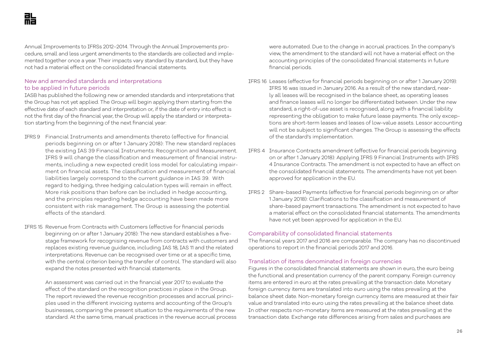Annual Improvements to IFRSs 2012–2014. Through the Annual Improvements procedure, small and less urgent amendments to the standards are collected and implemented together once a year. Their impacts vary standard by standard, but they have not had a material effect on the consolidated financial statements.

# New and amended standards and interpretations to be applied in future periods

IASB has published the following new or amended standards and interpretations that the Group has not yet applied. The Group will begin applying them starting from the effective date of each standard and interpretation or, if the date of entry into effect is not the first day of the financial year, the Group will apply the standard or interpretation starting from the beginning of the next financial year:

- IFRS 9 Financial Instruments and amendments thereto (effective for financial periods beginning on or after 1 January 2018): The new standard replaces the existing IAS 39 Financial Instruments: Recognition and Measurement. IFRS 9 will change the classification and measurement of financial instruments, including a new expected credit loss model for calculating impairment on financial assets. The classification and measurement of financial liabilities largely correspond to the current guidance in IAS 39. With regard to hedging, three hedging calculation types will remain in effect. More risk positions than before can be included in hedge accounting, and the principles regarding hedge accounting have been made more consistent with risk management. The Group is assessing the potential effects of the standard.
- IFRS 15 Revenue from Contracts with Customers (effective for financial periods beginning on or after 1 January 2018): The new standard establishes a fivestage framework for recognising revenue from contracts with customers and replaces existing revenue guidance, including IAS 18, IAS 11 and the related interpretations. Revenue can be recognised over time or at a specific time, with the central criterion being the transfer of control. The standard will also expand the notes presented with financial statements.

 An assessment was carried out in the financial year 2017 to evaluate the effect of the standard on the recognition practices in place in the Group. The report reviewed the revenue recognition processes and accrual principles used in the different invoicing systems and accounting of the Group's businesses, comparing the present situation to the requirements of the new standard. At the same time, manual practices in the revenue accrual process were automated. Due to the change in accrual practices. In the company's view, the amendment to the standard will not have a material effect on the accounting principles of the consolidated financial statements in future financial periods.

- IFRS 16 Leases (effective for financial periods beginning on or after 1 January 2019): IFRS 16 was issued in January 2016. As a result of the new standard, nearly all leases will be recognised in the balance sheet, as operating leases and finance leases will no longer be differentiated between. Under the new standard, a right-of-use asset is recognised, along with a financial liability representing the obligation to make future lease payments. The only exceptions are short-term leases and leases of low-value assets. Lessor accounting will not be subject to significant changes. The Group is assessing the effects of the standard's implementation.
- IFRS 4 Insurance Contracts amendment (effective for financial periods beginning on or after 1 January 2018): Applying IFRS 9 Financial Instruments with IFRS 4 Insurance Contracts. The amendment is not expected to have an effect on the consolidated financial statements. The amendments have not yet been approved for application in the EU.
- IFRS 2 Share-based Payments (effective for financial periods beginning on or after 1 January 2018): Clarifications to the classification and measurement of share-based payment transactions. The amendment is not expected to have a material effect on the consolidated financial statements. The amendments have not yet been approved for application in the EU.

# Comparability of consolidated financial statements

The financial years 2017 and 2016 are comparable. The company has no discontinued operations to report in the financial periods 2017 and 2016.

#### Translation of items denominated in foreign currencies

Figures in the consolidated financial statements are shown in euro, the euro being the functional and presentation currency of the parent company. Foreign currency items are entered in euro at the rates prevailing at the transaction date. Monetary foreign currency items are translated into euro using the rates prevailing at the balance sheet date. Non-monetary foreign currency items are measured at their fair value and translated into euro using the rates prevailing at the balance sheet date. In other respects non-monetary items are measured at the rates prevailing at the transaction date. Exchange rate differences arising from sales and purchases are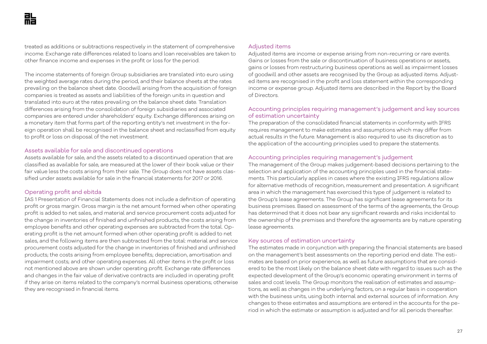treated as additions or subtractions respectively in the statement of comprehensive income. Exchange rate differences related to loans and loan receivables are taken to other finance income and expenses in the profit or loss for the period.

The income statements of foreign Group subsidiaries are translated into euro using the weighted average rates during the period, and their balance sheets at the rates prevailing on the balance sheet date. Goodwill arising from the acquisition of foreign companies is treated as assets and liabilities of the foreign units in question and translated into euro at the rates prevailing on the balance sheet date. Translation differences arising from the consolidation of foreign subsidiaries and associated companies are entered under shareholders' equity. Exchange differences arising on a monetary item that forms part of the reporting entity's net investment in the foreign operation shall be recognised in the balance sheet and reclassified from equity to profit or loss on disposal of the net investment.

#### Assets available for sale and discontinued operations

Assets available for sale, and the assets related to a discontinued operation that are classified as available for sale, are measured at the lower of their book value or their fair value less the costs arising from their sale. The Group does not have assets classified under assets available for sale in the financial statements for 2017 or 2016.

# Operating profit and ebitda

IAS 1 Presentation of Financial Statements does not include a definition of operating profit or gross margin. Gross margin is the net amount formed when other operating profit is added to net sales, and material and service procurement costs adjusted for the change in inventories of finished and unfinished products, the costs arising from employee benefits and other operating expenses are subtracted from the total. Operating profit is the net amount formed when other operating profit is added to net sales, and the following items are then subtracted from the total: material and service procurement costs adjusted for the change in inventories of finished and unfinished products; the costs arising from employee benefits; depreciation, amortisation and impairment costs; and other operating expenses. All other items in the profit or loss not mentioned above are shown under operating profit. Exchange rate differences and changes in the fair value of derivative contracts are included in operating profit if they arise on items related to the company's normal business operations; otherwise they are recognised in financial items.

# Adjusted items

Adjusted items are income or expense arising from non-recurring or rare events. Gains or losses from the sale or discontinuation of business operations or assets, gains or losses from restructuring business operations as well as impairment losses of goodwill and other assets are recognised by the Group as adjusted items. Adjusted items are recognised in the profit and loss statement within the corresponding income or expense group. Adjusted items are described in the Report by the Board of Directors.

# Accounting principles requiring management's judgement and key sources of estimation uncertainty

The preparation of the consolidated financial statements in conformity with IFRS requires management to make estimates and assumptions which may differ from actual results in the future. Management is also required to use its discretion as to the application of the accounting principles used to prepare the statements.

### Accounting principles requiring management's judgement

The management of the Group makes judgement-based decisions pertaining to the selection and application of the accounting principles used in the financial statements. This particularly applies in cases where the existing IFRS regulations allow for alternative methods of recognition, measurement and presentation. A significant area in which the management has exercised this type of judgement is related to the Group's lease agreements. The Group has significant lease agreements for its business premises. Based on assessment of the terms of the agreements, the Group has determined that it does not bear any significant rewards and risks incidental to the ownership of the premises and therefore the agreements are by nature operating lease agreements.

#### Key sources of estimation uncertainty

The estimates made in conjunction with preparing the financial statements are based on the management's best assessments on the reporting period end date. The estimates are based on prior experience, as well as future assumptions that are considered to be the most likely on the balance sheet date with regard to issues such as the expected development of the Group's economic operating environment in terms of sales and cost levels. The Group monitors the realisation of estimates and assumptions, as well as changes in the underlying factors, on a regular basis in cooperation with the business units, using both internal and external sources of information. Any changes to these estimates and assumptions are entered in the accounts for the period in which the estimate or assumption is adjusted and for all periods thereafter.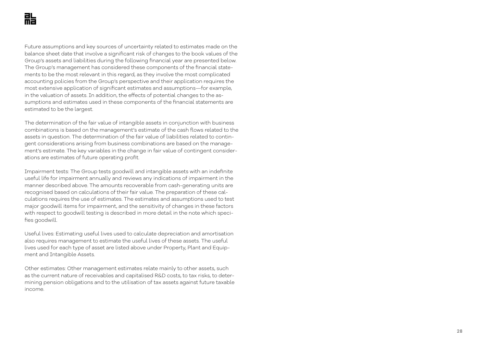Future assumptions and key sources of uncertainty related to estimates made on the balance sheet date that involve a significant risk of changes to the book values of the Group's assets and liabilities during the following financial year are presented below. The Group's management has considered these components of the financial state ments to be the most relevant in this regard, as they involve the most complicated accounting policies from the Group's perspective and their application requires the most extensive application of significant estimates and assumptions—for example, in the valuation of assets. In addition, the effects of potential changes to the as sumptions and estimates used in these components of the financial statements are estimated to be the largest.

The determination of the fair value of intangible assets in conjunction with business combinations is based on the management's estimate of the cash flows related to the assets in question. The determination of the fair value of liabilities related to contin gent considerations arising from business combinations are based on the manage ment's estimate. The key variables in the change in fair value of contingent consider ations are estimates of future operating profit.

Impairment tests: The Group tests goodwill and intangible assets with an indefinite useful life for impairment annually and reviews any indications of impairment in the manner described above. The amounts recoverable from cash-generating units are recognised based on calculations of their fair value. The preparation of these cal culations requires the use of estimates. The estimates and assumptions used to test major goodwill items for impairment, and the sensitivity of changes in these factors with respect to goodwill testing is described in more detail in the note which speci fies goodwill.

Useful lives: Estimating useful lives used to calculate depreciation and amortisation also requires management to estimate the useful lives of these assets. The useful lives used for each type of asset are listed above under Property, Plant and Equip ment and Intangible Assets.

Other estimates: Other management estimates relate mainly to other assets, such as the current nature of receivables and capitalised R&D costs, to tax risks, to deter mining pension obligations and to the utilisation of tax assets against future taxable income.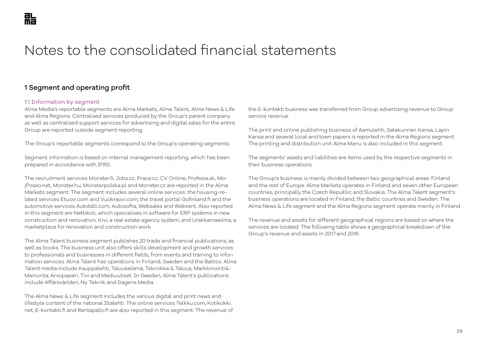# Notes to the consolidated financial statements

# 1 Segment and operating profit

### 1.1 Information by segment

Alma Media's reportable segments are Alma Markets, Alma Talent, Alma News & Life and Alma Regions. Centralised services produced by the Group's parent company as well as centralised support services for advertising and digital sales for the entire Group are reported outside segment reporting.

The Group's reportable segments correspond to the Group's operating segments.

Segment information is based on internal management reporting, which has been prepared in accordance with IFRS.

The recruitment services Monster.fi, Jobs.cz, Prace.cz, CV Online, Profesia.sk, MojPosao.net, Monster.hu, Monsterpolska.pl and Monster.cz are reported in the Alma Markets segment. The segment includes several online services: the housing-related services Etuovi.com and Vuokraovi.com, the travel portal Gofinland.fi and the automotive services Autotalli.com, Autosofta, Websales and Webrent. Also reported in this segment are Nettikoti, which specialises in software for ERP systems in new construction and renovation, Kivi, a real estate agency system, and Urakkamaailma, a marketplace for renovation and construction work.

The Alma Talent business segment publishes 20 trade and financial publications, as well as books. The business unit also offers skills development and growth services to professionals and businesses in different fields, from events and training to information services. Alma Talent has operations in Finland, Sweden and the Baltics. Alma Talent media include Kauppalehti, Talouselämä, Tekniikka & Talous, Markkinointi&- Mainonta, Arvopaperi, Tivi and Mediuutiset. In Sweden, Alma Talent's publications include Affärsvärlden, Ny Teknik and Dagens Media.

The Alma News & Life segment includes the various digital and print news and lifestyle content of the national Iltalehti. The online services Telkku.com, Kotikokki. net, E-kontakti.fi and Rantapallo.fi are also reported in this segment. The revenue of the E-kontakti business was transferred from Group advertising revenue to Group service revenue.

The print and online publishing business of Aamulehti, Satakunnan Kansa, Lapin Kansa and several local and town papers is reported in the Alma Regions segment. The printing and distribution unit Alma Manu is also included in this segment.

The segments' assets and liabilities are items used by the respective segments in their business operations

The Group's business is mainly divided between two geographical areas: Finland and the rest of Europe. Alma Markets operates in Finland and seven other European countries, principally the Czech Republic and Slovakia. The Alma Talent segment's business operations are located in Finland, the Baltic countries and Sweden. The Alma News & Life segment and the Alma Regions segment operate mainly in Finland.

The revenue and assets for different geographical regions are based on where the services are located. The following table shows a geographical breakdown of the Group's revenue and assets in 2017 and 2016: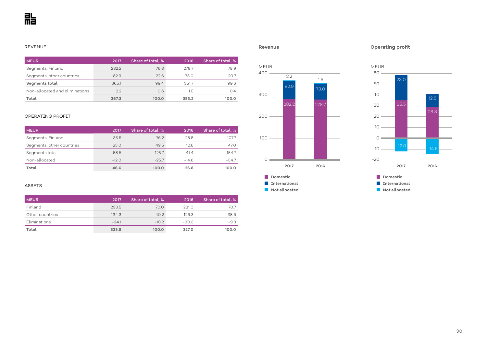#### REVENUE

| <b>MEUR</b>                    | 2017  | Share of total, % | 2016  | Share of total, % |
|--------------------------------|-------|-------------------|-------|-------------------|
| Segments, Finland              | 282.2 | 76.8              | 278.7 | 78.9              |
| Segments, other countries      | 82.9  | 22.6              | 73.0  | 20.7              |
| Segments total                 | 365.1 | 99.4              | 351.7 | 99.6              |
| Non-allocated and eliminations | 22    | 0.6               | 1.5   | 0.4               |
| Total                          | 367.3 | 100.0             | 353.2 | 100.0             |

#### OPERATING PROFIT

| <b>MEUR</b>               | 2017    | Share of total, % | 2016    | Share of total, % |
|---------------------------|---------|-------------------|---------|-------------------|
| Segments, Finland         | 35.5    | 76.2              | 28.8    | 107.7             |
| Segments, other countries | 23.0    | 49.5              | 12.6    | 47.0              |
| Segments total            | 58.5    | 125.7             | 41.4    | 154.7             |
| Non-allocated             | $-12.0$ | $-25.7$           | $-14.6$ | $-54.7$           |
| Total                     | 46.6    | 100.0             | 26.8    | 100.0             |

### ASSETS

| <b>MEUR</b>     | 2017    | Share of total, % | 2016    | Share of total, % |
|-----------------|---------|-------------------|---------|-------------------|
| <b>Finland</b>  | 233.5   | 70.0              | 231.0   | 70.7              |
| Other countries | 134.3   | 40.2              | 126.3   | 38.6              |
| Eliminations    | $-34.1$ | $-10.2$           | $-30.3$ | $-9.3$            |
| Total           | 333.8   | 100.0             | 327.0   | 100.0             |

#### **Revenue**







**Operating profit**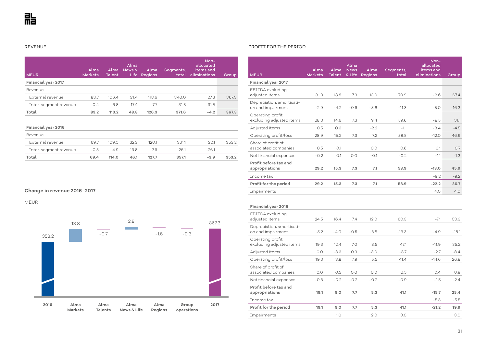REVENUE

| <b>MEUR</b>           | Alma<br><b>Markets</b> | Alma<br><b>Talent</b> | Alma<br>News &<br>Life | Alma<br><b>Regions</b> | Segments,<br>total | Non-<br>allocated<br>items and<br>eliminations | Group |
|-----------------------|------------------------|-----------------------|------------------------|------------------------|--------------------|------------------------------------------------|-------|
| Financial year 2017   |                        |                       |                        |                        |                    |                                                |       |
| Revenue               |                        |                       |                        |                        |                    |                                                |       |
| External revenue      | 83.7                   | 106.4                 | 31.4                   | 118.6                  | 340.0              | 27.3                                           | 367.3 |
| Inter-segment revenue | $-0.4$                 | 6.8                   | 17.4                   | 7.7                    | 31.5               | $-31.5$                                        |       |
| Total                 | 83.2                   | 113.2                 | 48.8                   | 126.3                  | 371.6              | $-4.2$                                         | 367.3 |
|                       |                        |                       |                        |                        |                    |                                                |       |
| Financial year 2016   |                        |                       |                        |                        |                    |                                                |       |
| Revenue               |                        |                       |                        |                        |                    |                                                |       |
| External revenue      | 69.7                   | 109.0                 | 32.2                   | 120.1                  | 331.1              | 22.1                                           | 353.2 |
| Inter-segment revenue | $-0.3$                 | 4.9                   | 13.8                   | 7.6                    | 26.1               | $-26.1$                                        |       |
| Total                 | 69.4                   | 114.0                 | 46.1                   | 127.7                  | 357.1              | $-3.9$                                         | 353.2 |

# **Change in revenue 2016–2017**

MEUR



#### PROFIT FOR THE PERIOD

| <b>MEUR</b>                                    | Alma<br><b>Markets</b> | Alma<br><b>Talent</b> | Alma<br><b>News</b><br>& Life | Alma<br><b>Regions</b> | Segments,<br>total | Non-<br>allocated<br>items and<br>eliminations | Group   |
|------------------------------------------------|------------------------|-----------------------|-------------------------------|------------------------|--------------------|------------------------------------------------|---------|
| Financial year 2017                            |                        |                       |                               |                        |                    |                                                |         |
| EBITDA excluding<br>adjusted items             | 31.3                   | 18.8                  | 7.9                           | 13.0                   | 70.9               | $-3.6$                                         | 67.4    |
| Depreciation, amortisati-<br>on and impairment | $-2.9$                 | $-4.2$                | $-0.6$                        | $-3.6$                 | $-11.3$            | $-5.0$                                         | $-16.3$ |
| Operating profit<br>excluding adjusted items   | 28.3                   | 14.6                  | 7.3                           | 9.4                    | 59.6               | $-8.5$                                         | 51.1    |
| Adjusted items                                 | 0.5                    | 0.6                   |                               | $-2.2$                 | $-1.1$             | $-3.4$                                         | $-4.5$  |
| Operating profit/loss                          | 28.9                   | 15.2                  | 7.3                           | 7.2                    | 58.5               | $-12.0$                                        | 46.6    |
| Share of profit of<br>associated companies     | 0.5                    | O.1                   |                               | 0.0                    | 0.6                | 0.1                                            | 0.7     |
| Net financial expenses                         | $-0.2$                 | O.1                   | 0.0                           | $-0.1$                 | $-0.2$             | $-1.1$                                         | $-1.3$  |
| Profit before tax and<br>appropriations        | 29.2                   | 15.3                  | 7.3                           | 7.1                    | 58.9               | $-13.0$                                        | 45.9    |
| Income tax                                     |                        |                       |                               |                        |                    | $-9.2$                                         | $-9.2$  |
| Profit for the period                          | 29.2                   | 15.3                  | 7.3                           | 7.1                    | 58.9               | $-22.2$                                        | 36.7    |
| Impairments                                    |                        |                       |                               |                        |                    | 4.0                                            | 4.0     |
|                                                |                        |                       |                               |                        |                    |                                                |         |
| <b>Financial year 2016</b>                     |                        |                       |                               |                        |                    |                                                |         |
| EBITDA excluding<br>adjusted items             | 24.5                   | 16.4                  | 7.4                           | 12.0                   | 60.3               | $-7.1$                                         | 53.3    |
| Depreciation, amortisati-<br>on and impairment | $-5.2$                 | $-4.0$                | $-0.5$                        | $-3.5$                 | $-13.3$            | $-4.9$                                         | $-18.1$ |
| Operating profit<br>excluding adjusted items   | 19.3                   | 12.4                  | 7.0                           | 8.5                    | 47.1               | $-11.9$                                        | 35.2    |
| Adjusted items                                 | 0.0                    | $-3.6$                | 0.9                           | $-3.0$                 | $-5.7$             | $-2.7$                                         | $-8.4$  |
| Operating profit/loss                          | 19.3                   | 8.8                   | 7.9                           | 5.5                    | 41.4               | $-14.6$                                        | 26.8    |
| Share of profit of<br>associated companies     | 0.0                    | 0.5                   | 0.0                           | 0.0                    | 0.5                | 0.4                                            | 0.9     |
| Net financial expenses                         | $-0.3$                 | $-0.2$                | $-0.2$                        | $-0.2$                 | $-0.9$             | $-1.5$                                         | $-2.4$  |
| Profit before tax and<br>appropriations        | 19.1                   | 9.0                   | 7.7                           | 5.3                    | 41.1               | $-15.7$                                        | 25.4    |
| Income tax                                     |                        |                       |                               |                        |                    | $-5.5$                                         | $-5.5$  |
| Profit for the period                          | 19.1                   | 9.0                   | 7.7                           | 5.3                    | 41.1               | $-21.2$                                        | 19.9    |
| Impairments                                    |                        | 1.0                   |                               | 2.0                    | 3.0                |                                                | 3.0     |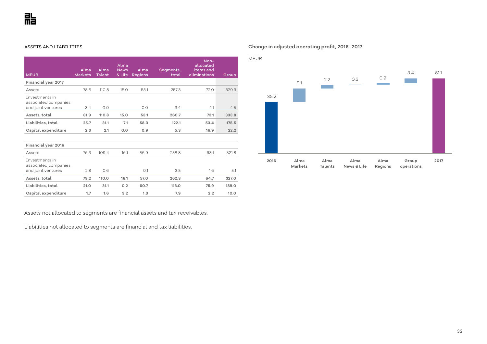#### ASSETS AND LIABILITIES

| <b>MEUR</b>                                                         | Alma<br><b>Markets</b> | Alma<br><b>Talent</b> | Alma<br><b>News</b><br>& Life | Alma<br><b>Regions</b> | Segments,<br>total | Non-<br>allocated<br>items and<br>eliminations | Group |
|---------------------------------------------------------------------|------------------------|-----------------------|-------------------------------|------------------------|--------------------|------------------------------------------------|-------|
| Financial year 2017                                                 |                        |                       |                               |                        |                    |                                                |       |
| Assets                                                              | 78.5                   | 110.8                 | 15.0                          | 53.1                   | 257.3              | 72.0                                           | 329.3 |
| <b>Tnvestments in</b><br>associated companies<br>and joint ventures | 3.4                    | 0.0                   |                               | O.O                    | 3.4                | 1.1                                            | 4.5   |
| Assets, total                                                       | 81.9                   | 110.8                 | 15.0                          | 53.1                   | 260.7              | 73.1                                           | 333.8 |
| Liabilities, total                                                  | 25.7                   | 31.1                  | 7.1                           | 58.3                   | 122.1              | 53.4                                           | 175.5 |
| Capital expenditure                                                 | 2.3                    | 2.1                   | 0.0                           | 0.9                    | 5.3                | 16.9                                           | 22.2  |
|                                                                     |                        |                       |                               |                        |                    |                                                |       |
| Financial year 2016                                                 |                        |                       |                               |                        |                    |                                                |       |
| Assets                                                              | 76.3                   | 109.4                 | 16.1                          | 56.9                   | 258.8              | 63.1                                           | 321.8 |
| Investments in<br>associated companies<br>and joint ventures        | 2.8                    | 0.6                   |                               | O.1                    | 3.5                | 1.6                                            | 5.1   |
| Assets, total                                                       | 79.2                   | 110.0                 | 16.1                          | 57.0                   | 262.3              | 64.7                                           | 327.0 |
| Liabilities, total                                                  | 21.0                   | 31.1                  | 0.2                           | 60.7                   | 113.0              | 75.9                                           | 189.0 |
| Capital expenditure                                                 | 1.7                    | 1.6                   | 3.2                           | 1.3                    | 7.9                | 2.2                                            | 10.0  |

# **Change in adjusted operating profit, 2016–2017**



Assets not allocated to segments are financial assets and tax receivables.

Liabilities not allocated to segments are financial and tax liabilities.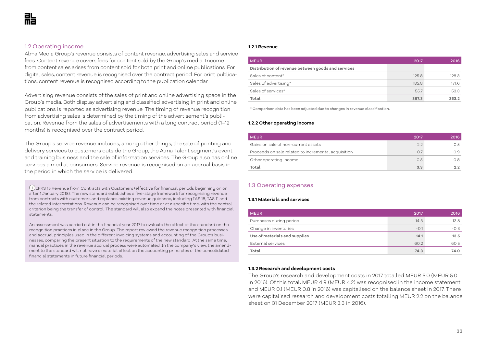#### 1.2 Operating income

Alma Media Group's revenue consists of content revenue, advertising sales and service fees. Content revenue covers fees for content sold by the Group's media. Income from content sales arises from content sold for both print and online publications. For digital sales, content revenue is recognised over the contract period. For print publications, content revenue is recognised according to the publication calendar.

Advertising revenue consists of the sales of print and online advertising space in the Group's media. Both display advertising and classified advertising in print and online publications is reported as advertising revenue. The timing of revenue recognition from advertising sales is determined by the timing of the advertisement's publication. Revenue from the sales of advertisements with a long contract period (1–12 months) is recognised over the contract period.

The Group's service revenue includes, among other things, the sale of printing and delivery services to customers outside the Group, the Alma Talent segment's event and training business and the sale of information services. The Group also has online services aimed at consumers. Service revenue is recognised on an accrual basis in the period in which the service is delivered.

 IFRS 15 Revenue from Contracts with Customers (effective for financial periods beginning on or after 1 January 2018). The new standard establishes a five-stage framework for recognising revenue from contracts with customers and replaces existing revenue guidance, including IAS 18, IAS 11 and the related interpretations. Revenue can be recognised over time or at a specific time, with the central criterion being the transfer of control. The standard will also expand the notes presented with financial statements.

An assessment was carried out in the financial year 2017 to evaluate the effect of the standard on the recognition practices in place in the Group. The report reviewed the revenue recognition processes and accrual principles used in the different invoicing systems and accounting of the Group's businesses, comparing the present situation to the requirements of the new standard. At the same time, manual practices in the revenue accrual process were automated. In the company's view, the amendment to the standard will not have a material effect on the accounting principles of the consolidated financial statements in future financial periods.

#### **1.2.1 Revenue**

| <b>MEUR</b>                                        | 2017  | 2016  |
|----------------------------------------------------|-------|-------|
| Distribution of revenue between goods and services |       |       |
| Sales of content*                                  | 125.8 | 128.3 |
| Sales of advertising*                              | 185.8 | 171.6 |
| Sales of services*                                 | 55.7  | 53.3  |
| Total                                              | 367.3 | 353.2 |

\* Comparison data has been adjusted due to changes in revenue classification.

#### **1.2.2 Other operating income**

| MEUR                                                | 2017 | 2016 |
|-----------------------------------------------------|------|------|
| Gains on sale of non-current assets                 | 2.2  | 0.5  |
| Proceeds on sale related to incremental acquisition | 0.7  | O 9  |
| Other operating income                              | 0.5  | 0.8  |
| Total                                               | 3.3  |      |

# 1.3 Operating expenses

#### **1.3.1 Materials and services**

| <b>MEUR</b>                   | 2017   | 2016   |
|-------------------------------|--------|--------|
| Purchases during period       | 14.3   | 13.8   |
| Change in inventories         | $-0.1$ | $-0.3$ |
| Use of materials and supplies | 14.1   | 13.5   |
| External services             | 60.2   | 60.5   |
| Total                         | 74.3   | 74.0   |

#### **1.3.2 Research and development costs**

The Group's research and development costs in 2017 totalled MEUR 5.0 (MEUR 5.0 in 2016). Of this total, MEUR 4.9 (MEUR 4.2) was recognised in the income statement and MEUR 0.1 (MEUR 0.8 in 2016) was capitalised on the balance sheet in 2017. There were capitalised research and development costs totalling MEUR 2.2 on the balance sheet on 31 December 2017 (MEUR 3.3 in 2016).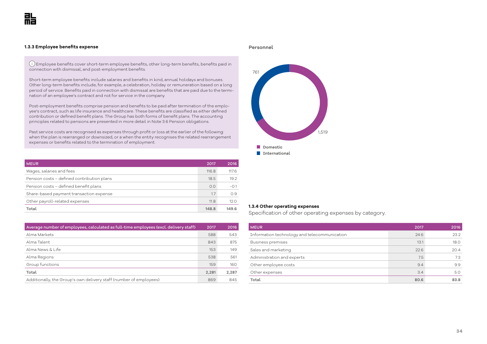#### **1.3.3 Employee benefits expense**

**Personnel**

 Employee benefits cover short-term employee benefits, other long-term benefits, benefits paid in connection with dismissal, and post-employment benefits.

Short-term employee benefits include salaries and benefits in kind, annual holidays and bonuses. Other long-term benefits include, for example, a celebration, holiday or remuneration based on a long period of service. Benefits paid in connection with dismissal are benefits that are paid due to the termination of an employee's contract and not for service in the company.

Post-employment benefits comprise pension and benefits to be paid after termination of the employee's contract, such as life insurance and healthcare. These benefits are classified as either defined contribution or defined benefit plans. The Group has both forms of benefit plans. The accounting principles related to pensions are presented in more detail in Note 3.6 Pension obligations.

Past service costs are recognised as expenses through profit or loss at the earlier of the following: when the plan is rearranged or downsized, or a when the entity recognises the related rearrangement expenses or benefits related to the termination of employment.

| <b>MEUR</b>                                | 2017  | 2016   |
|--------------------------------------------|-------|--------|
| Wages, salaries and fees                   | 116.8 | 117.6  |
| Pension costs - defined contribution plans | 18.5  | 19.2   |
| Pension costs - defined benefit plans      | 0.0   | $-0.1$ |
| Share-based payment transaction expense    | 1.7   | 0.9    |
| Other payroll-related expenses             | 11.8  | 12.0   |
| Total                                      | 148.8 | 149.6  |

| Average number of employees, calculated as full-time employees (excl. delivery staff) | 2017  | 2016  |
|---------------------------------------------------------------------------------------|-------|-------|
| Alma Markets                                                                          | 588   | 543   |
| Alma Talent                                                                           | 843   | 875   |
| Alma News & Life                                                                      | 153   | 149   |
| Alma Regions                                                                          | 538   | 561   |
| Group functions                                                                       | 159   | 160   |
| Total                                                                                 | 2,281 | 2,287 |
| Additionally, the Group's own delivery staff (number of employees):                   | 869   | 845   |



#### **1.3.4 Other operating expenses**

Specification of other operating expenses by category.

| <b>MEUR</b>                                  | 2017 | 2016 |
|----------------------------------------------|------|------|
| Information technology and telecommunication | 24.6 | 23.2 |
| <b>Business premises</b>                     | 13.1 | 18.0 |
| Sales and marketing                          | 22.6 | 20.4 |
| Administration and experts                   | 7.5  | 7.3  |
| Other employee costs                         | 9.4  | 9.9  |
| Other expenses                               | 3.4  | 5.0  |
| Total                                        | 80.6 | 83.8 |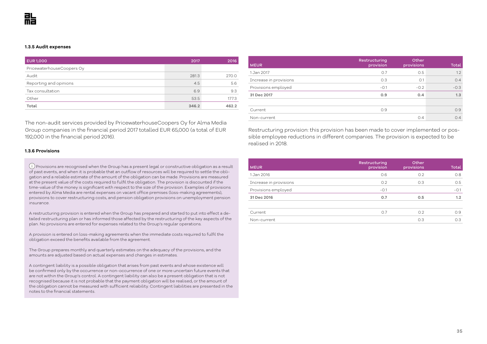#### **1.3.5 Audit expenses**

| <b>EUR1,000</b>           | 2017  | 2016  |
|---------------------------|-------|-------|
| PricewaterhouseCoopers Oy |       |       |
| Audit                     | 281.3 | 270.0 |
| Reporting and opinions    | 4.5   | 5.6   |
| Tax consultation          | 6.9   | 9.3   |
| Other                     | 53.5  | 177.3 |
| Total                     | 346.2 | 462.2 |

The non-audit services provided by PricewaterhouseCoopers Oy for Alma Media Group companies in the financial period 2017 totalled EUR 65,000 (a total of EUR 192,000 in the financial period 2016).

| <b>MEUR</b>            | Restructuring<br>provision | Other<br>provisions | Total  |
|------------------------|----------------------------|---------------------|--------|
| 1 Jan 2017             | 0.7                        | O.5                 | 1.2    |
| Increase in provisions | O.3                        | O.1                 | 0.4    |
| Provisions employed    | $-0.1$                     | $-0.2$              | $-0.3$ |
| 31 Dec 2017            | 0.9                        | 0.4                 | 1.3    |
|                        |                            |                     |        |
| Current                | 0.9                        |                     | 0.9    |
| Non-current            |                            | 0.4                 | 0.4    |

Restructuring provision: this provision has been made to cover implemented or possible employee reductions in different companies. The provision is expected to be realised in 2018.

#### **1.3.6 Provisions**

 Provisions are recognised when the Group has a present legal or constructive obligation as a result of past events, and when it is probable that an outflow of resources will be required to settle the obligation and a reliable estimate of the amount of the obligation can be made. Provisions are measured at the present value of the costs required to fulfil the obligation. The provision is discounted if the time-value of the money is significant with respect to the size of the provision. Examples of provisions entered by Alma Media are rental expenses on vacant office premises (loss-making agreements), provisions to cover restructuring costs, and pension obligation provisions on unemployment pension insurance.

A restructuring provision is entered when the Group has prepared and started to put into effect a detailed restructuring plan or has informed those affected by the restructuring of the key aspects of the plan. No provisions are entered for expenses related to the Group's regular operations.

A provision is entered on loss-making agreements when the immediate costs required to fulfil the obligation exceed the benefits available from the agreement.

The Group prepares monthly and quarterly estimates on the adequacy of the provisions, and the amounts are adjusted based on actual expenses and changes in estimates.

A contingent liability is a possible obligation that arises from past events and whose existence will be confirmed only by the occurrence or non-occurrence of one or more uncertain future events that are not within the Group's control. A contingent liability can also be a present obligation that is not recognised because it is not probable that the payment obligation will be realised, or the amount of the obligation cannot be measured with sufficient reliability. Contingent liabilities are presented in the notes to the financial statements.

| <b>MEUR</b>            | Restructuring<br>provision | Other<br>provisions | Total  |
|------------------------|----------------------------|---------------------|--------|
| 1 Jan 2016             | 0.6                        | O.2                 | 0.8    |
| Increase in provisions | O.2                        | O.3                 | O.5    |
| Provisions employed    | $-0.1$                     |                     | $-0.1$ |
| 31 Dec 2016            | 0.7                        | 0.5                 | 1.2    |
|                        |                            |                     |        |
| Current                | O.7                        | O.2                 | O.9    |
| Non-current            |                            | O.3                 | O.3    |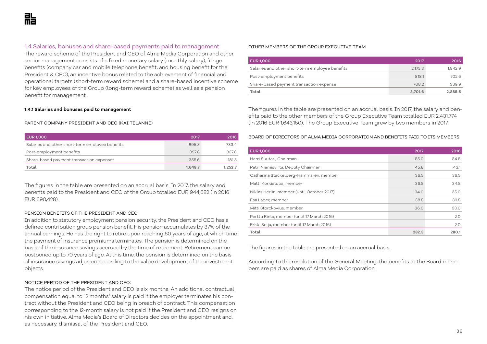### 1.4 Salaries, bonuses and share-based payments paid to management

The reward scheme of the President and CEO of Alma Media Corporation and other senior management consists of a fixed monetary salary (monthly salary), fringe benefits (company car and mobile telephone benefit, and housing benefit for the President & CEO), an incentive bonus related to the achievement of financial and operational targets (short-term reward scheme) and a share-based incentive scheme for key employees of the Group (long-term reward scheme) as well as a pension benefit for management.

#### **1.4.1 Salaries and bonuses paid to management**

#### PARENT COMPANY PRESIDENT AND CEO (KAI TELANNE)

| <b>EUR 1,000</b>                                | 2017    | 2016    |
|-------------------------------------------------|---------|---------|
| Salaries and other short-term employee benefits | 895.3   | 733.4   |
| Post-employment benefits                        | 397.8   | 337.8   |
| Share-based payment transaction expenset        | 355.6   | 181.5   |
| Total                                           | 1.648.7 | 1.252.7 |

The figures in the table are presented on an accrual basis. In 2017, the salary and benefits paid to the President and CEO of the Group totalled EUR 944,682 (in 2016 EUR 690,428).

#### PENSION BENEFITS OF THE PRESIDENT AND CEO:

In addition to statutory employment pension security, the President and CEO has a defined contribution group pension benefit. His pension accumulates by 37% of the annual earnings. He has the right to retire upon reaching 60 years of age, at which time the payment of insurance premiums terminates. The pension is determined on the basis of the insurance savings accrued by the time of retirement. Retirement can be postponed up to 70 years of age. At this time, the pension is determined on the basis of insurance savings adjusted according to the value development of the investment objects.

#### NOTICE PERIOD OF THE PRESIDENT AND CEO:

The notice period of the President and CEO is six months. An additional contractual compensation equal to 12 months' salary is paid if the employer terminates his contract without the President and CEO being in breach of contract. This compensation corresponding to the 12-month salary is not paid if the President and CEO resigns on his own initiative. Alma Media's Board of Directors decides on the appointment and, as necessary, dismissal of the President and CEO.

#### OTHER MEMBERS OF THE GROUP EXECUTIVE TEAM

| <b>EUR1,000</b>                                 | 2017    | 2016    |
|-------------------------------------------------|---------|---------|
| Salaries and other short-term employee benefits | 2,175.3 | 1,842.9 |
| Post-employment benefits                        | 818.1   | 702.6   |
| Share-based payment transaction expense         | 708.2   | 339.9   |
| Total                                           | 3,701.6 | 2,885.5 |

The figures in the table are presented on an accrual basis. In 2017, the salary and benefits paid to the other members of the Group Executive Team totalled EUR 2,431,774 (in 2016 EUR 1,643,150). The Group Executive Team grew by two members in 2017.

BOARD OF DIRECTORS OF ALMA MEDIA CORPORATION AND BENEFITS PAID TO ITS MEMBERS

| <b>EUR1,000</b>                            | 2017  | 2016  |
|--------------------------------------------|-------|-------|
| Harri Suutari, Chairman                    | 55.0  | 54.5  |
| Petri Niemisvirta, Deputy Chairman         | 45.8  | 43.1  |
| Catharina Stackelberg-Hammarén, member     | 36.5  | 36.5  |
| Matti Korkiatupa, member                   | 36.5  | 34.5  |
| Niklas Herlin, member (until October 2017) | 34.0  | 35.0  |
| Esa Lager, member                          | 38.5  | 39.5  |
| Mitti Storckovius, member                  | 36.0  | 33.0  |
| Perttu Rinta, member (until 17 March 2016) |       | 2.0   |
| Erkki Solja, member (until 17 March 2016)  |       | 2.0   |
| Total                                      | 282.3 | 280.1 |

The figures in the table are presented on an accrual basis.

According to the resolution of the General Meeting, the benefits to the Board members are paid as shares of Alma Media Corporation.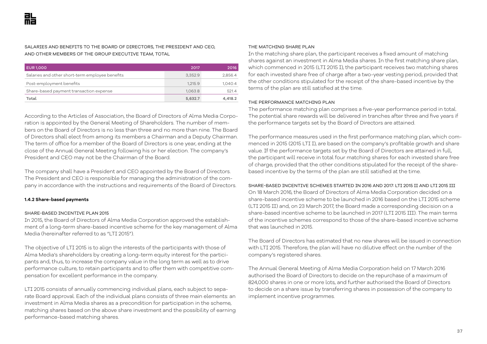SALARIES AND BENEFITS TO THE BOARD OF DIRECTORS, THE PRESIDENT AND CEO, AND OTHER MEMBERS OF THE GROUP EXECUTIVE TEAM, TOTAL

| <b>EUR 1,000</b>                                | 2017    | 2016    |
|-------------------------------------------------|---------|---------|
| Salaries and other short-term employee benefits | 3,352.9 | 2,856.4 |
| Post-employment benefits                        | 1,215.9 | 1,040.4 |
| Share-based payment transaction expense         | 1,063.8 | 521.4   |
| Total                                           | 5,632.7 | 4.418.2 |

According to the Articles of Association, the Board of Directors of Alma Media Corporation is appointed by the General Meeting of Shareholders. The number of members on the Board of Directors is no less than three and no more than nine. The Board of Directors shall elect from among its members a Chairman and a Deputy Chairman. The term of office for a member of the Board of Directors is one year, ending at the close of the Annual General Meeting following his or her election. The company's President and CEO may not be the Chairman of the Board.

The company shall have a President and CEO appointed by the Board of Directors. The President and CEO is responsible for managing the administration of the company in accordance with the instructions and requirements of the Board of Directors.

#### **1.4.2 Share-based payments**

#### SHARE-BASED INCENTIVE PLAN 2015

In 2015, the Board of Directors of Alma Media Corporation approved the establishment of a long-term share-based incentive scheme for the key management of Alma Media (hereinafter referred to as "LTI 2015").

The objective of LTI 2015 is to align the interests of the participants with those of Alma Media's shareholders by creating a long-term equity interest for the participants and, thus, to increase the company value in the long term as well as to drive performance culture, to retain participants and to offer them with competitive compensation for excellent performance in the company.

LTI 2015 consists of annually commencing individual plans, each subject to separate Board approval. Each of the individual plans consists of three main elements: an investment in Alma Media shares as a precondition for participation in the scheme, matching shares based on the above share investment and the possibility of earning performance-based matching shares.

#### THE MATCHING SHARE PLAN

In the matching share plan, the participant receives a fixed amount of matching shares against an investment in Alma Media shares. In the first matching share plan, which commenced in 2015 (LTI 2015 I), the participant receives two matching shares for each invested share free of charge after a two-year vesting period, provided that the other conditions stipulated for the receipt of the share-based incentive by the terms of the plan are still satisfied at the time.

#### THE PERFORMANCE MATCHING PLAN

The performance matching plan comprises a five-year performance period in total. The potential share rewards will be delivered in tranches after three and five years if the performance targets set by the Board of Directors are attained.

The performance measures used in the first performance matching plan, which commenced in 2015 (2015 LTI I), are based on the company's profitable growth and share value. If the performance targets set by the Board of Directors are attained in full, the participant will receive in total four matching shares for each invested share free of charge, provided that the other conditions stipulated for the receipt of the sharebased incentive by the terms of the plan are still satisfied at the time.

#### SHARE-BASED INCENTIVE SCHEMES STARTED IN 2016 AND 2017: LTI 2015 II AND LTI 2015 III

On 18 March 2016, the Board of Directors of Alma Media Corporation decided on a share-based incentive scheme to be launched in 2016 based on the LTI 2015 scheme (LTI 2015 II) and, on 23 March 2017, the Board made a corresponding decision on a share-based incentive scheme to be launched in 2017 (LTI 2015 III). The main terms of the incentive schemes correspond to those of the share-based incentive scheme that was launched in 2015.

The Board of Directors has estimated that no new shares will be issued in connection with LTI 2015. Therefore, the plan will have no dilutive effect on the number of the company's registered shares.

The Annual General Meeting of Alma Media Corporation held on 17 March 2016 authorised the Board of Directors to decide on the repurchase of a maximum of 824,000 shares in one or more lots, and further authorised the Board of Directors to decide on a share issue by transferring shares in possession of the company to implement incentive programmes.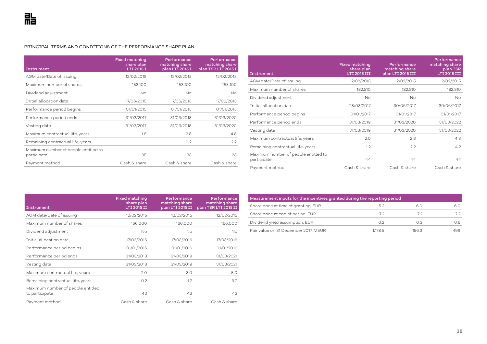#### PRINCIPAL TERMS AND CONDITIONS OF THE PERFORMANCE SHARE PLAN

| Instrument                                          | <b>Fixed matching</b><br>share plan<br>LTI 2015 I | Performance<br>matching share<br>plan LTI 2015 I | Performance<br>matching share<br>plan TSR LTI 2015 I |
|-----------------------------------------------------|---------------------------------------------------|--------------------------------------------------|------------------------------------------------------|
| AGM date/Date of issuing                            | 12/02/2015                                        | 12/02/2015                                       | 12/02/2015                                           |
| Maximum number of shares                            | 153,100                                           | 153,100                                          | 153,100                                              |
| Dividend adjustment                                 | <b>No</b>                                         | <b>No</b>                                        | <b>No</b>                                            |
| Initial allocation date                             | 17/06/2015                                        | 17/06/2015                                       | 17/06/2015                                           |
| Performance period begins                           | 01/01/2015                                        | 01/01/2015                                       | 01/01/2015                                           |
| Performance period ends                             | 31/03/2017                                        | 31/03/2018                                       | 31/03/2020                                           |
| Vesting date                                        | 31/03/2017                                        | 31/03/2018                                       | 31/03/2020                                           |
| Maximum contractual life, years                     | 1.8                                               | 2.8                                              | 4.8                                                  |
| Remaining contractual life, years                   |                                                   | 0.2                                              | 2.2                                                  |
| Maximum number of people entitled to<br>participate | 35                                                | 35                                               | 35                                                   |
| Payment method                                      | Cash & share                                      | Cash & share                                     | Cash & share                                         |

| Instrument                                          | <b>Fixed matching</b><br>share plan<br><b>LTI 2015 III</b> | Performance<br>matching share<br>plan LTI 2015 III | Performance<br>matching share<br>plan TSR<br>LTI 2015 III |
|-----------------------------------------------------|------------------------------------------------------------|----------------------------------------------------|-----------------------------------------------------------|
| AGM date/Date of issuing                            | 12/02/2015                                                 | 12/02/2015                                         | 12/02/2015                                                |
| Maximum number of shares                            | 182,510                                                    | 182,510                                            | 182,510                                                   |
| Dividend adjustment                                 | <b>No</b>                                                  | No                                                 | <b>No</b>                                                 |
| Initial allocation date                             | 28/03/2017                                                 | 30/06/2017                                         | 30/06/2017                                                |
| Performance period begins                           | 01/01/2017                                                 | 01/01/2017                                         | 01/01/2017                                                |
| Performance period ends                             | 31/03/2019                                                 | 31/03/2020                                         | 31/03/2022                                                |
| Vesting date                                        | 31/03/2019                                                 | 31/03/2020                                         | 31/03/2022                                                |
| Maximum contractual life, years                     | 2.0                                                        | 2.8                                                | 4.8                                                       |
| Remaining contractual life, years                   | 1.2                                                        | 2.2                                                | 4.2                                                       |
| Maximum number of people entitled to<br>participate | 44                                                         | 44                                                 | 44                                                        |
| Payment method                                      | Cash & share                                               | Cash & share                                       | Cash & share                                              |

| Instrument                                          | <b>Fixed matching</b><br>share plan<br>LTI 2015 II | Performance<br>matching share<br>plan LTI 2015 II | Performance<br>matching share<br>plan TSR LTI 2015 II |
|-----------------------------------------------------|----------------------------------------------------|---------------------------------------------------|-------------------------------------------------------|
| AGM date/Date of issuing                            | 12/02/2015                                         | 12/02/2015                                        | 12/02/2015                                            |
| Maximum number of shares                            | 166,000                                            | 166,000                                           | 166,000                                               |
| Dividend adjustment                                 | No                                                 | No                                                | No.                                                   |
| Initial allocation date                             | 17/03/2016                                         | 17/03/2016                                        | 17/03/2016                                            |
| Performance period begins                           | 01/01/2016                                         | 01/01/2016                                        | 01/01/2016                                            |
| Performance period ends                             | 31/03/2018                                         | 31/03/2019                                        | 31/03/2021                                            |
| Vesting date                                        | 31/03/2018                                         | 31/03/2019                                        | 31/03/2021                                            |
| Maximum contractual life, years                     | 2.0                                                | 3.0                                               | 5.0                                                   |
| Remaining contractual life, years                   | O.2                                                | 1.2                                               | 3.2                                                   |
| Maximum number of people entitled<br>to participate | 43                                                 | 43                                                | 43                                                    |
| Payment method                                      | Cash & share                                       | Cash & share                                      | Cash & share                                          |

| Measurement inputs for the incentives granted during the reporting period |         |       |      |  |  |
|---------------------------------------------------------------------------|---------|-------|------|--|--|
| Share price at time of granting, EUR                                      | 5.2     | 6.0   | 6.0  |  |  |
| Share price at end of period, EUR                                         | 72      | 72    | 7.2  |  |  |
| Dividend yield assumption, EUR                                            | Ω2      | OЗ    | 06.  |  |  |
| Fair value on 31 December 2017, MEUR                                      | 1.178.5 | 156.3 | 499. |  |  |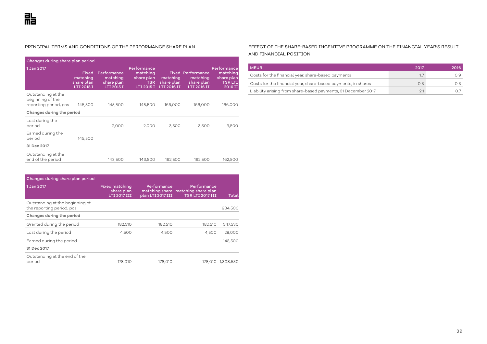#### PRINCIPAL TERMS AND CONDITIONS OF THE PERFORMANCE SHARE PLAN

| Changes during share plan period                                |                                               |                                                     |                                                                   |                                       |                                                                   |                                                                    |
|-----------------------------------------------------------------|-----------------------------------------------|-----------------------------------------------------|-------------------------------------------------------------------|---------------------------------------|-------------------------------------------------------------------|--------------------------------------------------------------------|
| 1 Jan 2017                                                      | Fixed<br>matching<br>share plan<br>LTI 2015 I | Performance<br>matching<br>share plan<br>LTI 2015 I | Performance<br>matching<br>share plan<br><b>TSR</b><br>LTI 2015 I | matching<br>share plan<br>LTI 2016 II | <b>Fixed Performance</b><br>matching<br>share plan<br>LTI 2016 II | Performancel<br>matching<br>share plan<br><b>TSRLTI</b><br>2016 II |
| Outstanding at the<br>beginning of the<br>reporting period, pcs | 145,500                                       | 145,500                                             | 145,500                                                           | 166,000                               | 166,000                                                           | 166,000                                                            |
| Changes during the period                                       |                                               |                                                     |                                                                   |                                       |                                                                   |                                                                    |
| Lost during the<br>period                                       |                                               | 2,000                                               | 2,000                                                             | 3,500                                 | 3,500                                                             | 3,500                                                              |
| Earned during the<br>period                                     | 145,500                                       |                                                     |                                                                   |                                       |                                                                   |                                                                    |
| 31 Dec 2017                                                     |                                               |                                                     |                                                                   |                                       |                                                                   |                                                                    |
| Outstanding at the<br>end of the period                         |                                               | 143,500                                             | 143,500                                                           | 162,500                               | 162,500                                                           | 162,500                                                            |

| Changes during share plan period                             |                                                            |                                  |                                                                              |                   |
|--------------------------------------------------------------|------------------------------------------------------------|----------------------------------|------------------------------------------------------------------------------|-------------------|
| 1 Jan 2017                                                   | <b>Fixed matching</b><br>share plan<br><b>LTI 2017 III</b> | Performance<br>plan LTI 2017 III | Performance<br>matching share matching share plan<br><b>TSR LTI 2017 III</b> | Total             |
| Outstanding at the beginning of<br>the reporting period, pcs |                                                            |                                  |                                                                              | 934,500           |
| Changes during the period                                    |                                                            |                                  |                                                                              |                   |
| Granted during the period                                    | 182,510                                                    | 182,510                          | 182,510                                                                      | 547,530           |
| Lost during the period                                       | 4,500                                                      | 4,500                            | 4,500                                                                        | 28,000            |
| Earned during the period                                     |                                                            |                                  |                                                                              | 145,500           |
| 31 Dec 2017                                                  |                                                            |                                  |                                                                              |                   |
| Outstanding at the end of the<br>period                      | 178,010                                                    | 178,010                          |                                                                              | 178,010 1,308,530 |

#### EFFECT OF THE SHARE-BASED INCENTIVE PROGRAMME ON THE FINANCIAL YEAR'S RESULT AND FINANCIAL POSITION

| <b>MEUR</b>                                                   | 2017 | 2016 |
|---------------------------------------------------------------|------|------|
| Costs for the financial year, share-based payments            | 17   |      |
| Costs for the financial year, share-based payments, in shares | 0.3  |      |
| Liability arising from share-based payments, 31 December 2017 | 2.1  |      |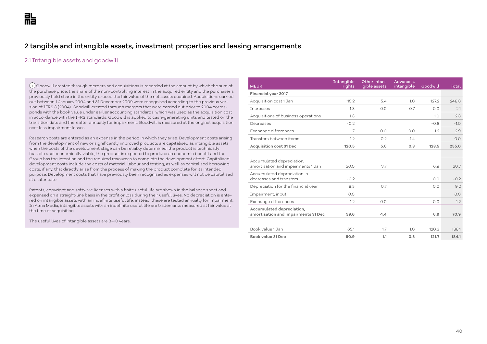## 2 tangible and intangible assets, investment properties and leasing arrangements

## 2.1 Intangible assets and goodwill

 $(i)$  Goodwill created through mergers and acquisitions is recorded at the amount by which the sum of the purchase price, the share of the non-controlling interest in the acquired entity and the purchaser's previously held share in the entity exceed the fair value of the net assets acquired. Acquisitions carried out between 1 January 2004 and 31 December 2009 were recognised according to the previous version of IFRS 3 (2004). Goodwill created through mergers that were carried out prior to 2004 corresponds with the book value under earlier accounting standards, which was used as the acquisition cost in accordance with the IFRS standards. Goodwill is applied to cash-generating units and tested on the transition date and thereafter annually for impairment. Goodwill is measured at the original acquisition cost less impairment losses.

Research costs are entered as an expense in the period in which they arise. Development costs arising from the development of new or significantly improved products are capitalised as intangible assets when the costs of the development stage can be reliably determined, the product is technically feasible and economically viable, the product is expected to produce an economic benefit and the Group has the intention and the required resources to complete the development effort. Capitalised development costs include the costs of material, labour and testing, as well as capitalised borrowing costs, if any, that directly arise from the process of making the product complete for its intended purpose. Development costs that have previously been recognised as expenses will not be capitalised at a later date.

Patents, copyright and software licenses with a finite useful life are shown in the balance sheet and expensed on a straight-line basis in the profit or loss during their useful lives. No depreciation is entered on intangible assets with an indefinite useful life; instead, these are tested annually for impairment. In Alma Media, intangible assets with an indefinite useful life are trademarks measured at fair value at the time of acquisition.

The useful lives of intangible assets are 3–10 years.

| <b>MEUR</b>                                                      | Intangible<br>rights | Other intan-<br>gible assets | Advances,<br>intangible | Goodwill | Total  |
|------------------------------------------------------------------|----------------------|------------------------------|-------------------------|----------|--------|
| Financial year 2017                                              |                      |                              |                         |          |        |
| Acquisition cost 1 Jan                                           | 115.2                | 5.4                          | 1.0                     | 127.2    | 248.8  |
| Increases                                                        | 1.3                  | 0.0                          | 0.7                     | 0.0      | 2.1    |
| Acquisitions of business operations                              | 1.3                  |                              |                         | 1.0      | 2.3    |
| Decreases                                                        | $-0.2$               |                              |                         | $-0.8$   | $-1.0$ |
| Exchange differences                                             | 1.7                  | 0.0                          | 0.0                     | 1.2      | 2.9    |
| Transfers between items                                          | 1.2                  | 0.2                          | $-1.4$                  |          | 0.0    |
| <b>Acquisition cost 31 Dec</b>                                   | 120.5                | 5.6                          | 0.3                     | 128.5    | 255.0  |
|                                                                  |                      |                              |                         |          |        |
| Accumulated depreciation,<br>amortisation and impairments 1 Jan  | 50.0                 | 3.7                          |                         | 6.9      | 60.7   |
| Accumulated depreciation in<br>decreases and transfers           | $-0.2$               |                              |                         | 0.0      | $-0.2$ |
| Depreciation for the financial year                              | 8.5                  | 0.7                          |                         | 0.0      | 9.2    |
| Impairment, input                                                | 0.0                  |                              |                         |          | 0.0    |
| Exchange differences                                             | 1.2                  | 0.0                          |                         | 0.0      | 1.2    |
| Accumulated depreciation,<br>amortisation and impairments 31 Dec | 59.6                 | 4.4                          |                         | 6.9      | 70.9   |
| Book value 1 Jan                                                 | 65.1                 | 1.7                          | 1.0                     | 120.3    | 188.1  |
| Book value 31 Dec                                                | 60.9                 | 1.1                          | 0.3                     | 121.7    | 184.1  |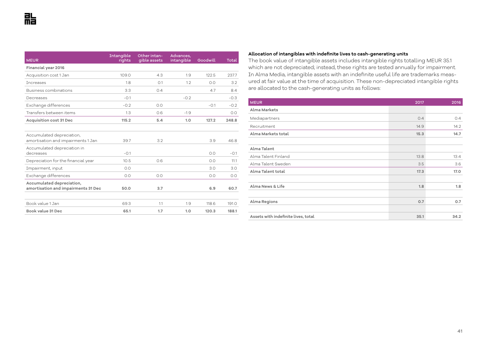| <b>MEUR</b>                                                      | Intangible<br>rights | Other intan-<br>gible assets | Advances,<br>intangible | Goodwill | Total  |
|------------------------------------------------------------------|----------------------|------------------------------|-------------------------|----------|--------|
| Financial year 2016                                              |                      |                              |                         |          |        |
| Acquisition cost 1 Jan                                           | 109.0                | 4.3                          | 1.9                     | 122.5    | 237.7  |
| <b>Tncreases</b>                                                 | 1.8                  | O.1                          | 1.2                     | 0.0      | 3.2    |
| Business combinations                                            | 3.3                  | 0.4                          |                         | 4.7      | 8.4    |
| Decreases                                                        | $-0.1$               |                              | $-0.2$                  |          | $-0.3$ |
| Exchange differences                                             | $-0.2$               | O.O                          |                         | $-0.1$   | $-0.2$ |
| Transfers between items                                          | 1.3                  | 0.6                          | $-1.9$                  |          | 0.0    |
| <b>Acquisition cost 31 Dec</b>                                   | 115.2                | 5.4                          | 1.0                     | 127.2    | 248.8  |
|                                                                  |                      |                              |                         |          |        |
| Accumulated depreciation,<br>amortisation and impairments 1 Jan  | 39.7                 | 3.2                          |                         | 3.9      | 46.8   |
| Accumulated depreciation in<br>decreases                         | $-0.1$               |                              |                         | 0.0      | $-0.1$ |
| Depreciation for the financial year                              | 10.5                 | 0.6                          |                         | 0.0      | 11.1   |
| Impairment, input                                                | 0.0                  |                              |                         | 3.0      | 3.0    |
| Exchange differences                                             | 0.0                  | 0.0                          |                         | 0.0      | O.O    |
| Accumulated depreciation,<br>amortisation and impairments 31 Dec | 50.0                 | 3.7                          |                         | 6.9      | 60.7   |
| Book value 1 Jan                                                 | 69.3                 | 1.1                          | 1.9                     | 118.6    | 191.0  |
| Book value 31 Dec                                                | 65.1                 | 1.7                          | 1.0                     | 120.3    | 188.1  |

## **Allocation of intangibles with indefinite lives to cash-generating units**

The book value of intangible assets includes intangible rights totalling MEUR 35.1 which are not depreciated; instead, these rights are tested annually for impairment. In Alma Media, intangible assets with an indefinite useful life are trademarks measured at fair value at the time of acquisition. These non-depreciated intangible rights are allocated to the cash-generating units as follows:

| <b>MEUR</b>                         | 2017 | 2016 |
|-------------------------------------|------|------|
| Alma Markets                        |      |      |
| Mediapartners                       | 0.4  | 0.4  |
| Recruitment                         | 14.9 | 14.2 |
| Alma Markets total                  | 15.3 | 14.7 |
|                                     |      |      |
| Alma Talent                         |      |      |
| Alma Talent Finland                 | 13.8 | 13.4 |
| Alma Talent Sweden                  | 3.5  | 3.6  |
| Alma Talent total                   | 17.3 | 17.0 |
|                                     |      |      |
| Alma News & Life                    | 1.8  | 1.8  |
|                                     |      |      |
| Alma Regions                        | 0.7  | 0.7  |
|                                     |      |      |
| Assets with indefinite lives, total | 35.1 | 34.2 |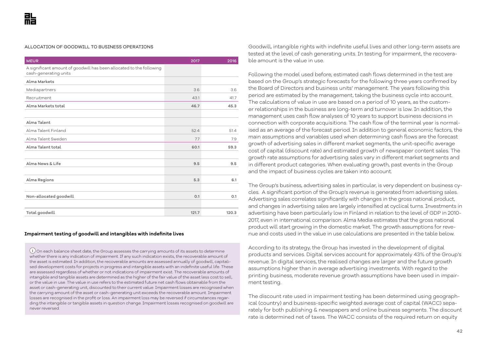#### ALLOCATION OF GOODWILL TO BUSINESS OPERATIONS

| <b>MEUR</b>                                                                                   | 2017  | 2016  |
|-----------------------------------------------------------------------------------------------|-------|-------|
| A significant amount of goodwill has been allocated to the following<br>cash-generating units |       |       |
| Alma Markets                                                                                  |       |       |
| Mediapartners                                                                                 | 3.6   | 3.6   |
| Recruitment                                                                                   | 43.1  | 41.7  |
| Alma Markets total                                                                            | 46.7  | 45.3  |
|                                                                                               |       |       |
| Alma Talent                                                                                   |       |       |
| Alma Talent Finland                                                                           | 52.4  | 51.4  |
| Alma Talent Sweden                                                                            | 7.7   | 7.9   |
| Alma Talent total                                                                             | 60.1  | 59.3  |
|                                                                                               |       |       |
| Alma News & Life                                                                              | 9.5   | 9.5   |
|                                                                                               |       |       |
| Alma Regions                                                                                  | 5.3   | 6.1   |
|                                                                                               |       |       |
| Non-allocated goodwill                                                                        | 0.1   | 0.1   |
|                                                                                               |       |       |
| Total goodwill                                                                                | 121.7 | 120.3 |

#### **Impairment testing of goodwill and intangibles with indefinite lives**

 $(i)$ On each balance sheet date, the Group assesses the carrying amounts of its assets to determine whether there is any indication of impairment. If any such indication exists, the recoverable amount of the asset is estimated. In addition, the recoverable amounts are assessed annually of goodwill, capitalised development costs for projects in progress and intangible assets with an indefinite useful life. These are assessed regardless of whether or not indications of impairment exist. The recoverable amounts of intangible and tangible assets are determined as the higher of the fair value of the asset less cost to sell, or the value in use. The value in use refers to the estimated future net cash flows obtainable from the asset or cash-generating unit, discounted to their current value. Impairment losses are recognised when the carrying amount of the asset or cash-generating unit exceeds the recoverable amount. Impairment losses are recognised in the profit or loss. An impairment loss may be reversed if circumstances regarding the intangible or tangible assets in question change. Impairment losses recognised on goodwill are never reversed.

Goodwill, intangible rights with indefinite useful lives and other long-term assets are tested at the level of cash generating units. In testing for impairment, the recoverable amount is the value in use.

Following the model used before, estimated cash flows determined in the test are based on the Group's strategic forecasts for the following three years confirmed by the Board of Directors and business units' management. The years following this period are estimated by the management, taking the business cycle into account. The calculations of value in use are based on a period of 10 years, as the customer relationships in the business are long-term and turnover is low. In addition, the management uses cash flow analyses of 10 years to support business decisions in connection with corporate acquisitions. The cash flow of the terminal year is normalised as an average of the forecast period. In addition to general economic factors, the main assumptions and variables used when determining cash flows are the forecast growth of advertising sales in different market segments, the unit-specific average cost of capital (discount rate) and estimated growth of newspaper content sales. The growth rate assumptions for advertising sales vary in different market segments and in different product categories. When evaluating growth, past events in the Group and the impact of business cycles are taken into account.

The Group's business, advertising sales in particular, is very dependent on business cycles. A significant portion of the Group's revenue is generated from advertising sales. Advertising sales correlates significantly with changes in the gross national product, and changes in advertising sales are largely intensified at cyclical turns. Investments in advertising have been particularly low in Finland in relation to the level of GDP in 2010- 2017, even in international comparison. Alma Media estimates that the gross national product will start growing in the domestic market. The growth assumptions for revenue and costs used in the value in use calculations are presented in the table below.

According to its strategy, the Group has invested in the development of digital products and services. Digital services account for approximately 43% of the Group's revenue. In digital services, the realised changes are larger and the future growth assumptions higher than in average advertising investments. With regard to the printing business, moderate revenue growth assumptions have been used in impairment testing.

The discount rate used in impairment testing has been determined using geographical (country) and business-specific weighted average cost of capital (WACC) separately for both publishing & newspapers and online business segments. The discount rate is determined net of taxes. The WACC consists of the required return on equity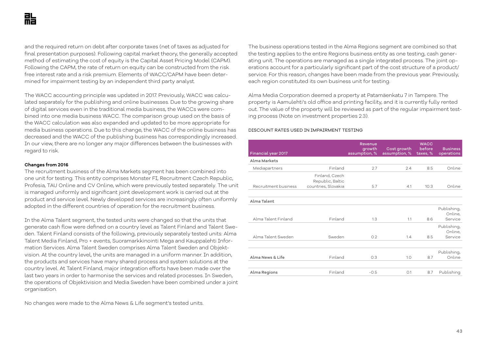and the required return on debt after corporate taxes (net of taxes as adjusted for final presentation purposes). Following capital market theory, the generally accepted method of estimating the cost of equity is the Capital Asset Pricing Model (CAPM). Following the CAPM, the rate of return on equity can be constructed from the risk free interest rate and a risk premium. Elements of WACC/CAPM have been determined for impairment testing by an independent third party analyst.

The WACC accounting principle was updated in 2017. Previously, WACC was calculated separately for the publishing and online businesses. Due to the growing share of digital services even in the traditional media business, the WACCs were combined into one media business WACC. The comparison group used on the basis of the WACC calculation was also expanded and updated to be more appropriate for media business operations. Due to this change, the WACC of the online business has decreased and the WACC of the publishing business has correspondingly increased. In our view, there are no longer any major differences between the businesses with regard to risk.

## **Changes from 2016**

The recruitment business of the Alma Markets segment has been combined into one unit for testing. This entity comprises Monster FI, Recruitment Czech Republic, Profesia, TAU Online and CV Online, which were previously tested separately. The unit is managed uniformly and significant joint development work is carried out at the product and service level. Newly developed services are increasingly often uniformly adopted in the different countries of operation for the recruitment business.

In the Alma Talent segment, the tested units were changed so that the units that generate cash flow were defined on a country level as Talent Finland and Talent Sweden. Talent Finland consists of the following, previously separately tested units: Alma Talent Media Finland, Pro + events, Suoramarkkinointi Mega and Kauppalehti Information Services. Alma Talent Sweden comprises Alma Talent Sweden and Objektvision. At the country level, the units are managed in a uniform manner. In addition, the products and services have many shared process and system solutions at the country level. At Talent Finland, major integration efforts have been made over the last two years in order to harmonise the services and related processes. In Sweden, the operations of Objektivision and Media Sweden have been combined under a joint organisation.

No changes were made to the Alma News & Life segment's tested units.

The business operations tested in the Alma Regions segment are combined so that the testing applies to the entire Regions business entity as one testing, cash generating unit. The operations are managed as a single integrated process. The joint operations account for a particularly significant part of the cost structure of a product/ service. For this reason, changes have been made from the previous year. Previously, each region constituted its own business unit for testing.

Alma Media Corporation deemed a property at Patamäenkatu 7 in Tampere. The property is Aamulehti's old office and printing facility, and it is currently fully rented out. The value of the property will be reviewed as part of the regular impairment testing process (Note on investment properties 2.3).

#### DISCOUNT RATES USED IN IMPAIRMENT TESTING

| <b>Financial year 2017</b> |                                                           | <b>Revenue</b><br>growth<br>assumption, % | Cost growth<br>assumption, % | <b>WACC</b><br>before<br>taxes, % | <b>Business</b><br>operations     |
|----------------------------|-----------------------------------------------------------|-------------------------------------------|------------------------------|-----------------------------------|-----------------------------------|
| Alma Markets               |                                                           |                                           |                              |                                   |                                   |
| Mediapartners              | Finland                                                   | 2.7                                       | 2.4                          | 8.5                               | Online                            |
| Recruitment business       | Finland, Czech<br>Republic, Baltic<br>countries, Slovakia | 5.7                                       | 4.1                          | 10.3                              | Online                            |
| Alma Talent                |                                                           |                                           |                              |                                   |                                   |
| Alma Talent Finland        | Finland                                                   | 1.3                                       | 1.1                          | 8.6                               | Publishing,<br>Online,<br>Service |
| Alma Talent Sweden         | Sweden                                                    | 0.2                                       | 1.4                          | 8.5                               | Publishing,<br>Online,<br>Service |
| Alma News & Life           | Finland                                                   | O.3                                       | 1.0                          | 8.7                               | Publishing,<br>Online             |
| Alma Regions               | Finland                                                   | $-0.5$                                    | O.1                          | 8.7                               | Publishing                        |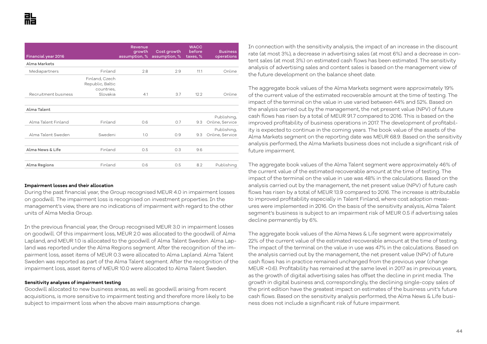| Financial year 2016                |                                                  | Revenue<br>growth<br>assumption, % | Cost growth<br>assumption, % | <b>WACC</b><br>before<br>taxes, % | <b>Business</b><br>operations  |
|------------------------------------|--------------------------------------------------|------------------------------------|------------------------------|-----------------------------------|--------------------------------|
| Alma Markets                       |                                                  |                                    |                              |                                   |                                |
| Mediapartners                      | Finland                                          | 2.8                                | 2.9                          | 11.1                              | Online                         |
|                                    | Finland, Czech<br>Republic, Baltic<br>countries, |                                    |                              |                                   |                                |
| Recruitment business               | Slovakia                                         | 4.1                                | 3.7                          | 12.2                              | Online                         |
| Alma Talent<br>Alma Talent Finland | Finland                                          | 0.6                                | O.7                          | 9.3                               | Publishing,<br>Online, Service |
| Alma Talent Sweden                 | Swedeni                                          | 1.0                                | O.9                          | 9.3                               | Publishing,<br>Online, Service |
| Alma News & Life                   | Finland                                          | 0.5                                | 0.3                          | 96                                |                                |
| Alma Regions                       | Finland                                          | 0.6                                | 0.5                          | 8.2                               | Publishing                     |

#### **Impairment losses and their allocation**

During the past financial year, the Group recognised MEUR 4.0 in impairment losses on goodwill. The impairment loss is recognised on investment properties. In the management's view, there are no indications of impairment with regard to the other units of Alma Media Group.

In the previous financial year, the Group recognised MEUR 3.0 in impairment losses on goodwill. Of this impairment loss, MEUR 2.0 was allocated to the goodwill of Alma Lapland, and MEUR 1.0 is allocated to the goodwill of Alma Talent Sweden. Alma Lapland was reported under the Alma Regions segment. After the recognition of the impairment loss, asset items of MEUR 0.3 were allocated to Alma Lapland. Alma Talent Sweden was reported as part of the Alma Talent segment. After the recognition of the impairment loss, asset items of MEUR 10.0 were allocated to Alma Talent Sweden.

#### **Sensitivity analyses of impairment testing**

Goodwill allocated to new business areas, as well as goodwill arising from recent acquisitions, is more sensitive to impairment testing and therefore more likely to be subject to impairment loss when the above main assumptions change.

In connection with the sensitivity analysis, the impact of an increase in the discount rate (at most 3%), a decrease in advertising sales (at most 6%) and a decrease in content sales (at most 3%) on estimated cash flows has been estimated. The sensitivity analysis of advertising sales and content sales is based on the management view of the future development on the balance sheet date.

The aggregate book values of the Alma Markets segment were approximately 19% of the current value of the estimated recoverable amount at the time of testing. The impact of the terminal on the value in use varied between 44% and 52%. Based on the analysis carried out by the management, the net present value (NPV) of future cash flows has risen by a total of MEUR 91.7 compared to 2016. This is based on the improved profitability of business operations in 2017. The development of profitability is expected to continue in the coming years. The book value of the assets of the Alma Markets segment on the reporting date was MEUR 68.9. Based on the sensitivity analysis performed, the Alma Markets business does not include a significant risk of future impairment.

The aggregate book values of the Alma Talent segment were approximately 46% of the current value of the estimated recoverable amount at the time of testing. The impact of the terminal on the value in use was 48% in the calculations. Based on the analysis carried out by the management, the net present value (NPV) of future cash flows has risen by a total of MEUR 13.9 compared to 2016. The increase is attributable to improved profitability especially in Talent Finland, where cost adoption measures were implemented in 2016. On the basis of the sensitivity analysis, Alma Talent segment's business is subject to an impairment risk of MEUR 0.5 if advertising sales decline permanently by 6%.

The aggregate book values of the Alma News & Life segment were approximately 22% of the current value of the estimated recoverable amount at the time of testing. The impact of the terminal on the value in use was 47% in the calculations. Based on the analysis carried out by the management, the net present value (NPV) of future cash flows has in practice remained unchanged from the previous year (change MEUR +0.6). Profitability has remained at the same level in 2017 as in previous years, as the growth of digital advertising sales has offset the decline in print media. The growth in digital business and, correspondingly, the declining single-copy sales of the print edition have the greatest impact on estimates of the business unit's future cash flows. Based on the sensitivity analysis performed, the Alma News & Life business does not include a significant risk of future impairment.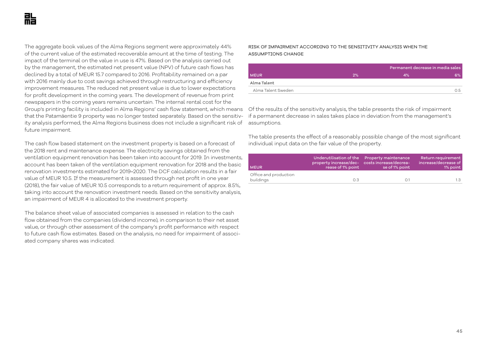The aggregate book values of the Alma Regions segment were approximately 44% of the current value of the estimated recoverable amount at the time of testing. The impact of the terminal on the value in use is 47%. Based on the analysis carried out by the management, the estimated net present value (NPV) of future cash flows has declined by a total of MEUR 15.7 compared to 2016. Profitability remained on a par with 2016 mainly due to cost savings achieved through restructuring and efficiency improvement measures. The reduced net present value is due to lower expectations for profit development in the coming years. The development of revenue from print newspapers in the coming years remains uncertain. The internal rental cost for the Group's printing facility is included in Alma Regions' cash flow statement, which means  $\;$  Of the results of the sensitivity analysis, the table presents the risk of impairment that the Patamäentie 9 property was no longer tested separately. Based on the sensitivity analysis performed, the Alma Regions business does not include a significant risk of future impairment.

The cash flow based statement on the investment property is based on a forecast of the 2018 rent and maintenance expense. The electricity savings obtained from the ventilation equipment renovation has been taken into account for 2019. In investments, account has been taken of the ventilation equipment renovation for 2018 and the basic renovation investments estimated for 2019–2020. The DCF calculation results in a fair value of MEUR 10.5. If the measurement is assessed through net profit in one year (2018), the fair value of MEUR 10.5 corresponds to a return requirement of approx. 8.5%, taking into account the renovation investment needs. Based on the sensitivity analysis, an impairment of MEUR 4 is allocated to the investment property.

The balance sheet value of associated companies is assessed in relation to the cash flow obtained from the companies (dividend income), in comparison to their net asset value, or through other assessment of the company's profit performance with respect to future cash flow estimates. Based on the analysis, no need for impairment of associated company shares was indicated.

### RISK OF IMPAIRMENT ACCORDING TO THE SENSITIVITY ANALYSIS WHEN THE ASSUMPTIONS CHANGE

|                    |    |    | Permanent decrease in media sales |  |
|--------------------|----|----|-----------------------------------|--|
| <b>MEUR</b>        | 2% | 4% | 6%                                |  |
| Alma Talent        |    |    |                                   |  |
| Alma Talent Sweden |    |    | 0.5                               |  |
|                    |    |    |                                   |  |

if a permanent decrease in sales takes place in deviation from the management's assumptions.

The table presents the effect of a reasonably possible change of the most significant individual input data on the fair value of the property.

| <b>MEUR</b>                        | property increase/dec- costs increase/decrea-<br>rease of 1% point | Underutilisation of the Property maintenance<br>se of 1% point | Return requirement<br>increase/decrease of<br>1% point |
|------------------------------------|--------------------------------------------------------------------|----------------------------------------------------------------|--------------------------------------------------------|
| Office and production<br>buildings | OЗ                                                                 | O 1                                                            | 1.3                                                    |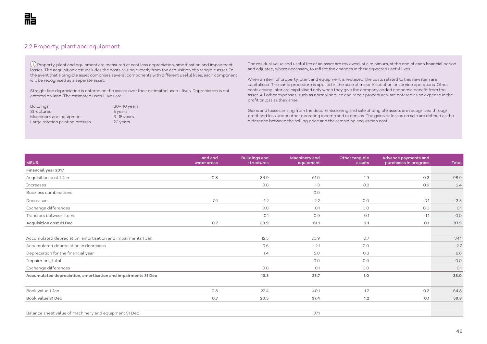## 2.2 Property, plant and equipment

 Property, plant and equipment are measured at cost less depreciation, amortisation and impairment losses. The acquisition cost includes the costs arising directly from the acquisition of a tangible asset. In the event that a tangible asset comprises several components with different useful lives, each component will be recognised as a separate asset.

Straight line depreciation is entered on the assets over their estimated useful lives. Depreciation is not entered on land. The estimated useful lives are:

Buildings 30–40 years Structures 5 years<br>Machinery and equipment 3–15 years Machinery and equipment Large rotation printing presses 20 years

The residual value and useful life of an asset are reviewed, at a minimum, at the end of each financial period and adjusted, where necessary, to reflect the changes in their expected useful lives.

When an item of property, plant and equipment is replaced, the costs related to this new item are capitalised. The same procedure is applied in the case of major inspection or service operations. Other costs arising later are capitalised only when they give the company added economic benefit from the asset. All other expenses, such as normal service and repair procedures, are entered as an expense in the profit or loss as they arise.

Gains and losses arising from the decommissioning and sale of tangible assets are recognised through profit and loss under other operating income and expenses. The gains or losses on sale are defined as the difference between the selling price and the remaining acquisition cost.

| <b>MEUR</b>                                                   | Land and<br>water areas | <b>Buildings and</b><br>structures | Machinery and<br>equipment | Other tangible<br>assets | Advance payments and<br>purchases in progress | Total  |
|---------------------------------------------------------------|-------------------------|------------------------------------|----------------------------|--------------------------|-----------------------------------------------|--------|
| Financial year 2017                                           |                         |                                    |                            |                          |                                               |        |
| Acquisition cost 1 Jan                                        | 0.8                     | 34.9                               | 61.0                       | 1.9                      | 0.3                                           | 98.9   |
| <b>Increases</b>                                              |                         | O.O                                | 1.3                        | 0.2                      | 0.9                                           | 2.4    |
| Business combinations                                         |                         |                                    | O.O                        |                          |                                               |        |
| Decreases                                                     | $-0.1$                  | $-1.2$                             | $-2.2$                     | 0.0                      | $-0.1$                                        | $-3.5$ |
| Exchange differences                                          |                         | O.O                                | O.1                        | 0.0                      | 0.0                                           | O.1    |
| Transfers between items                                       |                         | O.1                                | 0.9                        | O.1                      | $-1.1$                                        | O.O    |
| Acquisition cost 31 Dec                                       | 0.7                     | 33.9                               | 61.1                       | 2.1                      | O.1                                           | 97.9   |
| Accumulated depreciation, amortisation and impairments 1 Jan  |                         | 12.5                               | 20.9                       | 0.7                      |                                               | 34.1   |
| Accumulated depreciation in decreases                         |                         | $-0.6$                             | $-2.1$                     | 0.0                      |                                               | $-2.7$ |
| Depreciation for the financial year                           |                         | 1.4                                | 5.0                        | 0.3                      |                                               | 6.6    |
| Impairment, total                                             |                         |                                    | O.O                        | O.O                      |                                               | O.O    |
| Exchange differences                                          |                         | 0.0                                | O.1                        | O.O                      |                                               | O.1    |
| Accumulated depreciation, amortisation and impairments 31 Dec |                         | 13.3                               | 23.7                       | 1.0                      |                                               | 38.0   |
| Book value 1 Jan                                              | 0.8                     | 22.4                               | 40.1                       | 1.2                      | 0.3                                           | 64.8   |
| Book value 31 Dec                                             | 0.7                     | 20.5                               | 37.4                       | 1.2                      | O.1                                           | 59.8   |
|                                                               |                         |                                    |                            |                          |                                               |        |
| Balance sheet value of machinery and equipment 31 Dec         |                         |                                    | 37.1                       |                          |                                               |        |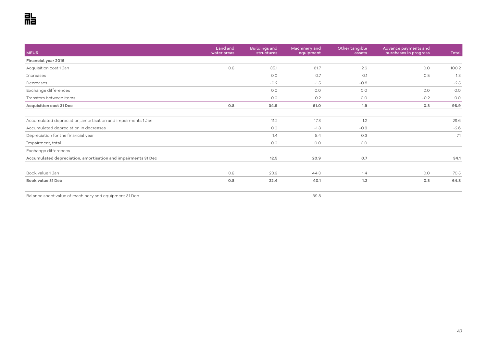| <b>MEUR</b>                                                   | Land and<br>water areas | <b>Buildings and</b><br>structures | Machinery and<br>equipment | Other tangible<br>assets | Advance payments and<br>purchases in progress | Total  |
|---------------------------------------------------------------|-------------------------|------------------------------------|----------------------------|--------------------------|-----------------------------------------------|--------|
| Financial year 2016                                           |                         |                                    |                            |                          |                                               |        |
| Acquisition cost 1 Jan                                        | 0.8                     | 35.1                               | 61.7                       | 2.6                      | O.O                                           | 100.2  |
| <b>Increases</b>                                              |                         | 0.0                                | O.7                        | O.1                      | 0.5                                           | 1.3    |
| Decreases                                                     |                         | $-0.2$                             | $-1.5$                     | $-0.8$                   |                                               | $-2.5$ |
| Exchange differences                                          |                         | O.O                                | O.O                        | 0.0                      | O.O                                           | 0.0    |
| Transfers between items                                       |                         | O.O                                | O.2                        | O.O                      | $-0.2$                                        | 0.0    |
| Acquisition cost 31 Dec                                       | 0.8                     | 34.9                               | 61.0                       | 1.9                      | 0.3                                           | 98.9   |
| Accumulated depreciation, amortisation and impairments 1 Jan  |                         | 11.2                               | 17.3                       | 1.2                      |                                               | 29.6   |
| Accumulated depreciation in decreases                         |                         | O.O                                | $-1.8$                     | $-0.8$                   |                                               | $-2.6$ |
| Depreciation for the financial year                           |                         | 1.4                                | 5.4                        | 0.3                      |                                               | 7.1    |
| Impairment, total                                             |                         | 0.0                                | O.O                        | 0.0                      |                                               |        |
| Exchange differences                                          |                         |                                    |                            |                          |                                               |        |
| Accumulated depreciation, amortisation and impairments 31 Dec |                         | 12.5                               | 20.9                       | 0.7                      |                                               | 34.1   |
| Book value 1 Jan                                              | 0.8                     | 23.9                               | 44.3                       | 1.4                      | O.O                                           | 70.5   |
| Book value 31 Dec                                             | 0.8                     | 22.4                               | 40.1                       | 1.2                      | 0.3                                           | 64.8   |
| Balance sheet value of machinery and equipment 31 Dec.        |                         |                                    | 39.8                       |                          |                                               |        |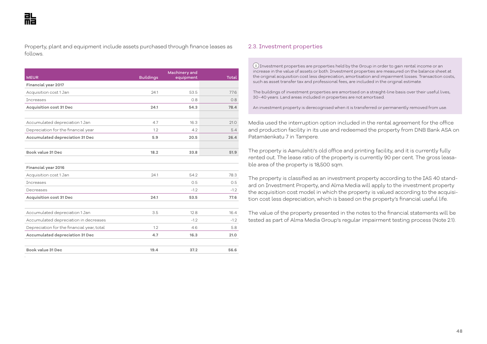Property, plant and equipment include assets purchased through finance leases as follows.

|      |        | Total  |
|------|--------|--------|
|      |        |        |
| 24.1 | 53.5   | 77.6   |
|      | 0.8    | 0.8    |
| 24.1 | 54.3   | 78.4   |
|      |        |        |
| 4.7  | 16.3   | 21.0   |
| 1.2  | 4.2    | 5.4    |
| 5.9  | 20.5   | 26.4   |
|      |        |        |
| 18.2 | 33.8   | 51.9   |
|      |        |        |
|      |        |        |
| 24.1 | 54.2   | 78.3   |
|      | 0.5    | 0.5    |
|      | $-1.2$ | $-1.2$ |
| 24.1 | 53.5   | 77.6   |
|      |        |        |
| 3.5  | 12.8   | 16.4   |
|      | $-1.2$ | $-1.2$ |
| 1.2  | 4.6    | 5.8    |
| 4.7  | 16.3   | 21.0   |
|      |        |        |
| 19.4 | 37.2   | 56.6   |
|      |        |        |

#### 2.3. Investment properties

 Investment properties are properties held by the Group in order to gain rental income or an increase in the value of assets or both. Investment properties are measured on the balance sheet at the original acquisition cost less depreciation, amortisation and impairment losses. Transaction costs, such as asset transfer tax and professional fees, are included in the original estimate.

The buildings of investment properties are amortised on a straight-line basis over their useful lives, 30–40 years. Land areas included in properties are not amortised.

An investment property is derecognised when it is transferred or permanently removed from use.

Media used the interruption option included in the rental agreement for the office and production facility in its use and redeemed the property from DNB Bank ASA on Patamäenkatu 7 in Tampere.

The property is Aamulehti's old office and printing facility, and it is currently fully rented out. The lease ratio of the property is currently 90 per cent. The gross leasable area of the property is 18,500 sqm.

The property is classified as an investment property according to the IAS 40 standard on Investment Property, and Alma Media will apply to the investment property the acquisition cost model in which the property is valued according to the acquisition cost less depreciation, which is based on the property's financial useful life.

The value of the property presented in the notes to the financial statements will be tested as part of Alma Media Group's regular impairment testing process (Note 2.1).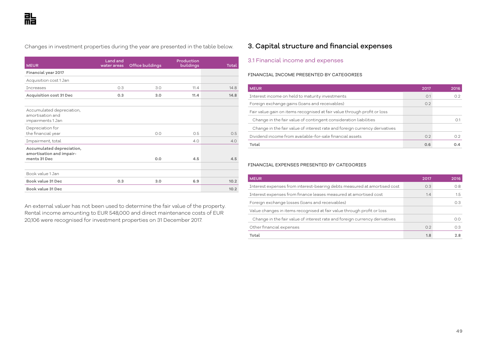Changes in investment properties during the year are presented in the table below.

| <b>MEUR</b>                                                        | Land and<br>water areas | Office buildings | Production<br>buildings | <b>Total</b> |
|--------------------------------------------------------------------|-------------------------|------------------|-------------------------|--------------|
| Financial year 2017                                                |                         |                  |                         |              |
| Acquisition cost 1 Jan                                             |                         |                  |                         |              |
| <b>Tncreases</b>                                                   | 0.3                     | 3.0              | 11.4                    | 14.8         |
| Acquisition cost 31 Dec                                            | 0.3                     | 3.0              | 11.4                    | 14.8         |
|                                                                    |                         |                  |                         |              |
| Accumulated depreciation,<br>amortisation and<br>impairments 1 Jan |                         |                  |                         |              |
| Depreciation for                                                   |                         |                  |                         |              |
| the financial year                                                 |                         | O.O              | 0.5                     | 0.5          |
| Impairment, total                                                  |                         |                  | 4.0                     | 4.0          |
| Accumulated depreciation,<br>amortisation and impair-              |                         |                  |                         |              |
| ments 31 Dec                                                       |                         | 0.0              | 4.5                     | 4.5          |
| Book value 1 Jan                                                   |                         |                  |                         |              |
| Book value 31 Dec                                                  | 0.3                     | 3.0              | 6.9                     | 10.2         |
| Book value 31 Dec                                                  |                         |                  |                         | 10.2         |

An external valuer has not been used to determine the fair value of the property. Rental income amounting to EUR 548,000 and direct maintenance costs of EUR 20,106 were recognised for investment properties on 31 December 2017.

## 3. Capital structure and financial expenses

## 3.1 Financial income and expenses

#### FINANCIAL INCOME PRESENTED BY CATEGORIES

| <b>MEUR</b>                                                                | 2017 | 2016 |
|----------------------------------------------------------------------------|------|------|
| Interest income on held to maturity investments                            | O.1  | 0.2  |
| Foreign exchange gains (loans and receivables)                             | 0.2  |      |
| Fair value gain on items recognised at fair value through profit or loss   |      |      |
| Change in the fair value of contingent consideration liabilities           |      |      |
| Change in the fair value of interest rate and foreign currency derivatives |      |      |
| Dividend income from available-for-sale financial assets                   | 0.2  | 0.2  |
| Total                                                                      | 0.6  | 0.4  |

#### FINANCIAL EXPENSES PRESENTED BY CATEGORIES

| <b>MEUR</b>                                                                | 2017 | 2016          |
|----------------------------------------------------------------------------|------|---------------|
| Interest expenses from interest-bearing debts measured at amortised cost   | 0.3  | 0.8           |
| Interest expenses from finance leases measured at amortised cost           | 1.4  | $1.5^{\circ}$ |
| Foreign exchange losses (loans and receivables)                            |      | 0.3           |
| Value changes in items recognised at fair value through profit or loss     |      |               |
| Change in the fair value of interest rate and foreign currency derivatives |      | 0.0           |
| Other financial expenses                                                   | 0.2  | 0.3           |
| Total                                                                      | 1.8  | 2.8           |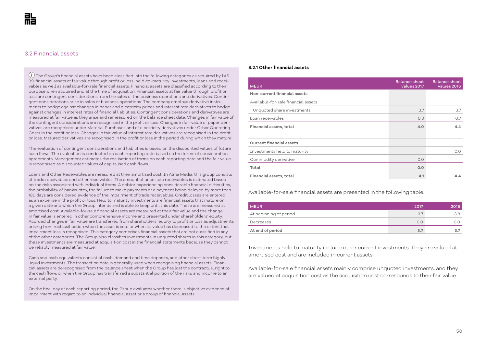## 3.2 Financial assets

 $\overline{1}$  The Group's financial assets have been classified into the following categories as required by IAS 39: financial assets at fair value through profit or loss, held-to-maturity investments, loans and receivables as well as available-for-sale financial assets. Financial assets are classified according to their purpose when acquired and at the time of acquisition. Financial assets at fair value through profit or loss are contingent considerations from the sales of the business operations and derivatives. Contingent considerations arise in sales of business operations. The company employs derivative instruments to hedge against changes in paper and electricity prices and interest rate derivatives to hedge against changes in interest rates of financial liabilities. Contingent considerations and derivatives are measured at fair value as they arise and remeasured on the balance sheet date. Changes in fair value of the contingent considerations are recognised in the profit or loss. Changes in fair value of paper derivatives are recognised under Material Purchases and of electricity derivatives under Other Operating Costs in the profit or loss. Changes in fair value of interest rate derivatives are recognised in the profit or loss. Matured derivatives are recognised in the profit or loss in the period during which they mature.

The evaluation of contingent considerations and liabilities is based on the discounted values of future cash flows. The evaluation is conducted on each reporting date based on the terms of consideration agreements. Management estimates the realisation of terms on each reporting date and the fair value is recognised as discounted values of capitalised cash flows.

Loans and Other Receivables are measured at their amortised cost. In Alma Media, this group consists of trade receivables and other receivables. The amount of uncertain receivables is estimated based on the risks associated with individual items. A debtor experiencing considerable financial difficulties, the probability of bankruptcy, the failure to make payments or a payment being delayed by more than 180 days are considered evidence of the impairment of trade receivables. Credit losses are entered as an expense in the profit or loss. Held to maturity investments are financial assets that mature on a given date and which the Group intends and is able to keep until this date. These are measured at amortised cost. Available-for-sale financial assets are measured at their fair value and the change in fair value is entered in other comprehensive income and presented under shareholders' equity. Accrued changes in fair value are transferred from shareholders' equity to profit or loss as adjustments arising from reclassification when the asset is sold or when its value has decreased to the extent that impairment loss is recognised. This category comprises financial assets that are not classified in any of the other categories. The Group also classifies investments in unquoted shares in this category, but these investments are measured at acquisition cost in the financial statements because they cannot be reliably measured at fair value.

Cash and cash equivalents consist of cash, demand and time deposits, and other short-term highly liquid investments. The transaction date is generally used when recognising financial assets. Financial assets are derecognised from the balance sheet when the Group has lost the contractual right to the cash flows or when the Group has transferred a substantial portion of the risks and income to an external party.

On the final day of each reporting period, the Group evaluates whether there is objective evidence of impairment with regard to an individual financial asset or a group of financial assets.

#### **3.2.1 Other financial assets**

| <b>MEUR</b>                         | <b>Balance sheet</b><br>values 2017 | <b>Balance sheet</b><br>values 2016 |
|-------------------------------------|-------------------------------------|-------------------------------------|
| Non-current financial assets        |                                     |                                     |
| Available-for-sale financial assets |                                     |                                     |
| Unquoted share investments          | 3.7                                 | 3.7                                 |
| Loan receivables                    | O.3                                 | 0.7                                 |
| Financial assets, total             | 4.0                                 | 4.4                                 |
|                                     |                                     |                                     |
| <b>Current financial assets</b>     |                                     |                                     |
| Investments held to maturity        |                                     | 0.0                                 |
| Commodity derivative                | O.O                                 |                                     |
| Total                               | 0.0                                 |                                     |
| Financial assets, total             | 4.1                                 | 4.4                                 |

Available-for-sale financial assets are presented in the following table.

| <b>MEUR</b>            | 2017 | 2016 |
|------------------------|------|------|
| At beginning of period | 3.7  | 3.8  |
| Decreases              | 0.0  | 0.0  |
| At end of period       | 3.7  | 3.7  |

Investments held to maturity include other current investments. They are valued at amortised cost and are included in current assets.

Available-for-sale financial assets mainly comprise unquoted investments, and they are valued at acquisition cost as the acquisition cost corresponds to their fair value.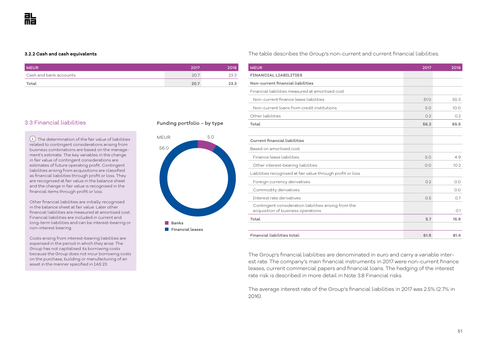#### **3.2.2 Cash and cash equivalents**

| <b>MEUR</b>            | 2017 | 2016 |
|------------------------|------|------|
| Cash and bank accounts | 20.7 | 23.3 |
| Total                  | 20.7 | 23.3 |

The table describes the Group's non-current and current financial liabilities.

| <b>MEUR</b>                                                                                 | 2017 | 2016 |
|---------------------------------------------------------------------------------------------|------|------|
| <b>FINANCIAL LIABILITIES</b>                                                                |      |      |
| Non-current financial liabilities                                                           |      |      |
| Financial liabilities measured at amortised cost                                            |      |      |
| Non-current finance lease liabilities                                                       | 51.0 | 55.3 |
| Non-current loans from credit institutions                                                  | 5.0  | 10.0 |
| Other liabilities                                                                           | 0.2  | 0.2  |
| Total                                                                                       | 56.2 | 65.5 |
|                                                                                             |      |      |
| <b>Current financial liabilities</b>                                                        |      |      |
| Based on amortised cost                                                                     |      |      |
| Finance lease liabilities                                                                   | 5.0  | 4.9  |
| Other interest-bearing liabilities                                                          | 0.0  | 10.2 |
| Liabilities recognised at fair value through profit or loss                                 |      |      |
| Foreign currency derivatives                                                                | 0.2  | 0.0  |
| Commodity derivatives                                                                       |      | 0.0  |
| Interest rate derivatives                                                                   | 0.5  | O.7  |
| Contingent consideration liabilities arising from the<br>acquisition of business operations |      | O.1  |
| Total                                                                                       | 5.7  | 15.9 |
|                                                                                             |      |      |
| Financial liabilities total:                                                                | 61.9 | 81.4 |

The Group's financial liabilities are denominated in euro and carry a variable interest rate. The company's main financial instruments in 2017 were non-current finance leases, current commercial papers and financial loans. The hedging of the interest rate risk is described in more detail in Note 3.8 Financial risks.

The average interest rate of the Group's financial liabilities in 2017 was 2.5% (2.7% in 2016).

## 3.3 Financial liabilities

 $(i)$  The determination of the fair value of liabilities related to contingent considerations arising from business combinations are based on the management's estimate. The key variables in the change in fair value of contingent considerations are estimates of future operating profit. Contingent liabilities arising from acquisitions are classified as financial liabilities through profit or loss. They are recognised at fair value in the balance sheet and the change in fair value is recognised in the financial items through profit or loss.

Other financial liabilities are initially recognised in the balance sheet at fair value. Later other financial liabilities are measured at amortised cost. Financial liabilities are included in current and long-term liabilities and can be interest-bearing or non-interest bearing.

Costs arising from interest-bearing liabilities are expensed in the period in which they arise. The Group has not capitalised its borrowing costs because the Group does not incur borrowing costs on the purchase, building or manufacturing of an asset in the manner specified in IAS 23.

#### **Funding portfolio – by type**

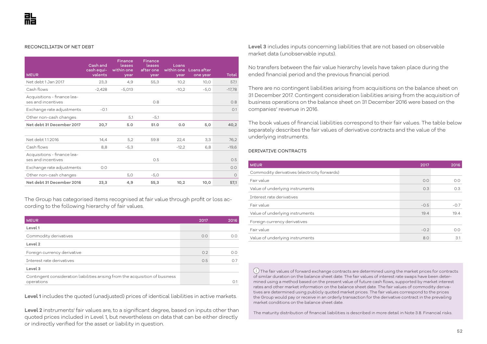#### RECONCILIATIN OF NET DEBT

| <b>MEUR</b>                                       | Cash and<br>cash equi-<br>valents | Finance<br>leases<br>within one<br>year | <b>Finance</b><br>leases<br>after one<br>year | Loans<br>year | within one Loans after<br>one year | Total    |
|---------------------------------------------------|-----------------------------------|-----------------------------------------|-----------------------------------------------|---------------|------------------------------------|----------|
| Net debt 1 Jan 2017                               | 23,3                              | 4,9                                     | 55,3                                          | 10,2          | 10.0                               | 57,1     |
| Cash flows                                        | $-2.428$                          | $-5,013$                                |                                               | $-10,2$       | $-5,0$                             | $-17,78$ |
| Acquisitions - finance lea-<br>ses and incentives |                                   |                                         | 0.8                                           |               |                                    | 0.8      |
| Exchange rate adjustments                         | $-0.1$                            |                                         |                                               |               |                                    | O.1      |
| Other non-cash changes                            |                                   | 5,1                                     | $-5,1$                                        |               |                                    |          |
| Net debt 31 December 2017                         | 20,7                              | 5.0                                     | 51.0                                          | 0.0           | 5,0                                | 40,2     |
|                                                   |                                   |                                         |                                               |               |                                    |          |
| Net debt 1.1.2016                                 | 14,4                              | 5,2                                     | 59.8                                          | 22,4          | 3,3                                | 76,2     |
| Cash flows                                        | 8.8                               | $-5,3$                                  |                                               | $-12,2$       | 6.8                                | $-19,6$  |
| Acquisitions - finance lea-<br>ses and incentives |                                   |                                         | 0.5                                           |               |                                    | 0.5      |
| Exchange rate adjustments                         | 0.0                               |                                         |                                               |               |                                    | 0.0      |
| Other non-cash changes                            |                                   | 5,0                                     | $-5,0$                                        |               |                                    | $\Omega$ |
| Net debt 31 December 2016                         | 23,3                              | 4,9                                     | 55,3                                          | 10,2          | 10,0                               | 57,1     |

The Group has categorised items recognised at fair value through profit or loss according to the following hierarchy of fair values.

| <b>MEUR</b>                                                                   | 2017 | 2016        |
|-------------------------------------------------------------------------------|------|-------------|
| Level 1                                                                       |      |             |
| Commodity derivatives                                                         | O.O  | 0.0         |
| Level 2                                                                       |      |             |
| Foreign currency derivative                                                   | 0.2  | 0.0         |
| Interest rate derivatives                                                     | O.5  | O.7         |
| Level 3                                                                       |      |             |
| Contingent consideration liabilities arising from the acquisition of business |      |             |
| operations                                                                    |      | $\bigcap$ 1 |

**Level 1** includes the quoted (unadjusted) prices of identical liabilities in active markets.

**Level 2** instruments' fair values are, to a significant degree, based on inputs other than quoted prices included in Level 1, but nevertheless on data that can be either directly or indirectly verified for the asset or liability in question.

**Level 3** includes inputs concerning liabilities that are not based on observable market data (unobservable inputs).

No transfers between the fair value hierarchy levels have taken place during the ended financial period and the previous financial period.

There are no contingent liabilities arising from acquisitions on the balance sheet on 31 December 2017. Contingent consideration liabilities arising from the acquisition of business operations on the balance sheet on 31 December 2016 were based on the companies' revenue in 2016.

The book values of financial liabilities correspond to their fair values. The table below separately describes the fair values of derivative contracts and the value of the underlying instruments.

#### DERIVATIVE CONTRACTS

| <b>MEUR</b>                                  | 2017   | 2016   |
|----------------------------------------------|--------|--------|
| Commodity derivatives (electricity forwards) |        |        |
| Fair value                                   | 0.0    | 0.0    |
| Value of underlying instruments              | O.3    | O.3    |
| Interest rate derivatives                    |        |        |
| Fair value                                   | $-0.5$ | $-0.7$ |
| Value of underlying instruments              | 19.4   | 19.4   |
| Foreign currency derivatives                 |        |        |
| Fair value                                   | $-0.2$ | 0.0    |
| Value of underlying instruments              | 8.0    | 3.1    |

 $(i)$  The fair values of forward exchange contracts are determined using the market prices for contracts of similar duration on the balance sheet date. The fair values of interest rate swaps have been determined using a method based on the present value of future cash flows, supported by market interest rates and other market information on the balance sheet date. The fair values of commodity derivatives are determined using publicly quoted market prices. The fair values correspond to the prices the Group would pay or receive in an orderly transaction for the derivative contract in the prevailing market conditions on the balance sheet date.

The maturity distribution of financial liabilities is described in more detail in Note 3.8. Financial risks.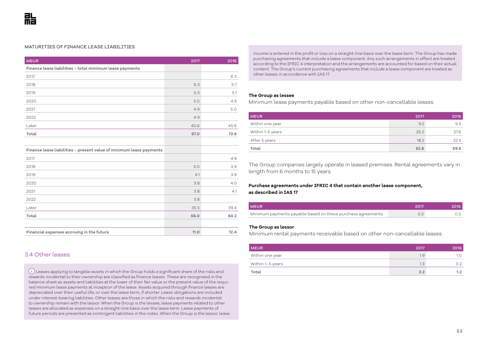#### MATURITIES OF FINANCE LEASE LIABILITIES

| <b>MEUR</b>                                              | 2017 | 2016 |
|----------------------------------------------------------|------|------|
| Finance lease liabilities - total minimum lease payments |      |      |
| 2017                                                     |      | 6.3  |
| 2018                                                     | 6.3  | 5.7  |
| 2019                                                     | 5.3  | 5.1  |
| 2020                                                     | 5.0  | 4.9  |
| 2021                                                     | 4.9  | 5.0  |
| 2022                                                     | 4.9  |      |
| Later                                                    | 40.6 | 45.6 |
| Total                                                    | 67.0 | 72.6 |
|                                                          |      |      |
|                                                          |      |      |

**Finance lease liabilities – present value of minimum lease payments**  $2017$  and  $4.9$ 

| 2018                                      | 5.0  | 3.9  |
|-------------------------------------------|------|------|
| 2019                                      | 4.1  | 3.9  |
| 2020                                      | 3.8  | 4.0  |
| 2021                                      | 3.8  | 4.1  |
| 2022                                      | 3.8  |      |
| Later                                     | 35.5 | 39.4 |
| Total                                     | 56.0 | 60.2 |
|                                           |      |      |
| Financial expenses accruing in the future | 11.0 | 12.4 |

## 3.4 Other leases

 Leases applying to tangible assets in which the Group holds a significant share of the risks and rewards incidental to their ownership are classified as finance leases. These are recognised in the balance sheet as assets and liabilities at the lower of their fair value or the present value of the required minimum lease payments at inception of the lease. Assets acquired through finance leases are depreciated over their useful life, or over the lease term, if shorter. Lease obligations are included under interest-bearing liabilities. Other leases are those in which the risks and rewards incidental to ownership remain with the lessor. When the Group is the lessee, lease payments related to other leases are allocated as expenses on a straight-line basis over the lease term. Lease payments of future periods are presented as contingent liabilities in the notes. When the Group is the lessor, lease income is entered in the profit or loss on a straight-line basis over the lease term. The Group has made purchasing agreements that include a lease component. Any such arrangements in effect are treated according to the IFRIC 4 interpretation and the arrangements are accounted for based on their actual content. The Group's current purchasing agreements that include a lease component are treated as other leases in accordance with IAS 17.

#### **The Group as lessee**

Minimum lease payments payable based on other non-cancellable leases.

| <b>MEUR</b>      | 2017 | 2016 |
|------------------|------|------|
| Within one year  | 9.2  | 9.3  |
| Within 1-5 years | 25.2 | 27.6 |
| After 5 years    | 18.2 | 22.5 |
| Total            | 52.6 | 59.5 |

The Group companies largely operate in leased premises. Rental agreements vary in length from 6 months to 15 years.

## **Purchase agreements under IFRIC 4 that contain another lease component, as described in IAS 17**

| <b>MEUR</b>                                                 | 2017 | 2016 |
|-------------------------------------------------------------|------|------|
| Minimum payments payable based on these purchase agreements |      |      |

#### **The Group as lessor**

Minimum rental payments receivable based on other non-cancellable leases.

| <b>MEUR</b>      | 2017 | 2016 |
|------------------|------|------|
| Within one year  | 1.9  | 1.0  |
| Within 1–5 years | 1.3  | 0.2  |
| Total            | 3.2  | 1.2  |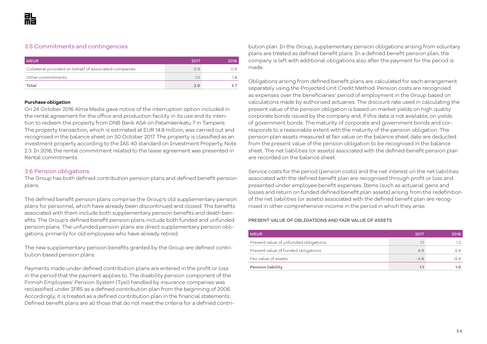## 3.5 Commitments and contingencies

| <b>MEUR</b>                                           | 2017 | 2016. |
|-------------------------------------------------------|------|-------|
| Collateral provided on behalf of associated companies | 0.9  | N 9.  |
| Other commitments                                     | 1 0  | 1.8   |
| Total                                                 | 2.0  |       |

#### **Purchase obligation**

On 24 October 2016 Alma Media gave notice of the interruption option included in the rental agreement for the office and production facility in its use and its intention to redeem the property from DNB Bank ASA on Patamäenkatu 7 in Tampere. The property transaction, which is estimated at EUR 14.8 million, was carried out and recognised in the balance sheet on 30 October 2017. The property is classified as an investment property according to the IAS 40 standard on Investment Property, Note 2.3. In 2016, the rental commitment related to the lease agreement was presented in Rental commitments.

#### 3.6 Pension obligations

The Group has both defined contribution pension plans and defined benefit pension plans.

The defined benefit pension plans comprise the Group's old supplementary pension plans for personnel, which have already been discontinued and closed. The benefits associated with them include both supplementary pension benefits and death benefits. The Group's defined benefit pension plans include both funded and unfunded pension plans. The unfunded pension plans are direct supplementary pension obligations, primarily for old employees who have already retired.

The new supplementary pension benefits granted by the Group are defined contribution based pension plans.

Payments made under defined contribution plans are entered in the profit or loss in the period that the payment applies to. The disability pension component of the Finnish Employees' Pension System (Tyel) handled by insurance companies was reclassified under IFRS as a defined contribution plan from the beginning of 2006. Accordingly, it is treated as a defined contribution plan in the financial statements. Defined benefit plans are all those that do not meet the criteria for a defined contri-

bution plan. In the Group, supplementary pension obligations arising from voluntary plans are treated as defined benefit plans. In a defined benefit pension plan, the company is left with additional obligations also after the payment for the period is made.

Obligations arising from defined benefit plans are calculated for each arrangement separately using the Projected Unit Credit Method. Pension costs are recognised as expenses over the beneficiaries' period of employment in the Group based on calculations made by authorised actuaries. The discount rate used in calculating the present value of the pension obligation is based on market yields on high quality corporate bonds issued by the company and, if this data is not available, on yields of government bonds. The maturity of corporate and government bonds and corresponds to a reasonable extent with the maturity of the pension obligation. The pension plan assets measured at fair value on the balance sheet date are deducted from the present value of the pension obligation to be recognised in the balance sheet. The net liabilities (or assets) associated with the defined benefit pension plan are recorded on the balance sheet.

Service costs for the period (pension costs) and the net interest on the net liabilities associated with the defined benefit plan are recognised through profit or loss and presented under employee benefit expenses. Items (such as actuarial gains and losses and return on funded defined benefit plan assets) arising from the redefinition of the net liabilities (or assets) associated with the defined benefit plan are recognised in other comprehensive income in the period in which they arise.

#### PRESENT VALUE OF OBLIGATIONS AND FAIR VALUE OF ASSETS

| <b>MEUR</b>                           | 2017   | 2016          |
|---------------------------------------|--------|---------------|
| Present value of unfunded obligations | 1.1    | $1.2^{\circ}$ |
| Present value of funded obligations   | 4.9    | 5.4           |
| Fair value of assets                  | $-4.8$ | -5.6          |
| Pension liability                     | 1.1    |               |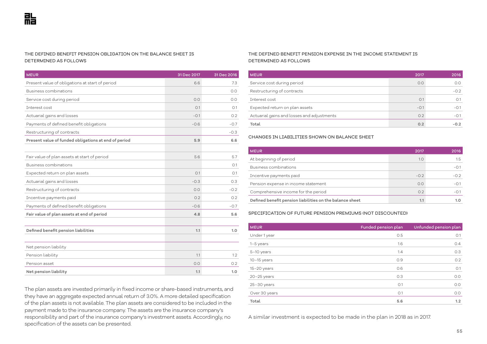#### THE DEFINED BENEFIT PENSION OBLIGATION ON THE BALANCE SHEET IS DETERMINED AS FOLLOWS

| <b>MEUR</b>                                          | 31 Dec 2017 | 31 Dec 2016 |
|------------------------------------------------------|-------------|-------------|
| Present value of obligations at start of period      | 6.6         | 7.3         |
| Business combinations                                |             | 0.0         |
| Service cost during period                           | 0.0         | 0.0         |
| Interest cost                                        | O.1         | O.1         |
| Actuarial gains and losses                           | $-0.1$      | 0.2         |
| Payments of defined benefit obligations              | $-0.6$      | $-0.7$      |
| Restructuring of contracts                           |             | $-0.3$      |
| Present value of funded obligations at end of period | 5.9         | 6.6         |
|                                                      |             |             |
| Fair value of plan assets at start of period         | 5.6         | 5.7         |
| Business combinations                                |             | O.1         |
| Expected return on plan assets                       | O.1         | O.1         |
| Actuarial gains and losses                           | $-0.3$      | 0.3         |
| Restructuring of contracts                           | 0.0         | $-0.2$      |
| Incentive payments paid                              | 0.2         | 0.2         |
| Payments of defined benefit obligations              | $-0.6$      | $-0.7$      |
| Fair value of plan assets at end of period           | 4.8         | 5.6         |
|                                                      |             |             |
| Defined benefit pension liabilities                  | 1.1         | 1.0         |
|                                                      |             |             |
| Net pension liability                                |             |             |
| Pension liability                                    | 1.1         | 1.2         |
| Pension asset                                        | 0.0         | 0.2         |
| Net pension liability                                | 1.1         | 1.0         |

The plan assets are invested primarily in fixed income or share-based instruments, and they have an aggregate expected annual return of 3.0%. A more detailed specification of the plan assets is not available. The plan assets are considered to be included in the payment made to the insurance company. The assets are the insurance company's responsibility and part of the insurance company's investment assets. Accordingly, no specification of the assets can be presented.

#### THE DEFINED BENEFIT PENSION EXPENSE IN THE INCOME STATEMENT IS DETERMINED AS FOLLOWS

| <b>MEUR</b>                                | 2017   | 2016   |
|--------------------------------------------|--------|--------|
| Service cost during period                 | 0.0    | O.O    |
| Restructuring of contracts                 |        | $-0.2$ |
| Interest cost                              | O.1    | 0.1    |
| Expected return on plan assets             | $-0.1$ | -0.1   |
| Actuarial gains and losses and adjustments | 0.2    | $-0.1$ |
| Total                                      | 0.2    |        |

#### CHANGES IN LIABILITIES SHOWN ON BALANCE SHEET

| <b>MEUR</b>                                              | 2017   | 2016   |
|----------------------------------------------------------|--------|--------|
| At beginning of period                                   | 1.0    | 1.5    |
| Business combinations                                    |        | $-0.1$ |
| Incentive payments paid                                  | $-0.2$ | $-0.2$ |
| Pension expense in income statement                      | 0.0    | $-0.1$ |
| Comprehensive income for the period                      | 0.2    | $-0.1$ |
| Defined benefit pension liabilities on the balance sheet | 1.1    |        |

#### SPECIFICATION OF FUTURE PENSION PREMIUMS (NOT DISCOUNTED)

| <b>MEUR</b>   | Funded pension plan | Unfunded pension plan |
|---------------|---------------------|-----------------------|
| Under 1 year  | 0.5                 | O.1                   |
| 1-5 years     | 1.6                 | O.4                   |
| 5-10 years    | 1.4                 | 0.3                   |
| $10-15$ years | 0.9                 | 0.2                   |
| $15-20$ years | 0.6                 | O.1                   |
| $20-25$ years | O.3                 | 0.0                   |
| $25-30$ years | O.1                 | 0.0                   |
| Over 30 years | O.1                 | 0.0                   |
| Total         | 5.6                 | 1.2                   |

A similar investment is expected to be made in the plan in 2018 as in 2017.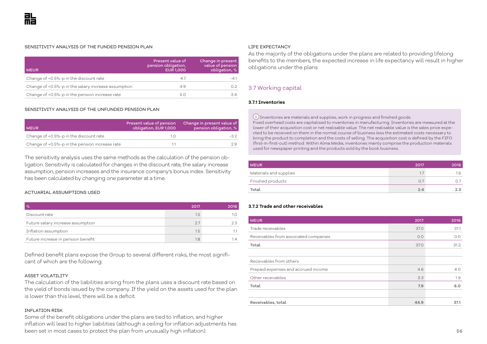#### SENSITIVITY ANALYSIS OF THE FUNDED PENSION PLAN

| <b>MEUR</b>                                         | Present value of<br>pension obligation,<br><b>EUR 1,000</b> | Change in present<br>value of pension<br>obligation, % |
|-----------------------------------------------------|-------------------------------------------------------------|--------------------------------------------------------|
| Change of +0.5%-p in the discount rate              | 4.7                                                         | $-4.1$                                                 |
| Change of +0.5%-p in the salary increase assumption | 4.9                                                         | O.2                                                    |
| Change of +0.5%-p in the pension increase rate      | 5.0                                                         | 3.4                                                    |

#### SENSITIVITY ANALYSIS OF THE UNFUNDED PENSION PLAN

| <b>MEUR</b>                                    | Present value of pension<br>obligation, EUR 1,000 | Change in present value of<br>pension obligation, % |
|------------------------------------------------|---------------------------------------------------|-----------------------------------------------------|
| Change of +0.5%-p in the discount rate         |                                                   | -32                                                 |
| Change of +0.5%-p in the pension increase rate |                                                   |                                                     |

The sensitivity analysis uses the same methods as the calculation of the pension obligation. Sensitivity is calculated for changes in the discount rate, the salary increase assumption, pension increases and the insurance company's bonus index. Sensitivity has been calculated by changing one parameter at a time.

#### ACTUARIAL ASSUMPTIONS USED

| $\%$                               | 2017 | 2016 |
|------------------------------------|------|------|
| Discount rate                      | 1.5  |      |
| Future salary increase assumption  | 27   | 2.3  |
| Inflation assumption               | 1.5  |      |
| Future increase in pension benefit | 1.8  |      |

Defined benefit plans expose the Group to several different risks, the most significant of which are the following:

#### ASSET VOLATILITY

The calculation of the liabilities arising from the plans uses a discount rate based on the yield of bonds issued by the company. If the yield on the assets used for the plan is lower than this level, there will be a deficit.

#### INFLATION RISK

Some of the benefit obligations under the plans are tied to inflation, and higher inflation will lead to higher liabilities (although a ceiling for inflation adjustments has been set in most cases to protect the plan from unusually high inflation).

#### LIFE EXPECTANCY

As the majority of the obligations under the plans are related to providing lifelong benefits to the members, the expected increase in life expectancy will result in higher obligations under the plans.

## 3.7 Working capital

#### **3.7.1 Inventories**

 Inventories are materials and supplies, work in progress and finished goods. Fixed overhead costs are capitalised to inventories in manufacturing. Inventories are measured at the lower of their acquisition cost or net realisable value. The net realisable value is the sales price expected to be received on them in the normal course of business less the estimated costs necessary to bring the product to completion and the costs of selling. The acquisition cost is defined by the FIFO (first-in-first-out) method. Within Alma Media, inventories mainly comprise the production materials used for newspaper printing and the products sold by the book business.

| <b>MEUR</b>            | 2017 | 2016 |
|------------------------|------|------|
| Materials and supplies | 1.7  | 1.6  |
| Finished products      | 0.7  |      |
| Total                  | 2.4  | 2.3  |

#### **3.7.2 Trade and other receivables**

| <b>MEUR</b>                           | 2017 | 2016 |
|---------------------------------------|------|------|
| Trade receivables                     | 37.0 | 31.1 |
| Receivables from associated companies | 0.0  | O.O  |
| Total                                 | 37.0 | 31.2 |
|                                       |      |      |
| Receivables from others               |      |      |
| Prepaid expenses and accrued income   | 4.6  | 4.0  |
| Other receivables                     | 3.3  | 1.9  |
| Total                                 | 7.9  | 6.0  |
|                                       |      |      |
| Receivables, total                    | 44.9 | 37.1 |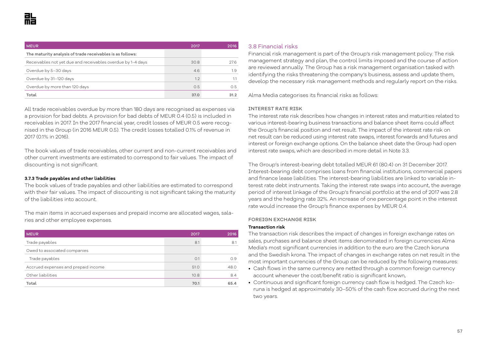| <b>MEUR</b>                                                 | 2017 | 2016 |
|-------------------------------------------------------------|------|------|
| The maturity analysis of trade receivables is as follows:   |      |      |
| Receivables not yet due and receivables overdue by 1-4 days | 30.8 | 27.6 |
| Overdue by 5-30 days                                        | 4.6  | 1.9  |
| Overdue by 31-120 days                                      | 1.2  |      |
| Overdue by more than 120 days                               | 0.5  | 0.5  |
| Total                                                       | 37.0 | 31.2 |

All trade receivables overdue by more than 180 days are recognised as expenses via a provision for bad debts. A provision for bad debts of MEUR 0.4 (0.5) is included in receivables in 2017. In the 2017 financial year, credit losses of MEUR 0.5 were recognised in the Group (in 2016 MEUR 0.5). The credit losses totalled 0.1% of revenue in 2017 (0.1% in 2016).

The book values of trade receivables, other current and non-current receivables and other current investments are estimated to correspond to fair values. The impact of discounting is not significant.

#### **3.7.3 Trade payables and other liabilities**

The book values of trade payables and other liabilities are estimated to correspond with their fair values. The impact of discounting is not significant taking the maturity of the liabilities into account.

The main items in accrued expenses and prepaid income are allocated wages, salaries and other employee expenses.

| <b>MEUR</b>                         | 2017 | 2016 |
|-------------------------------------|------|------|
| Trade payables                      | 8.1  | 8.1  |
| Owed to associated companies        |      |      |
| Trade payables                      | O.1  | O.9  |
| Accrued expenses and prepaid income | 51.0 | 48.0 |
| Other liabilities                   | 10.8 | 8.4  |
| Total                               | 70.1 | 65.4 |

## 3.8 Financial risks

Financial risk management is part of the Group's risk management policy. The risk management strategy and plan, the control limits imposed and the course of action are reviewed annually. The Group has a risk management organisation tasked with identifying the risks threatening the company's business, assess and update them, develop the necessary risk management methods and regularly report on the risks.

Alma Media categorises its financial risks as follows:

#### INTEREST RATE RISK

The interest rate risk describes how changes in interest rates and maturities related to various interest-bearing business transactions and balance sheet items could affect the Group's financial position and net result. The impact of the interest rate risk on net result can be reduced using interest rate swaps, interest forwards and futures and interest or foreign exchange options. On the balance sheet date the Group had open interest rate swaps, which are described in more detail in Note 3.3.

The Group's interest-bearing debt totalled MEUR 61 (80.4) on 31 December 2017. Interest-bearing debt comprises loans from financial institutions, commercial papers and finance lease liabilities. The interest-bearing liabilities are linked to variable interest rate debt instruments. Taking the interest rate swaps into account, the average period of interest linkage of the Group's financial portfolio at the end of 2017 was 2.8 years and the hedging rate 32%. An increase of one percentage point in the interest rate would increase the Group's finance expenses by MEUR 0.4.

#### FOREIGN EXCHANGE RISK

#### **Transaction risk**

The transaction risk describes the impact of changes in foreign exchange rates on sales, purchases and balance sheet items denominated in foreign currencies Alma Media's most significant currencies in addition to the euro are the Czech koruna and the Swedish krona. The impact of changes in exchange rates on net result in the most important currencies of the Group can be reduced by the following measures:

- Cash flows in the same currency are netted through a common foreign currency account whenever the cost/benefit ratio is significant known,
- Continuous and significant foreign currency cash flow is hedged. The Czech koruna is hedged at approximately 30–50% of the cash flow accrued during the next two years.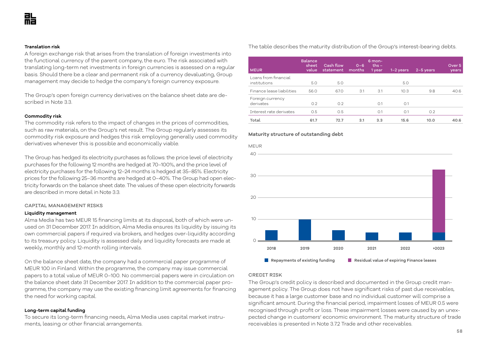#### **Translation risk**

A foreign exchange risk that arises from the translation of foreign investments into the functional currency of the parent company, the euro. The risk associated with translating long-term net investments in foreign currencies is assessed on a regular basis. Should there be a clear and permanent risk of a currency devaluating, Group management may decide to hedge the company's foreign currency exposure.

The Group's open foreign currency derivatives on the balance sheet date are described in Note 3.3.

#### **Commodity risk**

The commodity risk refers to the impact of changes in the prices of commodities, such as raw materials, on the Group's net result. The Group regularly assesses its commodity risk exposure and hedges this risk employing generally used commodity derivatives whenever this is possible and economically viable.

The Group has hedged its electricity purchases as follows: the price level of electricity purchases for the following 12 months are hedged at 70–100%, and the price level of electricity purchases for the following 12–24 months is hedged at 35–85%. Electricity prices for the following 25–36 months are hedged at 0–40%. The Group had open electricity forwards on the balance sheet date. The values of these open electricity forwards are described in more detail in Note 3.3.

#### CAPITAL MANAGEMENT RISKS

#### **Liquidity management**

Alma Media has two MEUR 15 financing limits at its disposal, both of which were unused on 31 December 2017. In addition, Alma Media ensures its liquidity by issuing its own commercial papers if required via brokers, and hedges over-liquidity according to its treasury policy. Liquidity is assessed daily and liquidity forecasts are made at weekly, monthly and 12-month rolling intervals.

On the balance sheet date, the company had a commercial paper programme of MEUR 100 in Finland. Within the programme, the company may issue commercial papers to a total value of MEUR 0–100. No commercial papers were in circulation on the balance sheet date 31 December 2017. In addition to the commercial paper programme, the company may use the existing financing limit agreements for financing the need for working capital.

#### **Long-term capital funding**

To secure its long-term financing needs, Alma Media uses capital market instruments, leasing or other financial arrangements.

The table describes the maturity distribution of the Group's interest-bearing debts.

| <b>MEUR</b>                          | <b>Balance</b><br>sheet<br>value | Cash flow<br>statement | $O - 6$<br>months | 6 mon-<br>ths $-$<br>1 year | $1-2$ years | $2-5$ years | Over <sub>5</sub><br>years |
|--------------------------------------|----------------------------------|------------------------|-------------------|-----------------------------|-------------|-------------|----------------------------|
| Loans from financial<br>institutions | 5.0                              | 5.0                    |                   |                             | 5.0         |             |                            |
| Finance lease liabilities            | 56.0                             | 67.0                   | 3.1               | 3.1                         | 10.3        | 9.8         | 40.6                       |
| Foreign currency<br>derivates        | 0.2                              | O.2                    |                   | O.1                         | O.1         |             |                            |
| Interest rate derivates              | 0.5                              | O.5                    |                   | O.1                         | O.1         | O.2         |                            |
| Total                                | 61.7                             | 72.7                   | 3.1               | 3.3                         | 15.6        | 10.0        | 40.6                       |

#### **Maturity structure of outstanding debt**



#### CREDIT RISK

The Group's credit policy is described and documented in the Group credit management policy. The Group does not have significant risks of past due receivables, because it has a large customer base and no individual customer will comprise a significant amount. During the financial period, impairment losses of MEUR 0.5 were recognised through profit or loss. These impairment losses were caused by an unexpected change in customers' economic environment. The maturity structure of trade receivables is presented in Note 3.7.2 Trade and other receivables.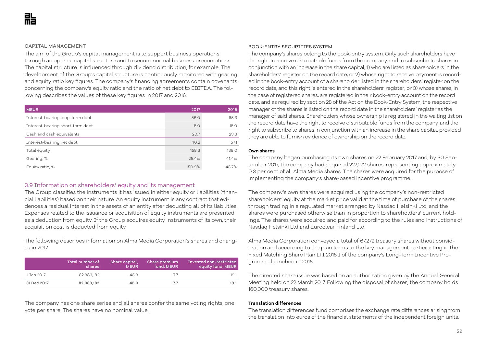#### CAPITAL MANAGEMENT

The aim of the Group's capital management is to support business operations through an optimal capital structure and to secure normal business preconditions. The capital structure is influenced through dividend distribution, for example. The development of the Group's capital structure is continuously monitored with gearing and equity ratio key figures. The company's financing agreements contain covenants concerning the company's equity ratio and the ratio of net debt to EBITDA. The following describes the values of these key figures in 2017 and 2016.

| <b>MEUR</b>                      | 2017  | 2016  |
|----------------------------------|-------|-------|
| Interest-bearing long-term debt  | 56.0  | 65.3  |
| Interest-bearing short-term debt | 5.0   | 15.0  |
| Cash and cash equivalents        | 20.7  | 23.3  |
| Interest-bearing net debt        | 40.2  | 57.1  |
| Total equity                     | 158.3 | 138.0 |
| Gearing, %                       | 25.4% | 41.4% |
| Equity ratio, %                  | 50.9% | 45.7% |

## 3.9 Information on shareholders' equity and its management

The Group classifies the instruments it has issued in either equity or liabilities (financial liabilities) based on their nature. An equity instrument is any contract that evidences a residual interest in the assets of an entity after deducting all of its liabilities. Expenses related to the issuance or acquisition of equity instruments are presented as a deduction from equity. If the Group acquires equity instruments of its own, their acquisition cost is deducted from equity.

The following describes information on Alma Media Corporation's shares and changes in 2017.

|             | Total number of<br>shares | Share capital,<br><b>MEUR</b> | Share premium<br>fund, MEUR | Invested non-restricted<br>equity fund, MEUR |
|-------------|---------------------------|-------------------------------|-----------------------------|----------------------------------------------|
| 1 Jan 2017  | 82,383,182                | 45.3                          |                             | 19.1                                         |
| 31 Dec 2017 | 82,383,182                | 45.3                          | 77                          | 19.1                                         |

The company has one share series and all shares confer the same voting rights, one vote per share. The shares have no nominal value.

#### BOOK-ENTRY SECURITIES SYSTEM

The company's shares belong to the book-entry system. Only such shareholders have the right to receive distributable funds from the company, and to subscribe to shares in conjunction with an increase in the share capital, 1) who are listed as shareholders in the shareholders' register on the record date; or 2) whose right to receive payment is recorded in the book-entry account of a shareholder listed in the shareholders' register on the record date, and this right is entered in the shareholders' register; or 3) whose shares, in the case of registered shares, are registered in their book-entry account on the record date, and as required by section 28 of the Act on the Book-Entry System, the respective manager of the shares is listed on the record date in the shareholders' register as the manager of said shares. Shareholders whose ownership is registered in the waiting list on the record date have the right to receive distributable funds from the company, and the right to subscribe to shares in conjunction with an increase in the share capital, provided they are able to furnish evidence of ownership on the record date.

#### **Own shares**

The company began purchasing its own shares on 22 February 2017 and, by 30 September 2017, the company had acquired 227,272 shares, representing approximately 0.3 per cent of all Alma Media shares. The shares were acquired for the purpose of implementing the company's share-based incentive programme.

The company's own shares were acquired using the company's non-restricted shareholders' equity at the market price valid at the time of purchase of the shares through trading in a regulated market arranged by Nasdaq Helsinki Ltd, and the shares were purchased otherwise than in proportion to shareholders' current holdings. The shares were acquired and paid for according to the rules and instructions of Nasdaq Helsinki Ltd and Euroclear Finland Ltd.

Alma Media Corporation conveyed a total of 67,272 treasury shares without consideration and according to the plan terms to the key management participating in the Fixed Matching Share Plan LTI 2015 I of the company's Long-Term Incentive Programme launched in 2015.

The directed share issue was based on an authorisation given by the Annual General Meeting held on 22 March 2017. Following the disposal of shares, the company holds 160,000 treasury shares.

#### **Translation differences**

The translation differences fund comprises the exchange rate differences arising from the translation into euros of the financial statements of the independent foreign units.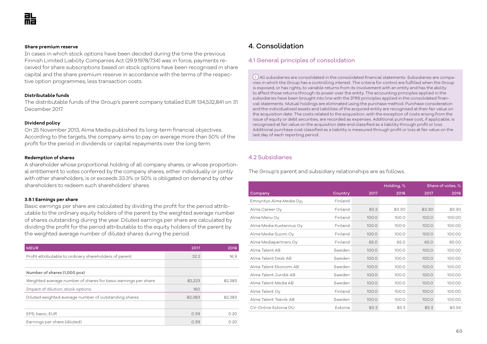#### **Share premium reserve**

In cases in which stock options have been decided during the time the previous Finnish Limited Liability Companies Act (29.9.1978/734) was in force, payments received for share subscriptions based on stock options have been recognised in share capital and the share premium reserve in accordance with the terms of the respective option programmes, less transaction costs.

#### **Distributable funds**

The distributable funds of the Group's parent company totalled EUR 134,532,841 on 31 December 2017.

### **Dividend policy**

On 25 November 2013, Alma Media published its long-term financial objectives. According to the targets, the company aims to pay on average more than 50% of the profit for the period in dividends or capital repayments over the long term.

#### **Redemption of shares**

A shareholder whose proportional holding of all company shares, or whose proportional entitlement to votes conferred by the company shares, either individually or jointly with other shareholders, is or exceeds 33.3% or 50% is obligated on demand by other shareholders to redeem such shareholders' shares.

#### **3.9.1 Earnings per share**

Basic earnings per share are calculated by dividing the profit for the period attributable to the ordinary equity holders of the parent by the weighted average number of shares outstanding during the year. Diluted earnings per share are calculated by dividing the profit for the period attributable to the equity holders of the parent by the weighted average number of diluted shares during the period.

| <b>MEUR</b>                                                    | 2017   | 2016   |
|----------------------------------------------------------------|--------|--------|
| Profit attributable to ordinary shareholders of parent         | 32.2   | 16.9   |
|                                                                |        |        |
| Number of shares (1,000 pcs)                                   |        |        |
| Weighted average number of shares for basic earnings per share | 82,223 | 82,383 |
| Impact of dilution, stock options                              | 160    |        |
| Diluted weighted average number of outstanding shares          | 82,383 | 82,383 |
|                                                                |        |        |
| EPS, basic, EUR                                                | 0.39   | 0.20   |
| Earnings per share (diluted)                                   | 0.39   | 0.20   |

## 4. Consolidation

## 4.1 General principles of consolidation

 $(i)$  All subsidiaries are consolidated in the consolidated financial statements. Subsidiaries are companies in which the Group has a controlling interest. The criteria for control are fulfilled when the Group is exposed, or has rights, to variable returns from its involvement with an entity and has the ability to affect those returns through its power over the entity. The accounting principles applied in the subsidiaries have been brought into line with the IFRS principles applied in the consolidated financial statements. Mutual holdings are eliminated using the purchase method. Purchase consideration and the individualised assets and liabilities of the acquired entity are recognised at their fair value on the acquisition date. The costs related to the acquisition, with the exception of costs arising from the issue of equity or debt securities, are recorded as expenses. Additional purchase cost, if applicable, is recognised at fair value on the acquisition date and classified as a liability through profit or loss. Additional purchase cost classified as a liability is measured through profit or loss at fair value on the last day of each reporting period.

## 4.2 Subsidiaries

The Group's parent and subsidiary relationships are as follows.

|                          |         | Holding, % |       | Share of votes, % |        |
|--------------------------|---------|------------|-------|-------------------|--------|
| Company                  | Country | 2017       | 2016  | 2017              | 2016   |
| Emoyritys Alma Media Oyj | Finland |            |       |                   |        |
| Alma Career Oy           | Finland | 83.3       | 83.30 | 83.30             | 83.30  |
| Alma Manu Oy             | Finland | 100.0      | 100.0 | 100.0             | 100.00 |
| Alma Media Kustannus Oy  | Finland | 100.0      | 100.0 | 100.0             | 100.00 |
| Alma Media Suomi Oy      | Finland | 100.0      | 100.0 | 100.0             | 100.00 |
| Alma Mediapartners Oy    | Finland | 65.0       | 65.0  | 65.0              | 65.00  |
| Alma Talent AB           | Sweden  | 100.0      | 100.0 | 100.0             | 100.00 |
| Alma Talent Desk AB      | Sweden  | 100.0      | 100.0 | 100.0             | 100.00 |
| Alma Talent Ekonomi AB   | Sweden  | 100.0      | 100.0 | 100.0             | 100.00 |
| Alma Talent Juridik AB   | Sweden  | 100.0      | 100.0 | 100.0             | 100.00 |
| Alma Talent Media AB     | Sweden  | 100.0      | 100.0 | 100.0             | 100.00 |
| Alma Talent Oy           | Finland | 100.0      | 100.0 | 100.0             | 100.00 |
| Alma Talent Teknik AB    | Sweden  | 100.0      | 100.0 | 100.0             | 100.00 |
| CV-Online Estonia OÜ     | Estonia | 83.3       | 83.3  | 83.3              | 83.34  |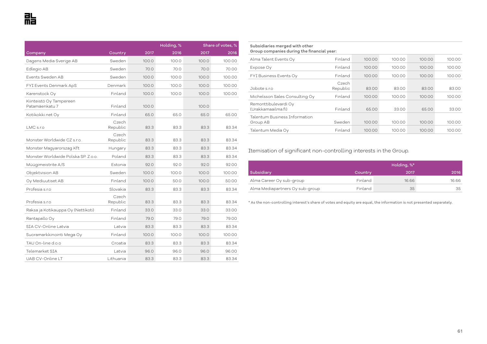|                                           |                   |       | Holding, % |       | Share of votes, % |  |  |
|-------------------------------------------|-------------------|-------|------------|-------|-------------------|--|--|
| Company                                   | Country           | 2017  | 2016       | 2017  | 2016              |  |  |
| Dagens Media Sverige AB                   | Sweden            | 100.0 | 100.0      | 100.0 | 100.00            |  |  |
| Edlegio AB                                | Sweden            | 70.0  | 70.0       | 70.0  | 70.00             |  |  |
| <b>Fvents Sweden AB</b>                   | Sweden            | 100.0 | 100.0      | 100.0 | 100.00            |  |  |
| FYI Events Denmark ApS                    | Denmark           | 100.0 | 100.0      | 100.0 | 100.00            |  |  |
| Karenstock Oy                             | Finland           | 100.0 | 100.0      | 100.0 | 100.00            |  |  |
| Kiinteistö Oy Tampereen<br>Patamäenkatu 7 | Finland           | 100.0 |            | 100.0 |                   |  |  |
| Kotikokki.net Oy                          | Finland           | 65.0  | 65.0       | 65.0  | 65.00             |  |  |
| LMC s.r.o                                 | Czech<br>Republic | 83.3  | 83.3       | 83.3  | 83.34             |  |  |
| Monster Worldwide CZ s.r.o.               | Czech<br>Republic | 83.3  | 83.3       | 83.3  | 83.34             |  |  |
| Monster Magyarorszag Kft                  | Hungary           | 83.3  | 83.3       | 83.3  | 83.34             |  |  |
| Monster Worldwide Polska SP, Z.o.o.       | Poland            | 83.3  | 83.3       | 83.3  | 83.34             |  |  |
| Müügimeistrite A/S                        | Estonia           | 92.0  | 92.0       | 92.0  | 92.00             |  |  |
| Objektvision AB                           | Sweden            | 100.0 | 100.0      | 100.0 | 100.00            |  |  |
| Oy Mediuutiset AB                         | Finland           | 100.0 | 50.0       | 100.0 | 50.00             |  |  |
| Profesia s.r.o                            | Slovakia          | 83.3  | 83.3       | 83.3  | 83.34             |  |  |
| Profesia s.r.o                            | Czech<br>Republic | 83.3  | 83.3       | 83.3  | 83.34             |  |  |
| Raksa ja Kotikauppa Oy (Nettikoti)        | Finland           | 33.0  | 33.0       | 33.0  | 33.00             |  |  |
| Rantapallo Oy                             | Finland           | 79.0  | 79.0       | 79.0  | 79.00             |  |  |
| SIA CV-Online Latvia                      | Latvia            | 83.3  | 83.3       | 83.3  | 83.34             |  |  |
| Suoramarkkinointi Mega Oy                 | Finland           | 100.0 | 100.0      | 100.0 | 100.00            |  |  |
| TAU On-line d.o.o                         | Croatia           | 83.3  | 83.3       | 83.3  | 83.34             |  |  |
| Telemarket SIA                            | Latvia            | 96.0  | 96.0       | 96.0  | 96.00             |  |  |
| UAB CV-Online LT                          | Lithuania         | 83.3  | 83.3       | 83.3  | 83.34             |  |  |

**Subsidiaries merged with other Group companies during the financial year:** 

| Alma Talent Events Oy                      | Finland           | 100.00 | 100.00 | 100.00 | 100.00 |
|--------------------------------------------|-------------------|--------|--------|--------|--------|
| Expose Oy                                  | Finland           | 100.00 | 100.00 | 100.00 | 100.00 |
| FYI Business Events Oy                     | Finland           | 100.00 | 100.00 | 100.00 | 100.00 |
| Jobote s.r.o                               | Czech<br>Republic | 83.00  | 83.00  | 83.00  | 83.00  |
| Michelsson Sales Consulting Oy             | Finland           | 100.00 | 100.00 | 100.00 | 100.00 |
| Remonttibulevardi Oy<br>(Urakkamaailma.fi) | Finland           | 65.00  | 33.00  | 65.00  | 33.00  |
| Talentum Business Information<br>Group AB  | Sweden            | 100.00 | 100.00 | 100.00 | 100.00 |
| Talentum Media Oy                          | Finland           | 100.00 | 100.00 | 100.00 | 100.00 |

Itemisation of significant non-controlling interests in the Group.

|                                 | Holding, %* |       |       |  |
|---------------------------------|-------------|-------|-------|--|
| Subsidiary                      | Country     | 2017  | 2016  |  |
| Alma Career Oy sub-group        | Finland     | 16.66 | 16.66 |  |
| Alma Mediapartners Oy sub-group | Finland     | 35    | 35    |  |

\* As the non-controlling interest's share of votes and equity are equal, the information is not presented separately.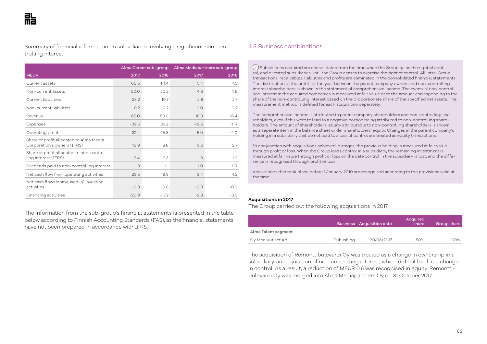Summary of financial information on subsidiaries involving a significant non-controlling interest.

|                                                                        |         | Alma Career sub-group |         | Alma Mediapartners sub-group |
|------------------------------------------------------------------------|---------|-----------------------|---------|------------------------------|
| <b>MEUR</b>                                                            | 2017    | 2016                  | 2017    | 2016                         |
| Current assets                                                         | 60.5    | 44.4                  | 5.4     | 4.5                          |
| Non-current assets                                                     | 50.0    | 50.2                  | 4.6     | 4.6                          |
| Current liabilities                                                    | 25.2    | 19.7                  | 2.8     | 2.7                          |
| Non-current liabilities                                                | O.2     | 0.2                   | O.O     | 0.2                          |
| Revenue                                                                | 65.0    | 53.0                  | 18.3    | 16.4                         |
| Expenses                                                               | $-39.5$ | 33.2                  | $-12.6$ | 11.7                         |
| Operating profit                                                       | 22.4    | 15.8                  | 5.0     | 4.0                          |
| Share of profit allocated to Alma Media<br>Corporation's owners (IFRS) | 13.9    | 8.6                   | 2.6     | 27                           |
| Share of profit allocated to non-control-<br>ling interest (IFRS)      | 3.4     | 2.3                   | 1.3     | 1.0                          |
| Dividends paid to non-controlling interest                             | 1.3     | 1.1                   | 1.0     | O.7                          |
| Net cash flow from operating activities                                | 23.5    | 19.3                  | 3.4     | 4.2                          |
| Net cash flows from/(used in) investing<br>activities                  | $-0.8$  | $-0.8$                | $-0.8$  | $-0.9$                       |
| Financing activities                                                   | $-20.9$ | $-17.2$               | $-2.8$  | $-3.3$                       |

The information from the sub-group's financial statements is presented in the table below according to Finnish Accounting Standards (FAS), as the financial statements have not been prepared in accordance with IFRS.

## 4.3 Business combinations

 $\widehat{(\cdot)}$  Subsidiaries acquired are consolidated from the time when the Group gains the right of control, and divested subsidiaries until the Group ceases to exercise the right of control. All intra-Group transactions, receivables, liabilities and profits are eliminated in the consolidated financial statements. The distribution of the profit for the year between the parent company owners and non-controlling interest shareholders is shown in the statement of comprehensive income. The eventual non-controlling interest in the acquired companies is measured at fair value or to the amount corresponding to the share of the non-controlling interest based on the proportionate share of the specified net assets. The measurement method is defined for each acquisition separately.

The comprehensive income is attributed to parent company shareholders and non-controlling shareholders, even if this were to lead to a negative portion being attributed to non-controlling shareholders. The amount of shareholders' equity attributable to non-controlling shareholders is shown as a separate item in the balance sheet under shareholders' equity. Changes in the parent company's holding in a subsidiary that do not lead to a loss of control are treated as equity transactions.

In conjunction with acquisitions achieved in stages, the previous holding is measured at fair value through profit or loss. When the Group loses control in a subsidiary, the remaining investment is measured at fair value through profit or loss on the date control in the subsidiary is lost, and the difference is recognised through profit or loss.

Acquisitions that took place before 1 January 2010 are recognised according to the provisions valid at the time.

#### **Acquisitions in 2017**

The Group carried out the following acquisitions in 2017.

|                     |            | Business Acquisition date | Acquired<br>share | Group share |
|---------------------|------------|---------------------------|-------------------|-------------|
| Alma Talent segment |            |                           |                   |             |
| Oy Mediuutiset Ab   | Publishing | 30/06/2017                | 50%               | 100%        |

The acquisition of Remonttibulevardi Oy was treated as a change in ownership in a subsidiary, an acquisition of non-controlling interest, which did not lead to a change in control. As a result, a reduction of MEUR 0.6 was recognised in equity. Remonttibulevardi Oy was merged into Alma Mediapartners Oy on 31 October 2017.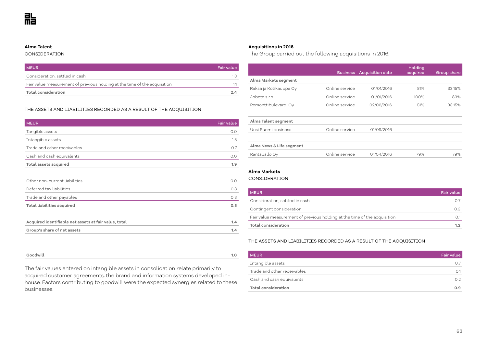#### **Alma Talent**

#### CONSIDERATION

| <b>MEUR</b>                                                               | Fair value |
|---------------------------------------------------------------------------|------------|
| Consideration, settled in cash                                            | 13         |
| Fair value measurement of previous holding at the time of the acquisition |            |
| Total consideration                                                       | 2Δ         |

#### THE ASSETS AND LIABILITIES RECORDED AS A RESULT OF THE ACQUISITION

| <b>MEUR</b>                                           | Fair value |
|-------------------------------------------------------|------------|
| Tangible assets                                       | O.O        |
| Intangible assets                                     | 1.3        |
| Trade and other receivables                           | 0.7        |
| Cash and cash equivalents                             | O.O        |
| Total assets acquired                                 | 1.9        |
|                                                       |            |
| Other non-current liabilities                         | 0.0        |
| Deferred tax liabilities                              | 0.3        |
| Trade and other payables                              | O.3        |
| Total liabilities acquired                            | 0.5        |
|                                                       |            |
| Acquired identifiable net assets at fair value, total | 1.4        |
| Group's share of net assets                           | 1.4        |
|                                                       |            |
|                                                       |            |
| Goodwill                                              | 1.0        |

The fair values entered on intangible assets in consolidation relate primarily to acquired customer agreements, the brand and information systems developed inhouse. Factors contributing to goodwill were the expected synergies related to these businesses.

## **Acquisitions in 2016**

The Group carried out the following acquisitions in 2016.

|                          | <b>Business</b> | <b>Acquisition date</b> | Holding<br>acquired | Group share |
|--------------------------|-----------------|-------------------------|---------------------|-------------|
| Alma Markets segment     |                 |                         |                     |             |
| Raksa ja Kotikauppa Oy   | Online service  | 01/01/2016              | 51%                 | 33.15%      |
| Jobote s.r.o             | Online service  | 01/01/2016              | 100%                | 83%         |
| Remonttibulevardi Oy     | Online service  | 02/06/2016              | 51%                 | 33.15%      |
|                          |                 |                         |                     |             |
| Alma Talent segment      |                 |                         |                     |             |
| Uusi Suomi business      | Online service  | 01/09/2016              |                     |             |
|                          |                 |                         |                     |             |
| Alma News & Life segment |                 |                         |                     |             |
| Rantapallo Oy            | Online service  | 01/04/2016              | 79%                 | 79%         |

## **Alma Markets**

CONSIDERATION

| <b>MEUR</b>                                                               | Fair value |
|---------------------------------------------------------------------------|------------|
| Consideration, settled in cash                                            |            |
| Contingent consideration                                                  | 0.3        |
| Fair value measurement of previous holding at the time of the acquisition |            |
| Total consideration                                                       |            |

THE ASSETS AND LIABILITIES RECORDED AS A RESULT OF THE ACQUISITION

| <b>MEUR</b>                 | Fair value |
|-----------------------------|------------|
| Intangible assets           | 0.7        |
| Trade and other receivables | 0.1        |
| Cash and cash equivalents   | 0.2        |
| Total consideration         | 0.9        |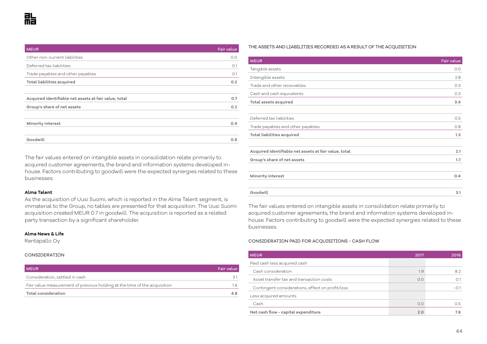| <b>MEUR</b>                                           | <b>Fair value</b> |
|-------------------------------------------------------|-------------------|
| Other non-current liabilities                         | O.O               |
| Deferred tax liabilities                              | O.1               |
| Trade payables and other payables                     | O.1               |
| Total liabilities acquired                            | 0.2               |
|                                                       |                   |
| Acquired identifiable net assets at fair value, total | 0.7               |
| Group's share of net assets                           | 0.2               |
|                                                       |                   |
| <b>Minority interest</b>                              | 0.4               |
|                                                       |                   |
| Goodwill                                              | 0.9               |

The fair values entered on intangible assets in consolidation relate primarily to acquired customer agreements, the brand and information systems developed inhouse. Factors contributing to goodwill were the expected synergies related to these businesses.

#### **Alma Talent**

As the acquisition of Uusi Suomi, which is reported in the Alma Talent segment, is immaterial to the Group, no tables are presented for that acquisition. The Uusi Suomi acquisition created MEUR 0.7 in goodwill. The acquisition is reported as a related party transaction by a significant shareholder.

#### **Alma News & Life**

Rantapallo Oy

#### CONSIDERATION

| <b>MEUR</b>                                                               | <b>Fair value</b> |
|---------------------------------------------------------------------------|-------------------|
| Consideration, settled in cash                                            |                   |
| Fair value measurement of previous holding at the time of the acquisition | 16                |
| Total consideration                                                       | 4.8               |

#### THE ASSETS AND LIABILITIES RECORDED AS A RESULT OF THE ACQUISITION

| <b>MEUR</b>                                           | Fair value |
|-------------------------------------------------------|------------|
| Tangible assets                                       | O.O        |
| Intangible assets                                     | 2.8        |
| Trade and other receivables                           | O.3        |
| Cash and cash equivalents                             | O.3        |
| Total assets acquired                                 | 3.4        |
|                                                       |            |
| Deferred tax liabilities                              | 0.5        |
| Trade payables and other payables                     | 0.8        |
| Total liabilities acquired                            | 1.3        |
|                                                       |            |
| Acquired identifiable net assets at fair value, total | 2.1        |
| Group's share of net assets                           | 1.7        |
|                                                       |            |
| Minority interest                                     | 0.4        |
|                                                       |            |
| Goodwill                                              | 3.1        |

The fair values entered on intangible assets in consolidation relate primarily to acquired customer agreements, the brand and information systems developed inhouse. Factors contributing to goodwill were the expected synergies related to these businesses.

#### CONSIDERATION PAID FOR ACQUISITIONS - CASH FLOW

| <b>MEUR</b>                                      | 2017 | 2016   |
|--------------------------------------------------|------|--------|
| Paid cash less acquired cash                     |      |        |
| Cash consideration                               | 1.9  | 8.2    |
| Asset transfer tax and transaction costs         | O.O  | O.1    |
| Contingent considerations, effect on profit/loss |      | $-0.1$ |
| Less acquired amounts                            |      |        |
| Cash                                             | 0.0  | O.5    |
| Net cash flow - capital expenditure              | 2.0  | 7.8    |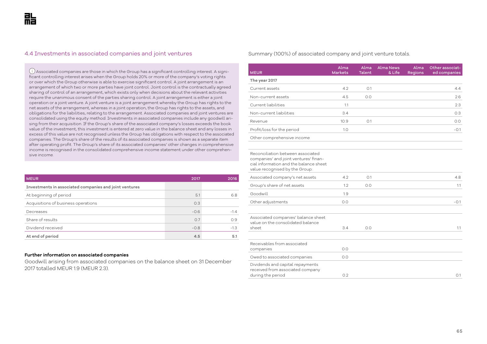## 4.4 Investments in associated companies and joint ventures

 Associated companies are those in which the Group has a significant controlling interest. A significant controlling interest arises when the Group holds 20% or more of the company's voting rights or over which the Group otherwise is able to exercise significant control. A joint arrangement is an arrangement of which two or more parties have joint control. Joint control is the contractually agreed sharing of control of an arrangement, which exists only when decisions about the relevant activities require the unanimous consent of the parties sharing control. A joint arrangement is either a joint operation or a joint venture. A joint venture is a joint arrangement whereby the Group has rights to the net assets of the arrangement, whereas in a joint operation, the Group has rights to the assets, and obligations for the liabilities, relating to the arrangement. Associated companies and joint ventures are consolidated using the equity method. Investments in associated companies include any goodwill arising from their acquisition. If the Group's share of the associated company's losses exceeds the book value of the investment, this investment is entered at zero value in the balance sheet and any losses in excess of this value are not recognised unless the Group has obligations with respect to the associated companies. The Group's share of the results of its associated companies is shown as a separate item after operating profit. The Group's share of its associated companies' other changes in comprehensive income is recognised in the consolidated comprehensive income statement under other comprehensive income.

| <b>MEUR</b>                                            | 2017   | 2016   |
|--------------------------------------------------------|--------|--------|
| Investments in associated companies and joint ventures |        |        |
| At beginning of period                                 | 5.1    | 6.8    |
| Acquisitions of business operations                    | O.3    |        |
| Decreases                                              | $-0.6$ | $-1.4$ |
| Share of results                                       | O.7    | 0.9    |
| Dividend received                                      | $-0.8$ | $-1.3$ |
| At end of period                                       | 4.5    | 5.1    |

#### **Further information on associated companies**

Goodwill arising from associated companies on the balance sheet on 31 December 2017 totalled MEUR 1.9 (MEUR 2.3).

#### Summary (100%) of associated company and joint venture totals.

| <b>MEUR</b>                                                                                                                                            | Alma<br><b>Markets</b> | Alma<br>Talent | <b>Alma News</b><br>& Life | Alma<br><b>Regions</b> | Other associat-<br>ed companies |
|--------------------------------------------------------------------------------------------------------------------------------------------------------|------------------------|----------------|----------------------------|------------------------|---------------------------------|
| The year 2017                                                                                                                                          |                        |                |                            |                        |                                 |
| Current assets                                                                                                                                         | 4.2                    | O.1            |                            |                        | 4.4                             |
| Non-current assets                                                                                                                                     | 4.5                    | 0.0            |                            |                        | 2.6                             |
| Current liabilities                                                                                                                                    | 1.1                    |                |                            |                        | 2.3                             |
| Non-current liabilities                                                                                                                                | 3.4                    |                |                            |                        | 0.3                             |
| Revenue                                                                                                                                                | 10.9                   | O.1            |                            |                        | O.O                             |
| Profit/loss for the period                                                                                                                             | 1.0                    |                |                            |                        | $-0.1$                          |
| Other comprehensive income                                                                                                                             |                        |                |                            |                        |                                 |
|                                                                                                                                                        |                        |                |                            |                        |                                 |
| Reconciliation between associated<br>companies' and joint ventures' finan-<br>cial information and the balance sheet<br>value recognised by the Group: |                        |                |                            |                        |                                 |
| Associated company's net assets                                                                                                                        | 4.2                    | O.1            |                            |                        | 4.8                             |
| Group's share of net assets                                                                                                                            | 1.2                    | 0.0            |                            |                        | 1.1                             |
| Goodwill                                                                                                                                               | 1.9                    |                |                            |                        |                                 |
| Other adjustments                                                                                                                                      | 0.0                    |                |                            |                        | $-0.1$                          |
|                                                                                                                                                        |                        |                |                            |                        |                                 |
| Associated companies' balance sheet<br>value on the consolidated balance<br>sheet                                                                      | 3.4                    | 0.0            |                            |                        | 1.1                             |
|                                                                                                                                                        |                        |                |                            |                        |                                 |
| Receivables from associated<br>companies                                                                                                               | 0.0                    |                |                            |                        |                                 |
| Owed to associated companies                                                                                                                           | 0.0                    |                |                            |                        |                                 |
| Dividends and capital repayments<br>received from associated company<br>during the period                                                              | 0.2                    |                |                            |                        | O.1                             |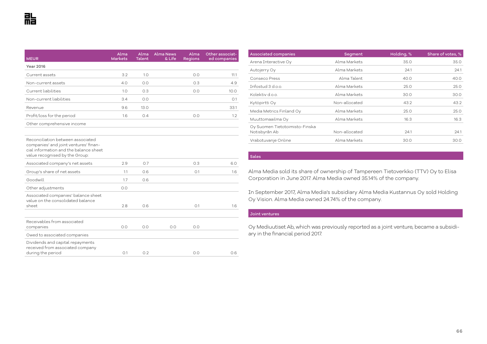| MEUR                                                                                                                                                   | Alma<br><b>Markets</b> | Alma<br><b>Talent</b> | <b>Alma News</b><br>& Life | Alma<br><b>Regions</b> | Other associat-<br>ed companies |
|--------------------------------------------------------------------------------------------------------------------------------------------------------|------------------------|-----------------------|----------------------------|------------------------|---------------------------------|
| <b>Year 2016</b>                                                                                                                                       |                        |                       |                            |                        |                                 |
| Current assets                                                                                                                                         | 3.2                    | 1.0                   |                            | 0.0                    | 11.1                            |
| Non-current assets                                                                                                                                     | 4.0                    | 0.0                   |                            | 0.3                    | 4.9                             |
| Current liabilities                                                                                                                                    | 1.0                    | 0.3                   |                            | 0.0                    | 10.0                            |
| Non-current liabilities                                                                                                                                | 3.4                    | 0.0                   |                            |                        | O.1                             |
| Revenue                                                                                                                                                | 9.6                    | 13.0                  |                            |                        | 33.1                            |
| Profit/loss for the period                                                                                                                             | 1.6                    | 0.4                   |                            | 0.0                    | 1.2                             |
| Other comprehensive income                                                                                                                             |                        |                       |                            |                        |                                 |
|                                                                                                                                                        |                        |                       |                            |                        |                                 |
| Reconciliation between associated<br>companies' and joint ventures' finan-<br>cial information and the balance sheet<br>value recognised by the Group: |                        |                       |                            |                        |                                 |
| Associated company's net assets                                                                                                                        | 2.9                    | 0.7                   |                            | 0.3                    | 6.0                             |
| Group's share of net assets                                                                                                                            | 1.1                    | 0.6                   |                            | O.1                    | 1.6                             |
| Goodwill                                                                                                                                               | 1.7                    | 0.6                   |                            |                        |                                 |
| Other adjustments                                                                                                                                      | 0.0                    |                       |                            |                        |                                 |
| Associated companies' balance sheet<br>value on the consolidated balance<br>sheet                                                                      | 2.8                    | 0.6                   |                            | O.1                    | 1.6                             |
| Receivables from associated<br>companies                                                                                                               | 0.0                    | 0.0                   | 0.0                        | 0.0                    |                                 |
| Owed to associated companies                                                                                                                           |                        |                       |                            |                        |                                 |
| Dividends and capital repayments<br>received from associated company<br>during the period                                                              | O.1                    | 0.2                   |                            | 0.0                    | 0.6                             |

| <b>Associated companies</b>    | Segment       | Holding, % | Share of votes, % |
|--------------------------------|---------------|------------|-------------------|
| Arena Interactive Oy           | Alma Markets  | 35.0       | 35.0              |
| Autojerry Oy                   | Alma Markets  | 24.1       | 24.1              |
| Conseco Press                  | Alma Talent   | 40.0       | 40.0              |
| Thrfostud 3 d.o.o.             | Alma Markets  | 25.0       | 25.0              |
| Kolektiv d.o.o.                | Alma Markets  | 30.0       | 30.0              |
| Kytöpirtti Oy                  | Non-allocated | 43.2       | 43.2              |
| Media Metrics Finland Oy       | Alma Markets  | 25.0       | 25.0              |
| Muuttomaailma Oy               | Alma Markets  | 16.3       | 16.3              |
| Oy Suomen Tietotoimisto-Finska |               |            |                   |
| Notisbyrån Ab                  | Non-allocated | 24.1       | 24.1              |
| Vrabotuvanje Online            | Alma Markets  | 30.0       | 30.0              |

#### **Sales**

Alma Media sold its share of ownership of Tampereen Tietoverkko (TTV) Oy to Elisa Corporation in June 2017. Alma Media owned 35.14% of the company.

In September 2017, Alma Media's subsidiary Alma Media Kustannus Oy sold Holding Oy Vision. Alma Media owned 24.74% of the company.

#### Joint ventures

Oy Mediuutiset Ab, which was previously reported as a joint venture, became a subsidiary in the financial period 2017.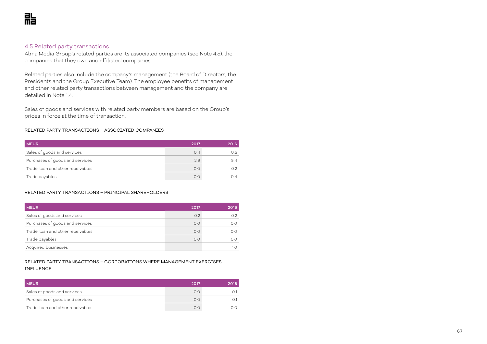## 4.5 Related party transactions

Alma Media Group's related parties are its associated companies (see Note 4.5), the companies that they own and affiliated companies.

Related parties also include the company's management (the Board of Directors, the Presidents and the Group Executive Team). The employee benefits of management and other related party transactions between management and the company are detailed in Note 1.4.

Sales of goods and services with related party members are based on the Group's prices in force at the time of transaction.

#### RELATED PARTY TRANSACTIONS – ASSOCIATED COMPANIES

| <b>MEUR</b>                       | 2017 | 2016 |
|-----------------------------------|------|------|
| Sales of goods and services       | 0.4  | 0.5  |
| Purchases of goods and services   | 2.9  | 5.4  |
| Trade, loan and other receivables | 0.0  |      |
| Trade payables                    | 0.0  | ∩⊿   |

#### RELATED PARTY TRANSACTIONS – PRINCIPAL SHAREHOLDERS

| <b>MEUR</b>                       | 2017 | 2016 |
|-----------------------------------|------|------|
| Sales of goods and services       | 0.2  |      |
| Purchases of goods and services   | O.O  | 0.0  |
| Trade, loan and other receivables | 0.0  | 0.0  |
| Trade payables                    | 0.0  | 0.0  |
| Acquired businesses               |      |      |

## RELATED PARTY TRANSACTIONS – CORPORATIONS WHERE MANAGEMENT EXERCISES INFLUENCE

| <b>MEUR</b>                       | 2017 | 2016. |
|-----------------------------------|------|-------|
| Sales of goods and services       | ΩO   |       |
| Purchases of goods and services   | 0.0  |       |
| Trade, loan and other receivables | n c  |       |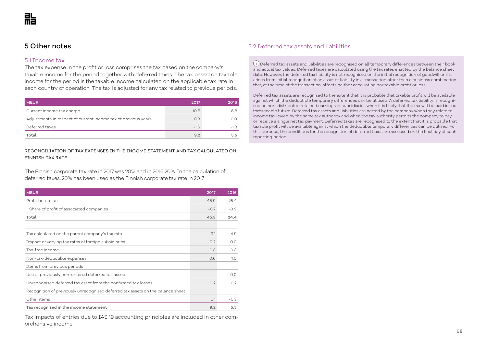## 5 Other notes

## 5.1 Income tax

The tax expense in the profit or loss comprises the tax based on the company's taxable income for the period together with deferred taxes. The tax based on taxable income for the period is the taxable income calculated on the applicable tax rate in each country of operation. The tax is adjusted for any tax related to previous periods.

| <b>MEUR</b>                                                    | 2017   | 2016   |
|----------------------------------------------------------------|--------|--------|
| Current income tax charge                                      | 10.5   | 6.8    |
| Adjustments in respect of current income tax of previous years | 0.3    | O.O    |
| Deferred taxes                                                 | $-1.6$ | $-1.3$ |
| Total                                                          | 9.2    | 55     |

## RECONCILIATION OF TAX EXPENSES IN THE INCOME STATEMENT AND TAX CALCULATED ON FINNISH TAX RATE

The Finnish corporate tax rate in 2017 was 20% and in 2016 20%. In the calculation of deferred taxes, 20% has been used as the Finnish corporate tax rate in 2017.

| <b>MEUR</b>                                                                     | 2017   | 2016   |
|---------------------------------------------------------------------------------|--------|--------|
| Profit before tax                                                               | 45.9   | 25.4   |
| Share of profit of associated companies                                         | $-0.7$ | $-0.9$ |
| Total                                                                           | 45.3   | 24.4   |
|                                                                                 |        |        |
| Tax calculated on the parent company's tax rate                                 | 9.1    | 4.9    |
| Impact of varying tax rates of foreign subsidiaries                             | $-0.2$ | O.O    |
| Tax-free income                                                                 | $-0.5$ | $-0.3$ |
| Non-tax-deductible expenses                                                     | 0.6    | 1.0    |
| Items from previous periods                                                     |        |        |
| Use of previously non-entered deferred tax assets                               |        | 0.0    |
| Unrecognised deferred tax asset from the confirmed tax losses                   | 0.2    | 0.2    |
| Recognition of previously unrecognised deferred tax assets on the balance sheet |        |        |
| Other items                                                                     | O.1    | $-0.2$ |
| Tax recognised in the income statement                                          | 9.2    | 5.5    |

Tax impacts of entries due to IAS 19 accounting principles are included in other comprehensive income.

## 5.2 Deferred tax assets and liabilities

 $(i)$  Deferred tax assets and liabilities are recognised on all temporary differences between their book and actual tax values. Deferred taxes are calculated using the tax rates enacted by the balance sheet date. However, the deferred tax liability is not recognised on the initial recognition of goodwill or if it arises from initial recognition of an asset or liability in a transaction other than a business combination that, at the time of the transaction, affects neither accounting nor taxable profit or loss.

Deferred tax assets are recognised to the extent that it is probable that taxable profit will be available against which the deductible temporary differences can be utilised. A deferred tax liability is recognised on non-distributed retained earnings of subsidiaries when it is likely that the tax will be paid in the foreseeable future. Deferred tax assets and liabilities are netted by the company when they relate to income tax levied by the same tax authority and when the tax authority permits the company to pay or receive a single net tax payment. Deferred taxes are recognised to the extent that it is probable that taxable profit will be available against which the deductible temporary differences can be utilised. For this purpose, the conditions for the recognition of deferred taxes are assessed on the final day of each reporting period.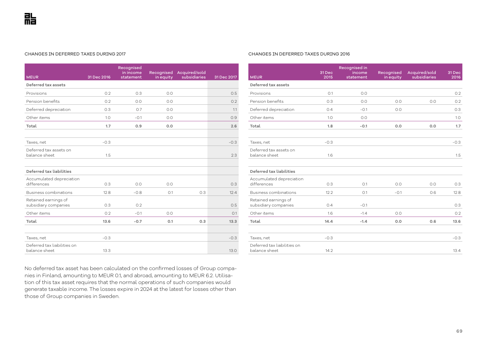#### CHANGES IN DEFERRED TAXES DURING 2017

| <b>MEUR</b>                                  | 31 Dec 2016 | Recognised<br>in income<br>statement | Recognised<br>in equity | Acquired/sold<br>subsidiaries | 31 Dec 2017 |
|----------------------------------------------|-------------|--------------------------------------|-------------------------|-------------------------------|-------------|
| Deferred tax assets                          |             |                                      |                         |                               |             |
| Provisions                                   | 0.2         | 0.3                                  | 0.0                     |                               | 0.5         |
| Pension benefits                             | 0.2         | 0.0                                  | 0.0                     |                               | 0.2         |
| Deferred depreciation                        | 0.3         | O.7                                  | 0.0                     |                               | 1.1         |
| Other items                                  | 1.0         | $-0.1$                               | 0.0                     |                               | 0.9         |
| Total                                        | 1.7         | 0.9                                  | 0.0                     |                               | 2.6         |
|                                              |             |                                      |                         |                               |             |
| Taxes, net                                   | $-0.3$      |                                      |                         |                               | $-0.3$      |
| Deferred tax assets on<br>balance sheet      | 1.5         |                                      |                         |                               | 2.3         |
|                                              |             |                                      |                         |                               |             |
| Deferred tax liabilities                     |             |                                      |                         |                               |             |
| Accumulated depreciation<br>differences      | 0.3         | 0.0                                  | 0.0                     |                               | 0.3         |
| Business combinations                        | 12.8        | $-0.8$                               | O.1                     | 0.3                           | 12.4        |
| Retained earnings of<br>subsidiary companies | 0.3         | 0.2                                  |                         |                               | 0.5         |
| Other items                                  | 0.2         | $-0.1$                               | 0.0                     |                               | O.1         |
| Total                                        | 13.6        | $-0.7$                               | 0.1                     | 0.3                           | 13.3        |
|                                              |             |                                      |                         |                               |             |
| Taxes, net                                   | $-0.3$      |                                      |                         |                               | $-0.3$      |
| Deferred tax liabilities on<br>balance sheet | 13.3        |                                      |                         |                               | 13.0        |

## No deferred tax asset has been calculated on the confirmed losses of Group companies in Finland, amounting to MEUR 0.1, and abroad, amounting to MEUR 6.2. Utilisation of this tax asset requires that the normal operations of such companies would generate taxable income. The losses expire in 2024 at the latest for losses other than those of Group companies in Sweden.

#### CHANGES IN DEFERRED TAXES DURING 2016

|                                              | 31 Dec | Recognised in<br>income | Recognised | Acquired/sold | 31 Dec |
|----------------------------------------------|--------|-------------------------|------------|---------------|--------|
| <b>MEUR</b>                                  | 2015   | statement               | in equity  | subsidiaries  | 2016   |
| Deferred tax assets                          |        |                         |            |               |        |
| Provisions                                   | O.1    | 0.0                     |            |               | 0.2    |
| Pension benefits                             | 0.3    | 0.0                     | 0.0        | 0.0           | 0.2    |
| Deferred depreciation                        | 0.4    | $-0.1$                  | 0.0        |               | 0.3    |
| Other items                                  | 1.0    | 0.0                     |            |               | 1.0    |
| Total                                        | 1.8    | $-0.1$                  | 0.0        | 0.0           | 1.7    |
|                                              |        |                         |            |               |        |
| Taxes, net                                   | $-0.3$ |                         |            |               | $-0.3$ |
| Deferred tax assets on                       |        |                         |            |               |        |
| balance sheet                                | 1.6    |                         |            |               | 1.5    |
| Deferred tax liabilities                     |        |                         |            |               |        |
| Accumulated depreciation<br>differences      | 0.3    | O.1                     | 0.0        | 0.0           | 0.3    |
| Business combinations                        | 12.2   | O.1                     | $-0.1$     | 0.6           | 12.8   |
| Retained earnings of                         |        |                         |            |               |        |
| subsidiary companies                         | 0.4    | $-0.1$                  |            |               | 0.3    |
| Other items                                  | 1.6    | $-1.4$                  | 0.0        |               | 0.2    |
| Total                                        | 14.4   | $-1.4$                  | 0.0        | 0.6           | 13.6   |
|                                              |        |                         |            |               |        |
| Taxes, net                                   | $-0.3$ |                         |            |               | $-0.3$ |
| Deferred tax liabilities on<br>balance sheet | 14.2   |                         |            |               | 13.4   |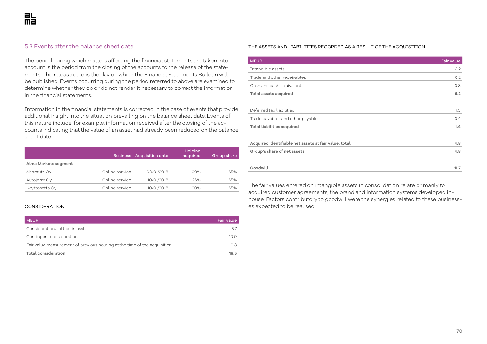The period during which matters affecting the financial statements are taken into account is the period from the closing of the accounts to the release of the statements. The release date is the day on which the Financial Statements Bulletin will be published. Events occurring during the period referred to above are examined to determine whether they do or do not render it necessary to correct the information in the financial statements.

Information in the financial statements is corrected in the case of events that provide additional insight into the situation prevailing on the balance sheet date. Events of this nature include, for example, information received after the closing of the accounts indicating that the value of an asset had already been reduced on the balance sheet date.

|                      | <b>Business</b> | <b>Acquisition date</b> | Holding<br>acquired | Group share |
|----------------------|-----------------|-------------------------|---------------------|-------------|
| Alma Markets segment |                 |                         |                     |             |
| Ahorauta Oy          | Online service  | 03/01/2018              | $100\%$             | 65%         |
| Autojerry Oy         | Online service  | 10/01/2018              | 76%                 | 65%         |
| Käyttösofta Oy       | Online service  | 10/01/2018              | $100\%$             | 65%         |

#### CONSIDERATION

| <b>MEUR</b>                                                               | <b>Fair value</b> |
|---------------------------------------------------------------------------|-------------------|
| Consideration, settled in cash                                            |                   |
| Contingent consideration                                                  | 10.0              |
| Fair value measurement of previous holding at the time of the acquisition | 0.8               |
| Total consideration                                                       | 16.5              |

## 5.3 Events after the balance sheet date THE ASSETS AND LIABILITIES RECORDED AS A RESULT OF THE ACQUISITION

| <b>MEUR</b>                                           | Fair value |
|-------------------------------------------------------|------------|
| Intangible assets                                     | 5.2        |
| Trade and other receivables                           | 0.2        |
| Cash and cash equivalents                             | 0.8        |
| Total assets acquired                                 | 6.2        |
|                                                       |            |
| Deferred tax liabilities                              | 1.0        |
| Trade payables and other payables                     | 0.4        |
| Total liabilities acquired                            | 1.4        |
|                                                       |            |
| Acquired identifiable net assets at fair value, total | 4.8        |
| Group's share of net assets                           | 4.8        |
|                                                       |            |
| Goodwill                                              | 11.7       |

The fair values entered on intangible assets in consolidation relate primarily to acquired customer agreements, the brand and information systems developed inhouse. Factors contributory to goodwill were the synergies related to these businesses expected to be realised.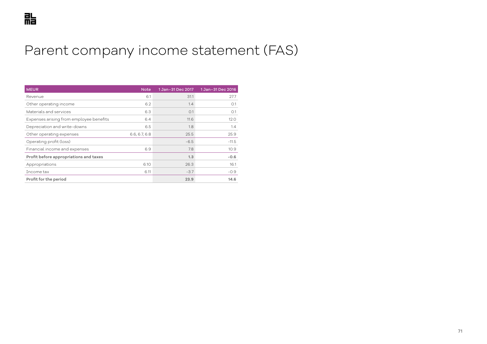## Parent company income statement (FAS)

| <b>MEUR</b>                             | <b>Note</b>   | 1 Jan-31 Dec 2017 | 1 Jan-31 Dec 2016 |
|-----------------------------------------|---------------|-------------------|-------------------|
| Revenue                                 | 6.1           | 31.1              | 27.7              |
| Other operating income                  | 6.2           | 1.4               | O.1               |
| Materials and services                  | 6.3           | O.1               | O.1               |
| Expenses arising from employee benefits | 6.4           | 11.6              | 12.0              |
| Depreciation and write-downs            | 6.5           | 1.8               | 1.4               |
| Other operating expenses                | 6.6, 6.7, 6.8 | 25.5              | 25.9              |
| Operating profit (loss)                 |               | $-6.5$            | $-11.5$           |
| Financial income and expenses           | 6.9           | 7.8               | 10.9              |
| Profit before appropriations and taxes  |               | 1.3               | $-0.6$            |
| Appropriations                          | 6.10          | 26.3              | 16.1              |
| Income tax                              | 6.11          | $-3.7$            | $-0.9$            |
| Profit for the period                   |               | 23.9              | 14.6              |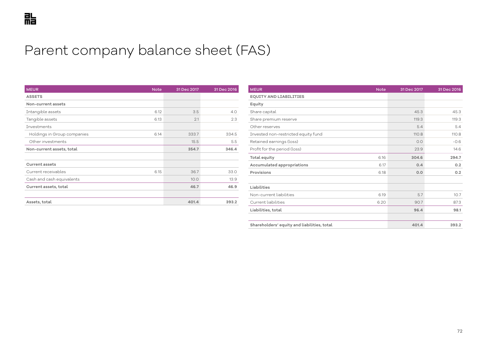# Parent company balance sheet (FAS)

| <b>MEUR</b><br><b>Note</b>          | 31 Dec 2017 | 31 Dec 2016 |
|-------------------------------------|-------------|-------------|
| <b>ASSETS</b>                       |             |             |
| Non-current assets                  |             |             |
| Intangible assets<br>6.12           | 3.5         | 4.0         |
| Tangible assets<br>6.13             | 2.1         | 2.3         |
| Investments                         |             |             |
| Holdings in Group companies<br>6.14 | 333.7       | 334.5       |
| Other investments                   | 15.5        | 5.5         |
| Non-current assets, total           | 354.7       | 346.4       |
|                                     |             |             |
| <b>Current assets</b>               |             |             |
| Current receivables<br>6.15         | 36.7        | 33.0        |
| Cash and cash equivalents           | 10.0        | 13.9        |
| Current assets, total               | 46.7        | 46.9        |
|                                     |             |             |
| Assets, total                       | 401.4       | 393.2       |

| <b>MEUR</b>                                 | <b>Note</b> | 31 Dec 2017 | 31 Dec 2016 |
|---------------------------------------------|-------------|-------------|-------------|
| <b>EQUITY AND LIABILITIES</b>               |             |             |             |
| Equity                                      |             |             |             |
| Share capital                               |             | 45.3        | 45.3        |
| Share premium reserve                       |             | 119.3       | 119.3       |
| Other reserves                              |             | 5.4         | 5.4         |
| Invested non-restricted equity fund         |             | 110.8       | 110.8       |
| Retained earnings (loss)                    |             | 0.0         | $-0.6$      |
| Profit for the period (loss)                |             | 23.9        | 14.6        |
| Total equity                                | 6.16        | 304.6       | 294.7       |
| Accumulated appropriations                  | 6.17        | 0.4         | 0.2         |
| Provisions                                  | 6.18        | 0.0         | 0.2         |
|                                             |             |             |             |
| Liabilities                                 |             |             |             |
| Non-current liabilities                     | 6.19        | 5.7         | 10.7        |
| Current liabilities                         | 6.20        | 90.7        | 87.3        |
| Liabilities, total                          |             | 96.4        | 98.1        |
|                                             |             |             |             |
| Shareholders' equity and liabilities, total |             | 401.4       | 393.2       |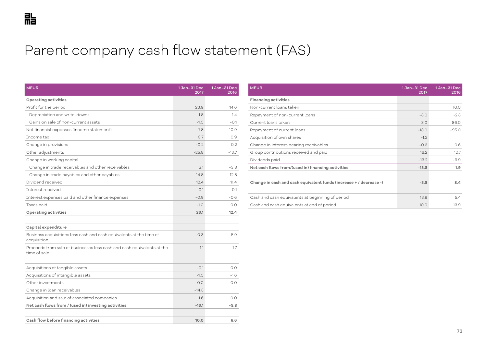# Parent company cash flow statement (FAS)

| <b>MEUR</b>                                                                            | 1 Jan-31 Dec<br>2017 | 1 Jan-31 Dec<br>2016 |
|----------------------------------------------------------------------------------------|----------------------|----------------------|
| Operating activities                                                                   |                      |                      |
| Profit for the period                                                                  | 23.9                 | 14.6                 |
| Depreciation and write-downs                                                           | 1.8                  | 1.4                  |
| Gains on sale of non-current assets                                                    | $-1.0$               | $-0.1$               |
| Net financial expenses (income statement)                                              | $-7.8$               | $-10.9$              |
| Tncome tax                                                                             | 3.7                  | 0.9                  |
| Change in provisions                                                                   | $-0.2$               | 0.2                  |
| Other adjustments                                                                      | $-25.8$              | $-13.7$              |
| Change in working capital:                                                             |                      |                      |
| Change in trade receivables and other receivables                                      | 3.1                  | $-3.8$               |
| Change in trade payables and other payables                                            | 14.8                 | 12.8                 |
| Dividend received                                                                      | 12.4                 | 11.4                 |
| <b>Interest received</b>                                                               | 0.1                  | O.1                  |
| Interest expenses paid and other finance expenses                                      | $-0.9$               | $-0.6$               |
| Taxes paid                                                                             | $-1.0$               | 0.0                  |
| Operating activities                                                                   | 23.1                 | 12.4                 |
| Capital expenditure                                                                    |                      |                      |
| Business acquisitions less cash and cash equivalents at the time of<br>acquisition     | $-0.3$               | $-5.9$               |
| Proceeds from sale of businesses less cash and cash equivalents at the<br>time of sale | 1.1                  | 1.7                  |
| Acquisitions of tangible assets                                                        | $-0.1$               | O.O                  |
| Acquisitions of intangible assets                                                      | $-1.0$               | $-1.6$               |
| Other investments                                                                      | 0.0                  | 0.0                  |
| Change in loan receivables                                                             | $-14.5$              |                      |
| Acquisition and sale of associated companies                                           | 1.6                  | 0.0                  |
| Net cash flows from / (used in) investing activities                                   | $-13.1$              | $-5.8$               |
|                                                                                        |                      |                      |
| Cash flow before financing activities                                                  | 10.0                 | 6.6                  |

| <b>MEUR</b>                                                        | $1$ Jan-31 Dec<br>2017 | 1 Jan-31 Dec<br>2016 |
|--------------------------------------------------------------------|------------------------|----------------------|
| <b>Financing activities</b>                                        |                        |                      |
| Non-current loans taken                                            |                        | 10.0                 |
| Repayment of non-current loans                                     | $-5.0$                 | $-2.5$               |
| Current loans taken                                                | 3.0                    | 86.0                 |
| Repayment of current loans                                         | $-13.0$                | $-95.0$              |
| Acquisition of own shares                                          | $-1.2$                 |                      |
| Change in interest-bearing receivables                             | $-0.6$                 | 0.6                  |
| Group contributions received and paid                              | 16.2                   | 12.7                 |
| Dividends paid                                                     | $-13.2$                | $-9.9$               |
| Net cash flows from/(used in) financing activities                 | $-13.8$                | 1.9                  |
|                                                                    |                        |                      |
| Change in cash and cash equivalent funds (increase + / decrease -) | $-3.8$                 | 8.4                  |
|                                                                    |                        |                      |
| Cash and cash equivalents at beginning of period                   | 13.9                   | 5.4                  |
| Cash and cash equivalents at end of period                         | 10.0                   | 13.9                 |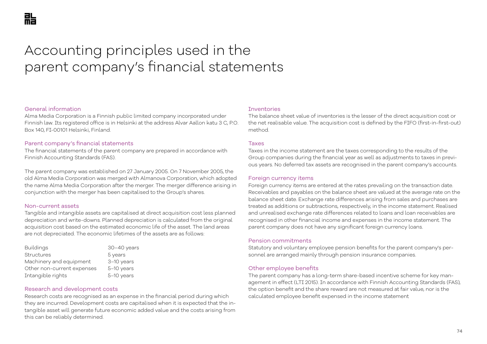# Accounting principles used in the parent company's financial statements

### General information

Alma Media Corporation is a Finnish public limited company incorporated under Finnish law. Its registered office is in Helsinki at the address Alvar Aallon katu 3 C, P.O. Box 140, FI-00101 Helsinki, Finland.

### Parent company's financial statements

The financial statements of the parent company are prepared in accordance with Finnish Accounting Standards (FAS).

The parent company was established on 27 January 2005. On 7 November 2005, the old Alma Media Corporation was merged with Almanova Corporation, which adopted the name Alma Media Corporation after the merger. The merger difference arising in conjunction with the merger has been capitalised to the Group's shares.

### Non-current assets

Tangible and intangible assets are capitalised at direct acquisition cost less planned depreciation and write-downs. Planned depreciation is calculated from the original acquisition cost based on the estimated economic life of the asset. The land areas are not depreciated. The economic lifetimes of the assets are as follows:

| <b>Buildings</b>           | $30-40$ years |
|----------------------------|---------------|
| <b>Structures</b>          | 5 years       |
| Machinery and equipment    | 3-10 years    |
| Other non-current expenses | 5-10 years    |
| Intangible rights          | 5-10 years    |

### Research and development costs

Research costs are recognised as an expense in the financial period during which they are incurred. Development costs are capitalised when it is expected that the intangible asset will generate future economic added value and the costs arising from this can be reliably determined.

### **Inventories**

The balance sheet value of inventories is the lesser of the direct acquisition cost or the net realisable value. The acquisition cost is defined by the FIFO (first-in-first-out) method.

### Taxes

Taxes in the income statement are the taxes corresponding to the results of the Group companies during the financial year as well as adjustments to taxes in previous years. No deferred tax assets are recognised in the parent company's accounts.

### Foreign currency items

Foreign currency items are entered at the rates prevailing on the transaction date. Receivables and payables on the balance sheet are valued at the average rate on the balance sheet date. Exchange rate differences arising from sales and purchases are treated as additions or subtractions, respectively, in the income statement. Realised and unrealised exchange rate differences related to loans and loan receivables are recognised in other financial income and expenses in the income statement. The parent company does not have any significant foreign currency loans.

### Pension commitments

Statutory and voluntary employee pension benefits for the parent company's personnel are arranged mainly through pension insurance companies.

### Other employee benefits

The parent company has a long-term share-based incentive scheme for key management in effect (LTI 2015). In accordance with Finnish Accounting Standards (FAS), the option benefit and the share reward are not measured at fair value, nor is the calculated employee benefit expensed in the income statement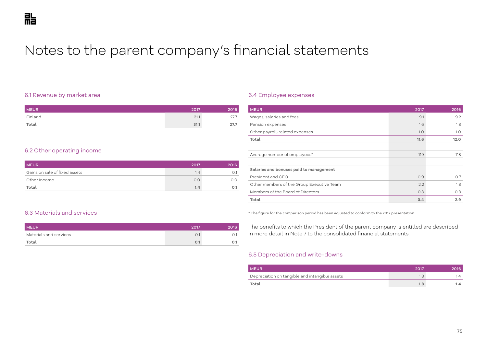# Notes to the parent company's financial statements

## 6.1 Revenue by market area

| <b>MEUR</b> | 2017 | 2016 |
|-------------|------|------|
| Finland     | 31.1 |      |
| Total       | 31.1 | 27.7 |

# 6.2 Other operating income

| <b>MEUR</b>                   | 2017 | 2016 |
|-------------------------------|------|------|
| Gains on sale of fixed assets | 1.4  |      |
| Other income                  | O.O  |      |
| Total                         | 1.4  |      |

## 6.4 Employee expenses

| <b>MEUR</b>                               | 2017 | 2016 |
|-------------------------------------------|------|------|
| Wages, salaries and fees                  | 9.1  | 9.2  |
| Pension expenses                          | 1.6  | 1.8  |
| Other payroll-related expenses            | 1.0  | 1.0  |
| Total                                     | 11.6 | 12.0 |
|                                           |      |      |
| Average number of employees*              | 119  | 118  |
|                                           |      |      |
| Salaries and bonuses paid to management   |      |      |
| President and CFO                         | 0.9  | 0.7  |
| Other members of the Group Executive Team | 2.2  | 1.8  |
| Members of the Board of Directors         | 0.3  | O.3  |
| Total                                     | 3.4  | 2.9  |

# 6.3 Materials and services

| <b>MEUR</b>            | 2017 | 016 |
|------------------------|------|-----|
| Materials and services |      |     |
| Total                  | U.1  |     |

\* The figure for the comparison period has been adjusted to conform to the 2017 presentation.

The benefits to which the President of the parent company is entitled are described in more detail in Note 7 to the consolidated financial statements.

### 6.5 Depreciation and write-downs

| <b>MEUR</b>                                    | 2017 | 2016     |
|------------------------------------------------|------|----------|
| Depreciation on tangible and intangible assets |      | $\Delta$ |
| Total                                          | 1.8  | 1.4      |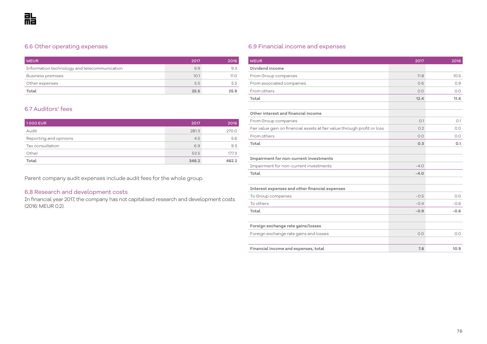# 6.6 Other operating expenses

| <b>MEUR</b>                                  | 2017 | 2016 |
|----------------------------------------------|------|------|
| Information technology and telecommunication | 9.9  | 9.3  |
| <b>Business premises</b>                     | 10.1 | 11.O |
| Other expenses                               | 5.5  | 5.5  |
| Total                                        | 25.5 | 25.9 |

# 6.7 Auditors' fees

| 1000 EUR               | 2017  | 2016  |
|------------------------|-------|-------|
| Audit                  | 281.3 | 270.0 |
| Reporting and opinions | 4.5   | 5.6   |
| Tax consultation       | 6.9   | 9.3   |
| Other                  | 53.5  | 177.3 |
| Total                  | 346.2 | 462.2 |

Parent company audit expenses include audit fees for the whole group.

# 6.8 Research and development costs

In financial year 2017, the company has not capitalised research and development costs (2016: MEUR 0.2).

# 6.9 Financial income and expenses

| <b>MEUR</b>                                                              | 2017   | 2016   |
|--------------------------------------------------------------------------|--------|--------|
| Dividend income                                                          |        |        |
| From Group companies                                                     | 11.8   | 10.5   |
| From associated companies                                                | 0.6    | 0.9    |
| From others                                                              | 0.0    | 0.0    |
| Total                                                                    | 12.4   | 11.4   |
|                                                                          |        |        |
| Other interest and financial income                                      |        |        |
| From Group companies                                                     | O.1    | O.1    |
| Fair value gain on financial assets at fair value through profit or loss | 0.2    | O.O    |
| From others                                                              | 0.0    | 0.0    |
| Total                                                                    | 0.3    | O.1    |
|                                                                          |        |        |
| Impairment for non-current investments                                   |        |        |
| Impairment for non-current investments                                   | $-4.0$ |        |
| Total                                                                    | $-4.0$ |        |
|                                                                          |        |        |
| Interest expenses and other financial expenses                           |        |        |
| To Group companies                                                       | $-0.5$ | 0.0    |
| To others                                                                | $-0.4$ | $-0.6$ |
| Total                                                                    | $-0.9$ | $-0.6$ |
|                                                                          |        |        |
| Foreign exchange rate gains/losses                                       |        |        |
| Foreign exchange rate gains and losses                                   | 0.0    | 0.0    |
|                                                                          |        |        |
| Financial income and expenses, total                                     | 7.8    | 10.9   |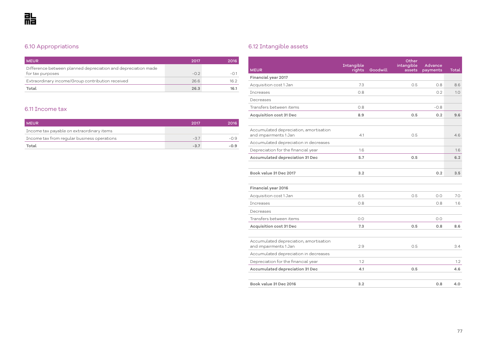# 6.10 Appropriations

| <b>MEUR</b>                                                                       | 2017  | 2016 |
|-----------------------------------------------------------------------------------|-------|------|
| Difference between planned depreciation and depreciation made<br>for tax purposes | $-02$ |      |
| Extraordinary income/Group contribution received                                  | 26.6  | 16.2 |
| Total                                                                             | 26.3  | 16.1 |

# 6.11 Income tax

| <b>MEUR</b>                                 | 2017   | 2016   |
|---------------------------------------------|--------|--------|
| Income tax payable on extraordinary items   |        |        |
| Income tax from regular business operations | $-37$  |        |
| Total                                       | $-3.7$ | $-0.9$ |

# 6.12 Intangible assets

| <b>MEUR</b>                                                     | Intangible<br>rights | Goodwill | Other<br>intangible<br>assets | <b>Advance</b><br>payments | Total |
|-----------------------------------------------------------------|----------------------|----------|-------------------------------|----------------------------|-------|
| Financial year 2017                                             |                      |          |                               |                            |       |
| Acquisition cost 1 Jan                                          | 7.3                  |          | 0.5                           | 0.8                        | 8.6   |
| <b>Increases</b>                                                | 0.8                  |          |                               | 0.2                        | 1.0   |
| Decreases                                                       |                      |          |                               |                            |       |
| Transfers between items                                         | 0.8                  |          |                               | $-0.8$                     |       |
| <b>Acquisition cost 31 Dec</b>                                  | 8.9                  |          | 0.5                           | 0.2                        | 9.6   |
|                                                                 |                      |          |                               |                            |       |
| Accumulated depreciation, amortisation<br>and impairments 1 Jan | 4.1                  |          | 0.5                           |                            | 4.6   |
| Accumulated depreciation in decreases                           |                      |          |                               |                            |       |
| Depreciation for the financial year                             | 1.6                  |          |                               |                            | 1.6   |
| Accumulated depreciation 31 Dec                                 | 5.7                  |          | 0.5                           |                            | 6.2   |
|                                                                 |                      |          |                               |                            |       |
| Book value 31 Dec 2017                                          | 3.2                  |          |                               | 0.2                        | 3.5   |
|                                                                 |                      |          |                               |                            |       |
| Financial year 2016                                             |                      |          |                               |                            |       |
| Acquisition cost 1 Jan                                          | 6.5                  |          | 0.5                           | 0.0                        | 7.0   |
| <b>Tncreases</b>                                                | 0.8                  |          |                               | 0.8                        | 1.6   |
| Decreases                                                       |                      |          |                               |                            |       |
| Transfers between items                                         | 0.0                  |          |                               | 0.0                        |       |
| <b>Acquisition cost 31 Dec</b>                                  | 7.3                  |          | 0.5                           | 0.8                        | 8.6   |
|                                                                 |                      |          |                               |                            |       |
| Accumulated depreciation, amortisation<br>and impairments 1 Jan | 2.9                  |          | 0.5                           |                            | 3.4   |
| Accumulated depreciation in decreases                           |                      |          |                               |                            |       |
| Depreciation for the financial year                             | 1.2                  |          |                               |                            | 1.2   |
| Accumulated depreciation 31 Dec                                 | 4.1                  |          | 0.5                           |                            | 4.6   |
|                                                                 |                      |          |                               |                            |       |
| Book value 31 Dec 2016                                          | 3.2                  |          |                               | 0.8                        | 4.0   |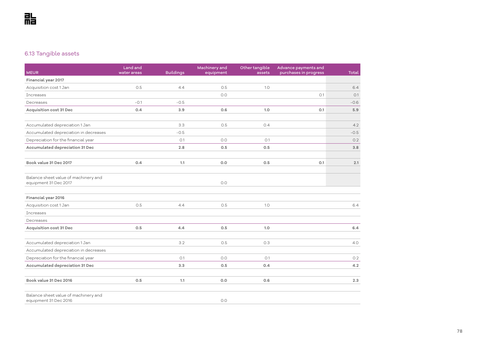# 6.13 Tangible assets

| <b>MEUR</b>                                                   | Land and<br>water areas | <b>Buildings</b> | Machinery and<br>equipment | Other tangible<br>assets | Advance payments and<br>purchases in progress | <b>Total</b> |
|---------------------------------------------------------------|-------------------------|------------------|----------------------------|--------------------------|-----------------------------------------------|--------------|
| Financial year 2017                                           |                         |                  |                            |                          |                                               |              |
| Acquisition cost 1 Jan                                        | 0.5                     | 4.4              | 0.5                        | 1.0                      |                                               | 6.4          |
| Increases                                                     |                         |                  | 0.0                        |                          | O.1                                           | O.1          |
| Decreases                                                     | $-0.1$                  | $-0.5$           |                            |                          |                                               | $-0.6$       |
| <b>Acquisition cost 31 Dec</b>                                | 0.4                     | 3.9              | 0.6                        | 1.0                      | 0.1                                           | 5.9          |
| Accumulated depreciation 1 Jan                                |                         | 3.3              | O.5                        | 0.4                      |                                               | 4.2          |
| Accumulated depreciation in decreases                         |                         | $-0.5$           |                            |                          |                                               | $-0.5$       |
| Depreciation for the financial year                           |                         | O.1              | 0.0                        | O.1                      |                                               | O.2          |
| Accumulated depreciation 31 Dec                               |                         | 2.8              | 0.5                        | 0.5                      |                                               | 3.8          |
| Book value 31 Dec 2017                                        | 0.4                     | 1.1              | 0.0                        | 0.5                      | O.1                                           | 2.1          |
| Balance sheet value of machinery and<br>equipment 31 Dec 2017 |                         |                  | O.O                        |                          |                                               |              |
| Financial year 2016                                           |                         |                  |                            |                          |                                               |              |
| Acquisition cost 1 Jan                                        | 0.5                     | 4.4              | 0.5                        | 1.0                      |                                               | 6.4          |
| <b>Increases</b>                                              |                         |                  |                            |                          |                                               |              |
| Decreases                                                     |                         |                  |                            |                          |                                               |              |
| <b>Acquisition cost 31 Dec</b>                                | 0.5                     | 4.4              | 0.5                        | 1.0                      |                                               | 6.4          |
| Accumulated depreciation 1 Jan                                |                         | 3.2              | 0.5                        | O.3                      |                                               | 4.0          |
| Accumulated depreciation in decreases                         |                         |                  |                            |                          |                                               |              |
| Depreciation for the financial year                           |                         | O.1              | 0.0                        | O.1                      |                                               | 0.2          |
| Accumulated depreciation 31 Dec                               |                         | 3.3              | 0.5                        | 0.4                      |                                               | 4.2          |
| Book value 31 Dec 2016                                        | 0.5                     | 1.1              | 0.0                        | 0.6                      |                                               | 2.3          |
| Balance sheet value of machinery and<br>equipment 31 Dec 2016 |                         |                  | O.O                        |                          |                                               |              |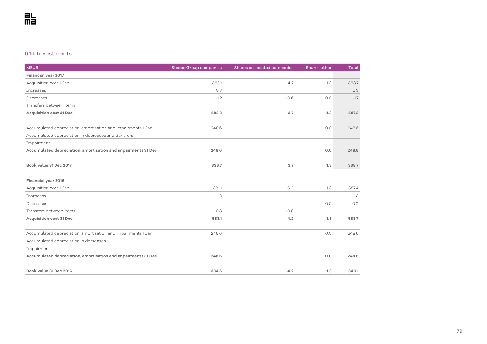# 6.14 Investments

| <b>MEUR</b>                                                   | <b>Shares Group companies</b> | Shares associated companies | Shares other | <b>Total</b> |
|---------------------------------------------------------------|-------------------------------|-----------------------------|--------------|--------------|
| Financial year 2017                                           |                               |                             |              |              |
| Acquisition cost 1 Jan                                        | 583.1                         | 4.2                         | 1.3          | 588.7        |
| <b>Increases</b>                                              | 0.3                           |                             |              | 0.3          |
| Decreases                                                     | $-1.2$                        | $-0.6$                      | 0.0          | $-1.7$       |
| Transfers between items                                       |                               |                             |              |              |
| Acquisition cost 31 Dec                                       | 582.3                         | 3.7                         | 1.3          | 587.3        |
| Accumulated depreciation, amortisation and impairments 1 Jan  | 248.6                         |                             | O.O          | 248.6        |
| Accumulated depreciation in decreases and transfers           |                               |                             |              |              |
| Impairment                                                    |                               |                             |              |              |
| Accumulated depreciation, amortisation and impairments 31 Dec | 248.6                         |                             | 0.0          | 248.6        |
| Book value 31 Dec 2017                                        | 333.7                         | 3.7                         | 1.3          | 338.7        |
| Financial year 2016                                           |                               |                             |              |              |
| Acquisition cost 1 Jan                                        | 581.1                         | 5.0                         | 1.3          | 587.4        |
| <b>Increases</b>                                              | 1.3                           |                             |              | 1.3          |
| Decreases                                                     |                               |                             | 0.0          | 0.0          |
| Transfers between items                                       | 0.8                           | $-0.8$                      |              |              |
| Acquisition cost 31 Dec                                       | 583.1                         | 4.2                         | 1.3          | 588.7        |
| Accumulated depreciation, amortisation and impairments 1 Jan  | 248.6                         |                             | 0.0          | 248.6        |
| Accumulated depreciation in decreases                         |                               |                             |              |              |
| Impairment                                                    |                               |                             |              |              |
| Accumulated depreciation, amortisation and impairments 31 Dec | 248.6                         |                             | 0.0          | 248.6        |
| Book value 31 Dec 2016                                        | 334.5                         | 4.2                         | 1.3          | 340.1        |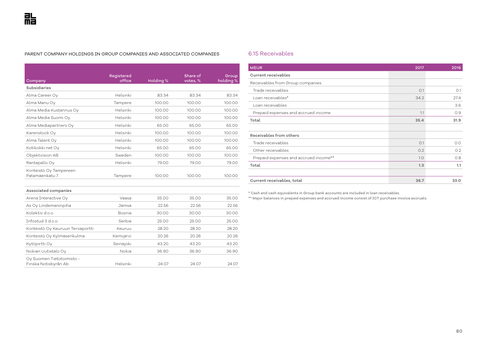#### PARENT COMPANY HOLDINGS IN GROUP COMPANIES AND ASSOCIATED COMPANIES

| Company                                           | Registered<br>office | Holding % | Share of<br>votes, % | Group<br>holding % |
|---------------------------------------------------|----------------------|-----------|----------------------|--------------------|
| Subsidiaries                                      |                      |           |                      |                    |
| Alma Career Oy                                    | Helsinki             | 83.34     | 83.34                | 83.34              |
| Alma Manu Oy                                      | Tampere              | 100.00    | 100.00               | 100.00             |
| Alma Media Kustannus Oy                           | Helsinki             | 100.00    | 100.00               | 100.00             |
| Alma Media Suomi Oy                               | Helsinki             | 100.00    | 100.00               | 100.00             |
| Alma Mediapartners Oy                             | Helsinki             | 65.00     | 65.00                | 65.00              |
| Karenstock Oy                                     | Helsinki             | 100.00    | 100.00               | 100.00             |
| Alma Talent Oy                                    | Helsinki             | 100.00    | 100.00               | 100.00             |
| Kotikokki.net Oy                                  | Helsinki             | 65.00     | 65.00                | 65.00              |
| Objektvision AB                                   | Sweden               | 100.00    | 100.00               | 100.00             |
| Rantapallo Oy                                     | Helsinki             | 79.00     | 79.00                | 79.00              |
| Kiinteistö Oy Tampereen<br>Patamäenkatu 7         | Tampere              | 100.00    | 100.00               | 100.00             |
|                                                   |                      |           |                      |                    |
| Associated companies                              |                      |           |                      |                    |
| Arena Interactive Oy                              | Vaasa                | 35.00     | 35.00                | 35.00              |
| As Oy Lindemaninpiha                              | Jämsä                | 22.56     | 22.56                | 22.56              |
| Kolektiv d.o.o.                                   | <b>Bosnia</b>        | 30.00     | 30.00                | 30.00              |
| Infostud 3 d.o.o.                                 | Serbia               | 25.00     | 25.00                | 25.00              |
| Kiinteistö Oy Keuruun Tervaportti                 | Keuruu               | 28.20     | 28.20                | 28.20              |
| Kiinteistö Oy Kylmäsenkulma                       | Kemijärvi            | 20.26     | 20.26                | 20.26              |
| Kytöpirtti Oy                                     | Seinäjoki            | 43.20     | 43.20                | 43.20              |
| Nokian Uutistalo Oy                               | Nokia                | 36.90     | 36.90                | 36.90              |
| Oy Suomen Tietotoimisto -<br>Finska Notisbyrån Ab | Helsinki             | 24.07     | 24.07                | 24.07              |

# 6.15 Receivables

I

| <b>MEUR</b>                           | 2017 | 2016 |
|---------------------------------------|------|------|
| <b>Current receivables</b>            |      |      |
| Receivables from Group companies      |      |      |
| Trade receivables                     | O.1  | O.1  |
| Loan receivables*                     | 34.2 | 27.4 |
| Loan receivables                      |      | 3.6  |
| Prepaid expenses and accrued income   | 1.1  | 0.9  |
| Total                                 | 35.4 | 31.9 |
|                                       |      |      |
| Receivables from others               |      |      |
| Trade receivables                     | O.1  | O.O  |
| Other receivables                     | 0.2  | 0.2  |
| Prepaid expenses and accrued income** | 1.0  | 0.8  |
| Total                                 | 1.3  | 1.1  |
|                                       |      |      |
| Current receivables, total            | 36.7 | 33.0 |

\* Cash and cash equivalents in Group bank accounts are included in loan receivables.

\*\* Major balances in prepaid expenses and accrued income consist of ICT purchase invoice accruals.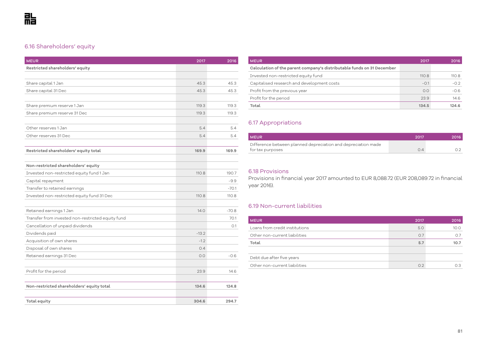# 6.16 Shareholders' equity

| <b>MEUR</b>                                       | 2017    | 2016    |
|---------------------------------------------------|---------|---------|
| Restricted shareholders' equity                   |         |         |
|                                                   |         |         |
| Share capital 1 Jan                               | 45.3    | 45.3    |
| Share capital 31 Dec                              | 45.3    | 45.3    |
|                                                   |         |         |
| Share premium reserve 1 Jan                       | 119.3   | 119.3   |
| Share premium reserve 31 Dec                      | 119.3   | 119.3   |
|                                                   |         |         |
| Other reserves 1 Jan                              | 5.4     | 5.4     |
| Other reserves 31 Dec                             | 5.4     | 5.4     |
|                                                   |         |         |
| Restricted shareholders' equity total             | 169.9   | 169.9   |
|                                                   |         |         |
| Non-restricted shareholders' equity               |         |         |
| Invested non-restricted equity fund 1 Jan         | 110.8   | 190.7   |
| Capital repayment                                 |         | $-9.9$  |
| Transfer to retained earnings                     |         | $-70.1$ |
| Invested non-restricted equity fund 31 Dec        | 110.8   | 110.8   |
|                                                   |         |         |
| Retained earnings 1 Jan                           | 14.0    | $-70.8$ |
| Transfer from invested non-restricted equity fund |         | 70.1    |
| Cancellation of unpaid dividends                  |         | 0.1     |
| Dividends paid                                    | $-13.2$ |         |
| Acquisition of own shares                         | $-1.2$  |         |
| Disposal of own shares                            | 0.4     |         |
| Retained earnings 31 Dec                          | 0.0     | $-0.6$  |
|                                                   |         |         |
| Profit for the period                             | 23.9    | 14.6    |
|                                                   |         |         |
| Non-restricted shareholders' equity total         | 134.6   | 124.8   |
|                                                   |         |         |
| Total equity                                      | 304.6   | 294.7   |

| <b>MEUR</b>                                                            | 2017   | 2016   |
|------------------------------------------------------------------------|--------|--------|
| Calculation of the parent company's distributable funds on 31 December |        |        |
| Invested non-restricted equity fund                                    | 110.8  | 110.8  |
| Capitalised research and development costs                             | $-0.1$ | $-0.2$ |
| Profit from the previous year                                          | 0.0    | $-0.6$ |
| Profit for the period                                                  | 23.9   | 14.6   |
| Total                                                                  | 134.5  | 124.6  |

# 6.17 Appropriations

| <b>MEUR</b>                                                   | 2017 | 2016 |
|---------------------------------------------------------------|------|------|
| Difference between planned depreciation and depreciation made |      |      |
| for tax purposes                                              | Ω4   |      |

# 6.18 Provisions

Provisions in financial year 2017 amounted to EUR 8,088.72 (EUR 208,089.72 in financial year 2016).

# 6.19 Non-current liabilities

| <b>MEUR</b>                    | 2017 | 2016 |
|--------------------------------|------|------|
| Loans from credit institutions | 5.0  | 10.0 |
| Other non-current liabilities  | O.7  | 0.7  |
| Total                          | 5.7  | 10.7 |
|                                |      |      |
| Debt due after five years      |      |      |
| Other non-current liabilities  | 0.2  | 0.3  |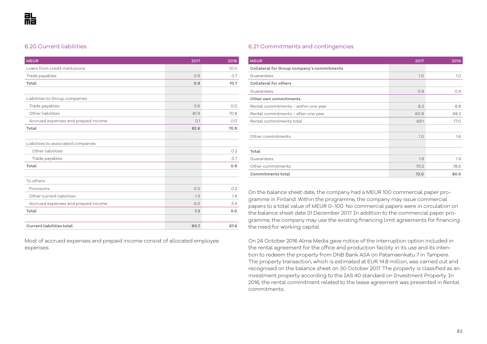# 6.20 Current liabilities

| <b>MEUR</b>                         | 2017 | 2016 |
|-------------------------------------|------|------|
| Loans from credit institutions      |      | 10.0 |
| Trade payables                      | 0.9  | O.7  |
| Total                               | 0.9  | 10.7 |
|                                     |      |      |
| Liabilities to Group companies      |      |      |
| Trade payables                      | 0.6  | 0.0  |
| Other liabilities                   | 81.9 | 70.8 |
| Accrued expenses and prepaid income | O.1  | 0.0  |
| Total                               | 82.6 | 70.9 |
|                                     |      |      |
| Liabilities to associated companies |      |      |
| Other liabilities                   |      | 0.2  |
| Trade payables                      |      | O.7  |
| Total                               |      | 0.9  |
|                                     |      |      |
| To others                           |      |      |
| Provisions                          | 0.0  | 0.2  |
| Other current liabilities           | 1.3  | 1.4  |
| Accrued expenses and prepaid income | 6.0  | 3.4  |
| Total                               | 7.3  | 5.0  |
|                                     |      |      |
| <b>Current liabilities total</b>    | 90.7 | 87.6 |

Most of accrued expenses and prepaid income consist of allocated employee expenses.

## 6.21 Commitments and contingencies

| <b>MEUR</b>                                | 2017 | 2016 |
|--------------------------------------------|------|------|
| Collateral for Group company's commitments |      |      |
| Guarantees                                 | 1.0  | 1.0  |
| Collateral for others                      |      |      |
| Guarantees                                 | 0.9  | 0.9  |
| Other own commitments                      |      |      |
| Rental commitments - within one year       | 8.2  | 8.8  |
| Rental commitments - after one year        | 60.9 | 68.2 |
| Rental commitments total                   | 69.1 | 77.0 |
|                                            |      |      |
| Other commitments                          | 1.0  | 1.6  |
|                                            |      |      |
| Total                                      |      |      |
| Guarantees                                 | 1.9  | 1.9  |
| Other commitments                          | 70.2 | 78.6 |
| Commitments total                          | 72.0 | 80.5 |

On the balance sheet date, the company had a MEUR 100 commercial paper programme in Finland. Within the programme, the company may issue commercial papers to a total value of MEUR 0–100. No commercial papers were in circulation on the balance sheet date 31 December 2017. In addition to the commercial paper programme, the company may use the existing financing limit agreements for financing the need for working capital.

On 24 October 2016 Alma Media gave notice of the interruption option included in the rental agreement for the office and production facility in its use and its intention to redeem the property from DNB Bank ASA on Patamäenkatu 7 in Tampere. The property transaction, which is estimated at EUR 14.8 million, was carried out and recognised on the balance sheet on 30 October 2017. The property is classified as an investment property according to the IAS 40 standard on Investment Property. In 2016, the rental commitment related to the lease agreement was presented in Rental commitments.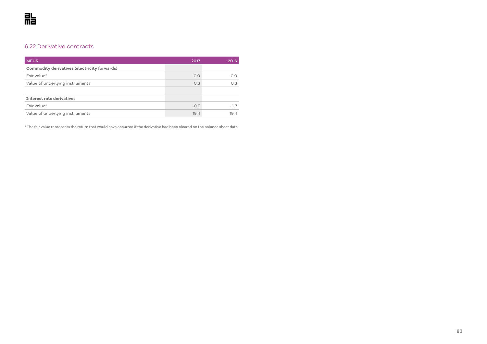# 6.22 Derivative contracts

| <b>MEUR</b>                                  | 2017   | 2016   |
|----------------------------------------------|--------|--------|
| Commodity derivatives (electricity forwards) |        |        |
| Fair value*                                  | O.O    | O.O    |
| Value of underlying instruments              | 0.3    | O.3    |
|                                              |        |        |
| Interest rate derivatives                    |        |        |
| Fair value*                                  | $-0.5$ | $-0.7$ |
| Value of underlying instruments              | 19.4   | 19.4   |

\* The fair value represents the return that would have occurred if the derivative had been cleared on the balance sheet date.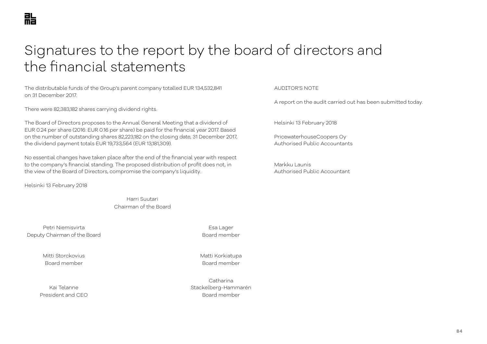# Signatures to the report by the board of directors and the financial statements

The distributable funds of the Group's parent company totalled EUR 134,532,841 on 31 December 2017.

There were 82,383,182 shares carrying dividend rights.

The Board of Directors proposes to the Annual General Meeting that a dividend of EUR 0.24 per share (2016: EUR 0.16 per share) be paid for the financial year 2017. Based on the number of outstanding shares 82,223,182 on the closing date, 31 December 2017, the dividend payment totals EUR 19,733,564 (EUR 13,181,309).

No essential changes have taken place after the end of the financial year with respect to the company's financial standing. The proposed distribution of profit does not, in the view of the Board of Directors, compromise the company's liquidity.

Helsinki 13 February 2018

Harri Suutari Chairman of the Board

Petri Niemisvirta and a controlled a controlled a controlled a controlled a controlled a controlled a controlled a controlled a controlled a controlled a controlled a controlled a controlled a controlled a controlled a con Deputy Chairman of the Board **Board Member** Board member

Mitti Storckovius Matti Korkiatupa Board member Board member

Kai Telanne President and CEO **Board member** Board member

Catharina Stackelberg-Hammarén

### AUDITOR'S NOTE

A report on the audit carried out has been submitted today.

Helsinki 13 February 2018

PricewaterhouseCoopers Oy Authorised Public Accountants

Markku Launis Authorised Public Accountant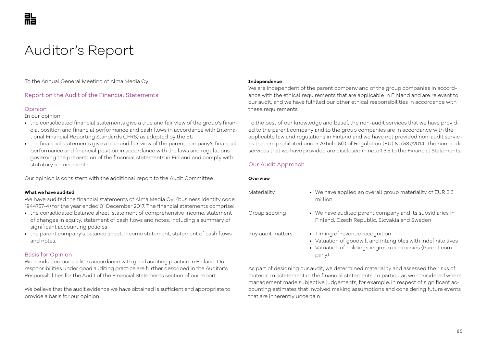# Auditor's Report

To the Annual General Meeting of Alma Media Oyj

## Report on the Audit of the Financial Statements

## Opinion

In our opinion

- the consolidated financial statements give a true and fair view of the group's financial position and financial performance and cash flows in accordance with International Financial Reporting Standards (IFRS) as adopted by the EU
- the financial statements give a true and fair view of the parent company's financial performance and financial position in accordance with the laws and regulations governing the preparation of the financial statements in Finland and comply with statutory requirements.

Our opinion is consistent with the additional report to the Audit Committee.

### **What we have audited**

We have audited the financial statements of Alma Media Oyj (business identity code 1944757-4) for the year ended 31 December 2017. The financial statements comprise:

- the consolidated balance sheet, statement of comprehensive income, statement of changes in equity, statement of cash flows and notes, including a summary of significant accounting policies
- the parent company's balance sheet, income statement, statement of cash flows and notes.

## Basis for Opinion

We conducted our audit in accordance with good auditing practice in Finland. Our responsibilities under good auditing practice are further described in the Auditor's Responsibilities for the Audit of the Financial Statements section of our report.

We believe that the audit evidence we have obtained is sufficient and appropriate to provide a basis for our opinion.

### **Independence**

We are independent of the parent company and of the group companies in accordance with the ethical requirements that are applicable in Finland and are relevant to our audit, and we have fulfilled our other ethical responsibilities in accordance with these requirements.

To the best of our knowledge and belief, the non-audit services that we have provided to the parent company and to the group companies are in accordance with the applicable law and regulations in Finland and we have not provided non-audit services that are prohibited under Article 5(1) of Regulation (EU) No 537/2014. The non-audit services that we have provided are disclosed in note 1.3.5 to the Financial Statements.

# Our Audit Approach

### **Overview**

- Materiality We have applied an overall group materiality of EUR 3.6 million
- Group scoping We have audited parent company and its subsidiaries in Finland, Czech Republic, Slovakia and Sweden
- Key audit matters Timing of revenue recognition
	- Valuation of goodwill and intangibles with indefinite lives
	- Valuation of holdings in group companies (Parent company)

As part of designing our audit, we determined materiality and assessed the risks of material misstatement in the financial statements. In particular, we considered where management made subjective judgements; for example, in respect of significant accounting estimates that involved making assumptions and considering future events that are inherently uncertain.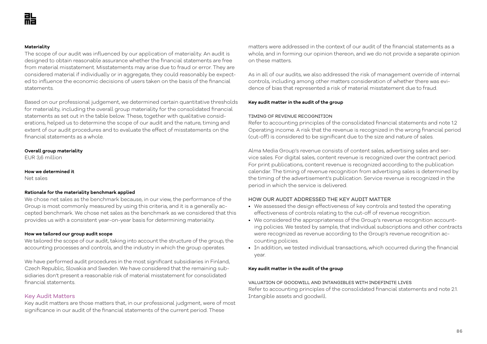### **Materiality**

The scope of our audit was influenced by our application of materiality. An audit is designed to obtain reasonable assurance whether the financial statements are free from material misstatement. Misstatements may arise due to fraud or error. They are considered material if individually or in aggregate, they could reasonably be expected to influence the economic decisions of users taken on the basis of the financial statements.

Based on our professional judgement, we determined certain quantitative thresholds for materiality, including the overall group materiality for the consolidated financial statements as set out in the table below. These, together with qualitative considerations, helped us to determine the scope of our audit and the nature, timing and extent of our audit procedures and to evaluate the effect of misstatements on the financial statements as a whole.

### **Overall group materiality**

EUR 3,6 million

### **How we determined it**

Net sales

### **Rationale for the materiality benchmark applied**

We chose net sales as the benchmark because, in our view, the performance of the Group is most commonly measured by using this criteria, and it is a generally accepted benchmark. We chose net sales as the benchmark as we considered that this provides us with a consistent year-on-year basis for determining materiality.

#### **How we tailored our group audit scope**

We tailored the scope of our audit, taking into account the structure of the group, the accounting processes and controls, and the industry in which the group operates.

We have performed audit procedures in the most significant subsidiaries in Finland, Czech Republic, Slovakia and Sweden. We have considered that the remaining subsidiaries don't present a reasonable risk of material misstatement for consolidated financial statements.

### Key Audit Matters

Key audit matters are those matters that, in our professional judgment, were of most significance in our audit of the financial statements of the current period. These

matters were addressed in the context of our audit of the financial statements as a whole, and in forming our opinion thereon, and we do not provide a separate opinion on these matters.

As in all of our audits, we also addressed the risk of management override of internal controls, including among other matters consideration of whether there was evidence of bias that represented a risk of material misstatement due to fraud.

### **Key audit matter in the audit of the group**

### TIMING OF REVENUE RECOGNITION

Refer to accounting principles of the consolidated financial statements and note 1.2 Operating income. A risk that the revenue is recognized in the wrong financial period (cut-off) is considered to be significant due to the size and nature of sales.

Alma Media Group's revenue consists of content sales, advertising sales and service sales. For digital sales, content revenue is recognized over the contract period. For print publications, content revenue is recognized according to the publication calendar. The timing of revenue recognition from advertising sales is determined by the timing of the advertisement's publication. Service revenue is recognized in the period in which the service is delivered.

### HOW OUR AUDIT ADDRESSED THE KEY AUDIT MATTER

- We assessed the design effectiveness of key controls and tested the operating effectiveness of controls relating to the cut-off of revenue recognition.
- We considered the appropriateness of the Group's revenue recognition accounting policies. We tested by sample, that individual subscriptions and other contracts were recognized as revenue according to the Group's revenue recognition accounting policies.
- In addition, we tested individual transactions, which occurred during the financial year.

### **Key audit matter in the audit of the group**

#### VALUATION OF GOODWILL AND INTANGIBLES WITH INDEFINITE LIVES

Refer to accounting principles of the consolidated financial statements and note 2.1. Intangible assets and goodwill.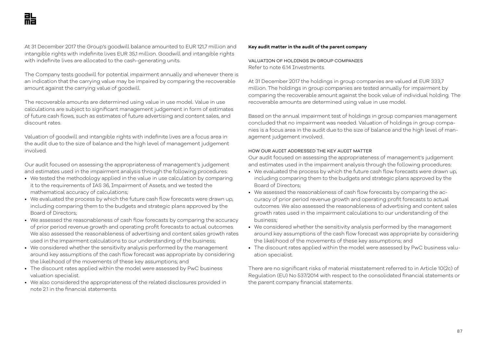At 31 December 2017 the Group's goodwill balance amounted to EUR 121,7 million and intangible rights with indefinite lives EUR 35,1 million. Goodwill and intangible rights with indefinite lives are allocated to the cash-generating units.

The Company tests goodwill for potential impairment annually and whenever there is an indication that the carrying value may be impaired by comparing the recoverable amount against the carrying value of goodwill.

The recoverable amounts are determined using value in use model. Value in use calculations are subject to significant management judgement in form of estimates of future cash flows, such as estimates of future advertising and content sales, and discount rates.

Valuation of goodwill and intangible rights with indefinite lives are a focus area in the audit due to the size of balance and the high level of management judgement involved.

Our audit focused on assessing the appropriateness of management's judgement and estimates used in the impairment analysis through the following procedures:

- We tested the methodology applied in the value in use calculation by comparing it to the requirements of IAS 36, Impairment of Assets, and we tested the mathematical accuracy of calculations;
- We evaluated the process by which the future cash flow forecasts were drawn up, including comparing them to the budgets and strategic plans approved by the Board of Directors;
- We assessed the reasonableness of cash flow forecasts by comparing the accuracy of prior period revenue growth and operating profit forecasts to actual outcomes. We also assessed the reasonableness of advertising and content sales growth rates used in the impairment calculations to our understanding of the business;
- We considered whether the sensitivity analysis performed by the management around key assumptions of the cash flow forecast was appropriate by considering the likelihood of the movements of these key assumptions; and
- The discount rates applied within the model were assessed by PwC business valuation specialist.
- We also considered the appropriateness of the related disclosures provided in note 21 in the financial statements.

#### **Key audit matter in the audit of the parent company**

VALUATION OF HOLDINGS IN GROUP COMPANIES Refer to note 6.14 Investments.

At 31 December 2017 the holdings in group companies are valued at EUR 333,7 million. The holdings in group companies are tested annually for impairment by comparing the recoverable amount against the book value of individual holding. The recoverable amounts are determined using value in use model.

Based on the annual impairment test of holdings in group companies management concluded that no impairment was needed. Valuation of holdings in group companies is a focus area in the audit due to the size of balance and the high level of management judgement involved.

### HOW OUR AUDIT ADDRESSED THE KEY AUDIT MATTER

Our audit focused on assessing the appropriateness of management's judgement and estimates used in the impairment analysis through the following procedures:

- We evaluated the process by which the future cash flow forecasts were drawn up, including comparing them to the budgets and strategic plans approved by the Board of Directors;
- We assessed the reasonableness of cash flow forecasts by comparing the accuracy of prior period revenue growth and operating profit forecasts to actual outcomes. We also assessed the reasonableness of advertising and content sales growth rates used in the impairment calculations to our understanding of the business;
- We considered whether the sensitivity analysis performed by the management around key assumptions of the cash flow forecast was appropriate by considering the likelihood of the movements of these key assumptions; and
- The discount rates applied within the model were assessed by PwC business valuation specialist.

There are no significant risks of material misstatement referred to in Article 10(2c) of Regulation (EU) No 537/2014 with respect to the consolidated financial statements or the parent company financial statements.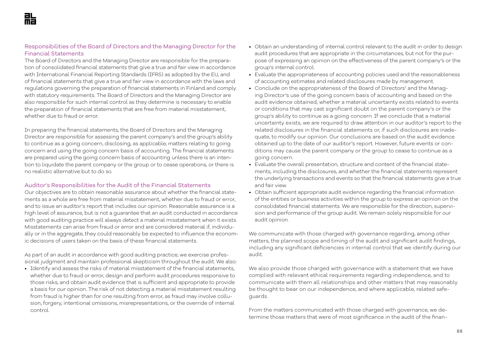# Responsibilities of the Board of Directors and the Managing Director for the Financial Statements

The Board of Directors and the Managing Director are responsible for the preparation of consolidated financial statements that give a true and fair view in accordance with International Financial Reporting Standards (IFRS) as adopted by the EU, and of financial statements that give a true and fair view in accordance with the laws and regulations governing the preparation of financial statements in Finland and comply with statutory requirements. The Board of Directors and the Managing Director are also responsible for such internal control as they determine is necessary to enable the preparation of financial statements that are free from material misstatement, whether due to fraud or error.

In preparing the financial statements, the Board of Directors and the Managing Director are responsible for assessing the parent company's and the group's ability to continue as a going concern, disclosing, as applicable, matters relating to going concern and using the going concern basis of accounting. The financial statements are prepared using the going concern basis of accounting unless there is an intention to liquidate the parent company or the group or to cease operations, or there is no realistic alternative but to do so.

## Auditor's Responsibilities for the Audit of the Financial Statements

Our objectives are to obtain reasonable assurance about whether the financial statements as a whole are free from material misstatement, whether due to fraud or error, and to issue an auditor's report that includes our opinion. Reasonable assurance is a high level of assurance, but is not a guarantee that an audit conducted in accordance with good auditing practice will always detect a material misstatement when it exists. Misstatements can arise from fraud or error and are considered material if, individually or in the aggregate, they could reasonably be expected to influence the economic decisions of users taken on the basis of these financial statements.

As part of an audit in accordance with good auditing practice, we exercise professional judgment and maintain professional skepticism throughout the audit. We also:

• Identify and assess the risks of material misstatement of the financial statements, whether due to fraud or error, design and perform audit procedures responsive to those risks, and obtain audit evidence that is sufficient and appropriate to provide a basis for our opinion. The risk of not detecting a material misstatement resulting from fraud is higher than for one resulting from error, as fraud may involve collusion, forgery, intentional omissions, misrepresentations, or the override of internal control.

- Obtain an understanding of internal control relevant to the audit in order to design audit procedures that are appropriate in the circumstances, but not for the purpose of expressing an opinion on the effectiveness of the parent company's or the group's internal control.
- Evaluate the appropriateness of accounting policies used and the reasonableness of accounting estimates and related disclosures made by management.
- Conclude on the appropriateness of the Board of Directors' and the Managing Director's use of the going concern basis of accounting and based on the audit evidence obtained, whether a material uncertainty exists related to events or conditions that may cast significant doubt on the parent company's or the group's ability to continue as a going concern. If we conclude that a material uncertainty exists, we are required to draw attention in our auditor's report to the related disclosures in the financial statements or, if such disclosures are inadequate, to modify our opinion. Our conclusions are based on the audit evidence obtained up to the date of our auditor's report. However, future events or conditions may cause the parent company or the group to cease to continue as a going concern.
- Evaluate the overall presentation, structure and content of the financial statements, including the disclosures, and whether the financial statements represent the underlying transactions and events so that the financial statements give a true and fair view.
- Obtain sufficient appropriate audit evidence regarding the financial information of the entities or business activities within the group to express an opinion on the consolidated financial statements. We are responsible for the direction, supervision and performance of the group audit. We remain solely responsible for our audit opinion.

We communicate with those charged with governance regarding, among other matters, the planned scope and timing of the audit and significant audit findings, including any significant deficiencies in internal control that we identify during our audit.

We also provide those charged with governance with a statement that we have complied with relevant ethical requirements regarding independence, and to communicate with them all relationships and other matters that may reasonably be thought to bear on our independence, and where applicable, related safeguards.

From the matters communicated with those charged with governance, we determine those matters that were of most significance in the audit of the finan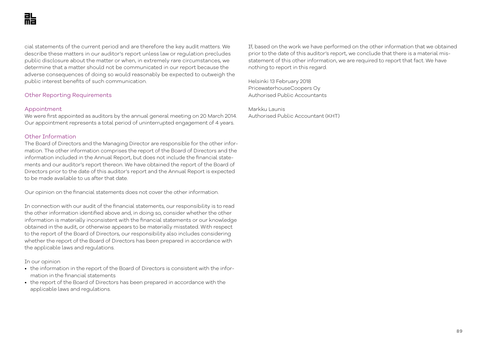cial statements of the current period and are therefore the key audit matters. We describe these matters in our auditor's report unless law or regulation precludes public disclosure about the matter or when, in extremely rare circumstances, we determine that a matter should not be communicated in our report because the adverse consequences of doing so would reasonably be expected to outweigh the public interest benefits of such communication.

## Other Reporting Requirements

### Appointment

We were first appointed as auditors by the annual general meeting on 20 March 2014. Our appointment represents a total period of uninterrupted engagement of 4 years.

### Other Information

The Board of Directors and the Managing Director are responsible for the other information. The other information comprises the report of the Board of Directors and the information included in the Annual Report, but does not include the financial statements and our auditor's report thereon. We have obtained the report of the Board of Directors prior to the date of this auditor's report and the Annual Report is expected to be made available to us after that date.

Our opinion on the financial statements does not cover the other information.

In connection with our audit of the financial statements, our responsibility is to read the other information identified above and, in doing so, consider whether the other information is materially inconsistent with the financial statements or our knowledge obtained in the audit, or otherwise appears to be materially misstated. With respect to the report of the Board of Directors, our responsibility also includes considering whether the report of the Board of Directors has been prepared in accordance with the applicable laws and regulations.

### In our opinion

- the information in the report of the Board of Directors is consistent with the information in the financial statements
- the report of the Board of Directors has been prepared in accordance with the applicable laws and regulations.

If, based on the work we have performed on the other information that we obtained prior to the date of this auditor's report, we conclude that there is a material misstatement of this other information, we are required to report that fact. We have nothing to report in this regard.

Helsinki 13 February 2018 PricewaterhouseCoopers Oy Authorised Public Accountants

Markku Launis Authorised Public Accountant (KHT)